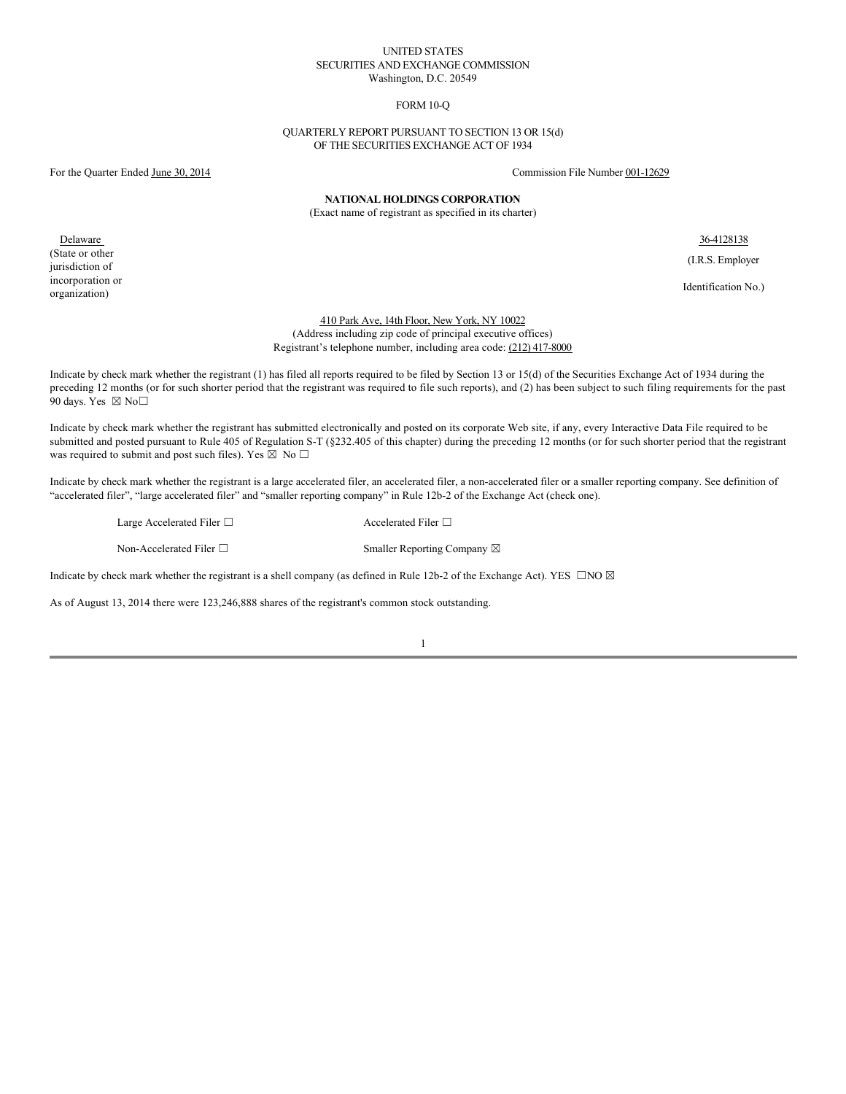#### UNITED STATES SECURITIES AND EXCHANGE COMMISSION Washington, D.C. 20549

#### FORM 10-Q

## QUARTERLY REPORT PURSUANT TO SECTION 13 OR 15(d) OF THE SECURITIES EXCHANGE ACT OF 1934

For the Quarter Ended June 30, 2014 Commission File Number 001-12629

**NATIONAL HOLDINGS CORPORATION**

**Delaware** 36-4128138

# (Exact name of registrant as specified in its charter)

(State or other jurisdiction of (I.R.S. Employer incorporation or organization) Identification No.) Identification No.

#### 410 Park Ave, 14th Floor, New York, NY 10022 (Address including zip code of principal executive offices) Registrant's telephone number, including area code: (212) 417-8000

Indicate by check mark whether the registrant (1) has filed all reports required to be filed by Section 13 or 15(d) of the Securities Exchange Act of 1934 during the preceding 12 months (or for such shorter period that the registrant was required to file such reports), and (2) has been subject to such filing requirements for the past 90 days. Yes ⊠ No□

Indicate by check mark whether the registrant has submitted electronically and posted on its corporate Web site, if any, every Interactive Data File required to be submitted and posted pursuant to Rule 405 of Regulation S-T (§232.405 of this chapter) during the preceding 12 months (or for such shorter period that the registrant was required to submit and post such files). Yes  $\boxtimes$  No  $\Box$ 

Indicate by check mark whether the registrant is a large accelerated filer, an accelerated filer, a non-accelerated filer or a smaller reporting company. See definition of "accelerated filer", "large accelerated filer" and "smaller reporting company" in Rule 12b-2 of the Exchange Act (check one).

Large Accelerated Filer □ Accelerated Filer □

Non-Accelerated Filer □ Smaller Reporting Company ⊠

Indicate by check mark whether the registrant is a shell company (as defined in Rule 12b-2 of the Exchange Act). YES  $\Box$ NO  $\boxtimes$ 

As of August 13, 2014 there were 123,246,888 shares of the registrant's common stock outstanding.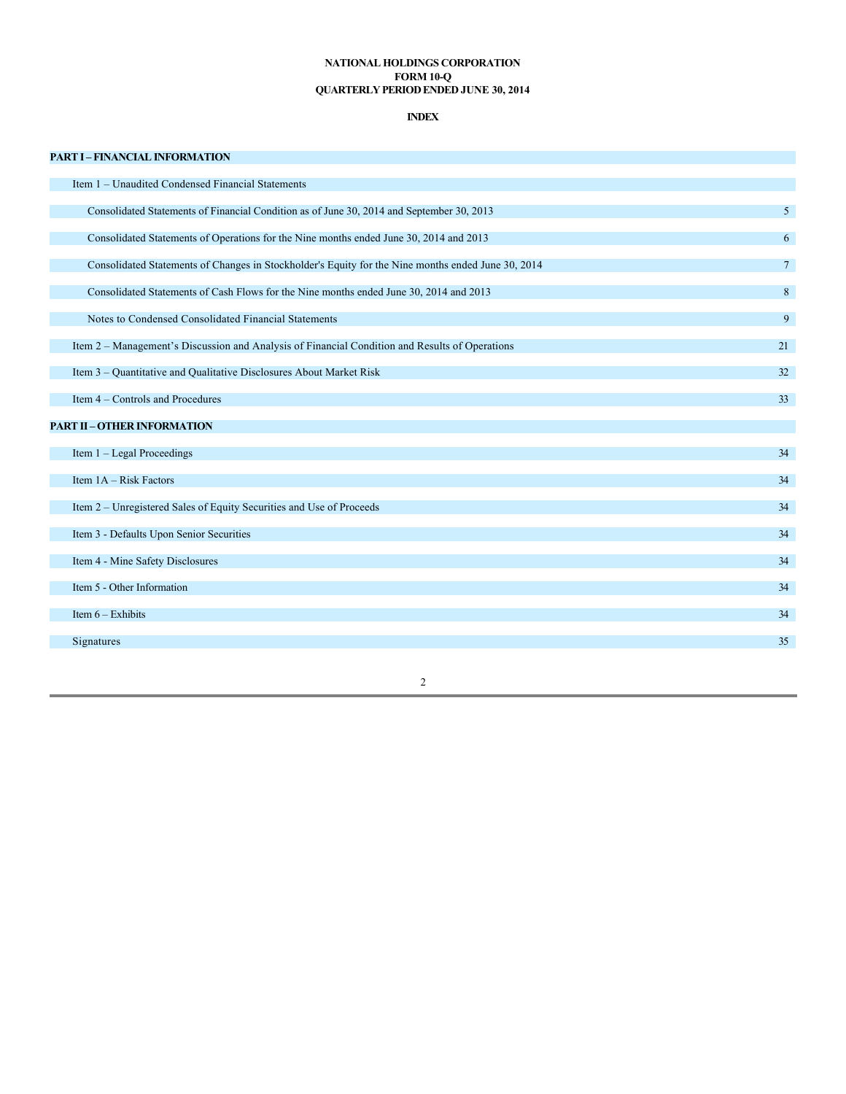## **NATIONAL HOLDINGS CORPORATION FORM 10Q QUARTERLY PERIOD ENDED JUNE 30, 2014**

## **INDEX**

| <b>PART I - FINANCIAL INFORMATION</b>                                                              |                 |
|----------------------------------------------------------------------------------------------------|-----------------|
| Item 1 – Unaudited Condensed Financial Statements                                                  |                 |
| Consolidated Statements of Financial Condition as of June 30, 2014 and September 30, 2013          | 5               |
| Consolidated Statements of Operations for the Nine months ended June 30, 2014 and 2013             | 6               |
| Consolidated Statements of Changes in Stockholder's Equity for the Nine months ended June 30, 2014 | $7\phantom{.0}$ |
| Consolidated Statements of Cash Flows for the Nine months ended June 30, 2014 and 2013             | 8               |
| Notes to Condensed Consolidated Financial Statements                                               | 9               |
| Item 2 – Management's Discussion and Analysis of Financial Condition and Results of Operations     | 21              |
| Item 3 – Quantitative and Qualitative Disclosures About Market Risk                                | 32              |
| Item 4 – Controls and Procedures                                                                   | 33              |
| <b>PART II - OTHER INFORMATION</b>                                                                 |                 |
| Item $1 -$ Legal Proceedings                                                                       | 34              |
| Item $1A - Risk Factors$                                                                           | 34              |
| Item 2 – Unregistered Sales of Equity Securities and Use of Proceeds                               | 34              |
| Item 3 - Defaults Upon Senior Securities                                                           | 34              |
| Item 4 - Mine Safety Disclosures                                                                   | 34              |
| Item 5 - Other Information                                                                         | 34              |
| Item $6 -$ Exhibits                                                                                | 34              |
| Signatures                                                                                         | 35              |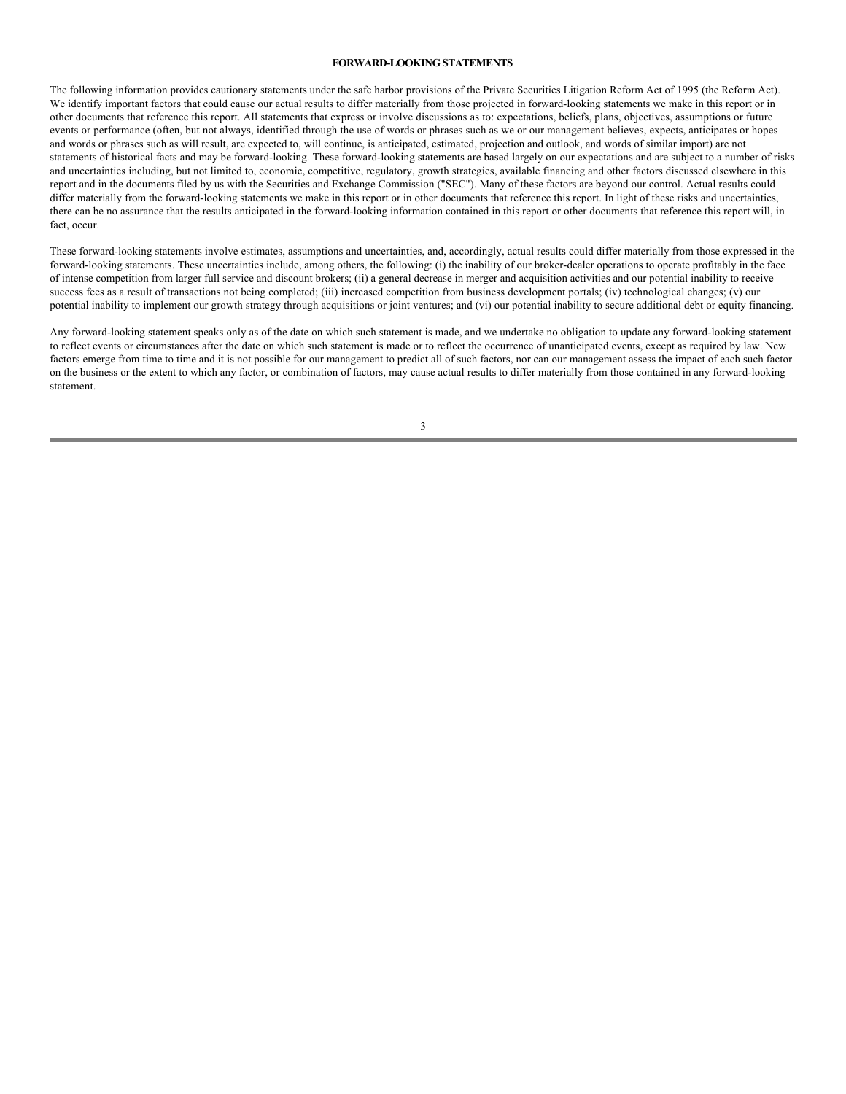## **FORWARDLOOKING STATEMENTS**

The following information provides cautionary statements under the safe harbor provisions of the Private Securities Litigation Reform Act of 1995 (the Reform Act). We identify important factors that could cause our actual results to differ materially from those projected in forward-looking statements we make in this report or in other documents that reference this report. All statements that express or involve discussions as to: expectations, beliefs, plans, objectives, assumptions or future events or performance (often, but not always, identified through the use of words or phrases such as we or our management believes, expects, anticipates or hopes and words or phrases such as will result, are expected to, will continue, is anticipated, estimated, projection and outlook, and words of similar import) are not statements of historical facts and may be forward-looking. These forward-looking statements are based largely on our expectations and are subject to a number of risks and uncertainties including, but not limited to, economic, competitive, regulatory, growth strategies, available financing and other factors discussed elsewhere in this report and in the documents filed by us with the Securities and Exchange Commission ("SEC"). Many of these factors are beyond our control. Actual results could differ materially from the forward-looking statements we make in this report or in other documents that reference this report. In light of these risks and uncertainties, there can be no assurance that the results anticipated in the forward-looking information contained in this report or other documents that reference this report will, in fact, occur.

These forward-looking statements involve estimates, assumptions and uncertainties, and, accordingly, actual results could differ materially from those expressed in the forward-looking statements. These uncertainties include, among others, the following: (i) the inability of our broker-dealer operations to operate profitably in the face of intense competition from larger full service and discount brokers; (ii) a general decrease in merger and acquisition activities and our potential inability to receive success fees as a result of transactions not being completed; (iii) increased competition from business development portals; (iv) technological changes; (v) our potential inability to implement our growth strategy through acquisitions or joint ventures; and (vi) our potential inability to secure additional debt or equity financing.

Any forward-looking statement speaks only as of the date on which such statement is made, and we undertake no obligation to update any forward-looking statement to reflect events or circumstances after the date on which such statement is made or to reflect the occurrence of unanticipated events, except as required by law. New factors emerge from time to time and it is not possible for our management to predict all of such factors, nor can our management assess the impact of each such factor on the business or the extent to which any factor, or combination of factors, may cause actual results to differ materially from those contained in any forward-looking statement.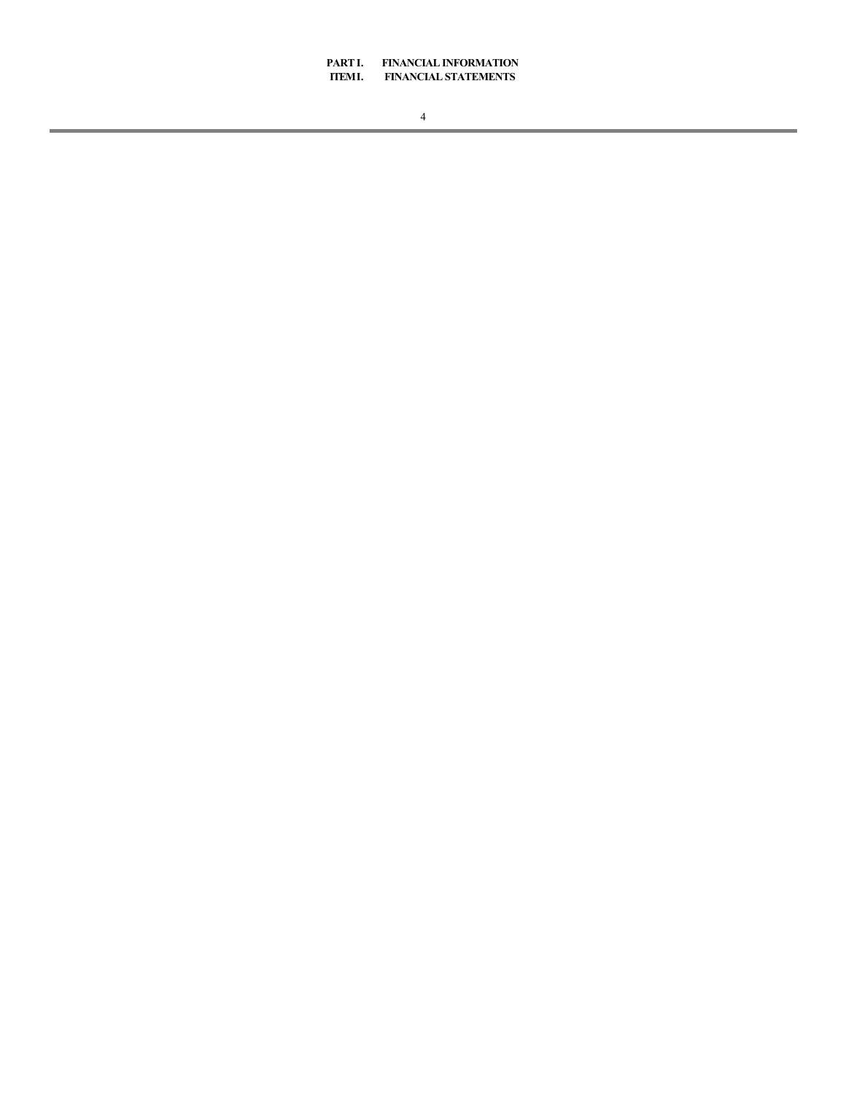**PART I. FINANCIAL INFORMATION ITEM I. FINANCIAL STATEMENTS**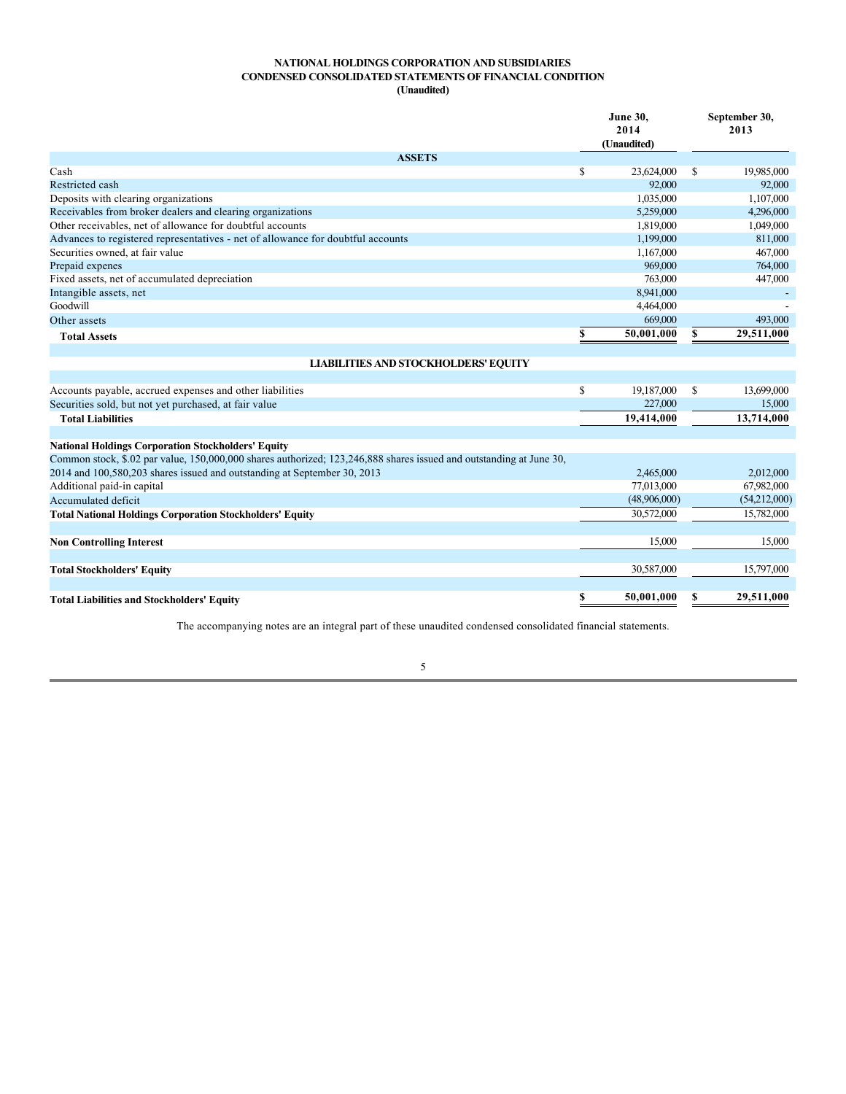## **NATIONAL HOLDINGS CORPORATION AND SUBSIDIARIES CONDENSED CONSOLIDATED STATEMENTS OF FINANCIAL CONDITION (Unaudited)**

|                                                                                                                     |    | <b>June 30,</b><br>2014<br>(Unaudited) |    | September 30,<br>2013 |
|---------------------------------------------------------------------------------------------------------------------|----|----------------------------------------|----|-----------------------|
| <b>ASSETS</b>                                                                                                       |    |                                        |    |                       |
| Cash                                                                                                                | \$ | 23,624,000                             | \$ | 19,985,000            |
| Restricted cash                                                                                                     |    | 92,000                                 |    | 92,000                |
| Deposits with clearing organizations                                                                                |    | 1,035,000                              |    | 1,107,000             |
| Receivables from broker dealers and clearing organizations                                                          |    | 5,259,000                              |    | 4,296,000             |
| Other receivables, net of allowance for doubtful accounts                                                           |    | 1,819,000                              |    | 1,049,000             |
| Advances to registered representatives - net of allowance for doubtful accounts                                     |    | 1,199,000                              |    | 811,000               |
| Securities owned, at fair value                                                                                     |    | 1,167,000                              |    | 467,000               |
| Prepaid expenes                                                                                                     |    | 969,000                                |    | 764,000               |
| Fixed assets, net of accumulated depreciation                                                                       |    | 763,000                                |    | 447,000               |
| Intangible assets, net                                                                                              |    | 8,941,000                              |    |                       |
| Goodwill                                                                                                            |    | 4,464,000                              |    |                       |
| Other assets                                                                                                        |    | 669,000                                |    | 493,000               |
| <b>Total Assets</b>                                                                                                 | S  | 50,001,000                             | S  | 29,511,000            |
| LIABILITIES AND STOCKHOLDERS' EQUITY                                                                                |    |                                        |    |                       |
| Accounts payable, accrued expenses and other liabilities                                                            | \$ | 19,187,000                             | -S | 13,699,000            |
| Securities sold, but not yet purchased, at fair value                                                               |    | 227,000                                |    | 15,000                |
| <b>Total Liabilities</b>                                                                                            |    | 19,414,000                             |    | 13,714,000            |
| <b>National Holdings Corporation Stockholders' Equity</b>                                                           |    |                                        |    |                       |
| Common stock, \$.02 par value, 150,000,000 shares authorized; 123,246,888 shares issued and outstanding at June 30, |    |                                        |    |                       |
| 2014 and 100,580,203 shares issued and outstanding at September 30, 2013                                            |    | 2,465,000                              |    | 2,012,000             |
| Additional paid-in capital                                                                                          |    | 77,013,000                             |    | 67,982,000            |
| Accumulated deficit                                                                                                 |    | (48,906,000)                           |    | (54,212,000)          |
| <b>Total National Holdings Corporation Stockholders' Equity</b>                                                     |    | 30,572,000                             |    | 15,782,000            |
|                                                                                                                     |    |                                        |    |                       |
| <b>Non Controlling Interest</b>                                                                                     |    | 15,000                                 |    | 15,000                |
| <b>Total Stockholders' Equity</b>                                                                                   |    | 30,587,000                             |    | 15,797,000            |
| <b>Total Liabilities and Stockholders' Equity</b>                                                                   | S  | 50,001,000                             |    | 29,511,000            |

The accompanying notes are an integral part of these unaudited condensed consolidated financial statements.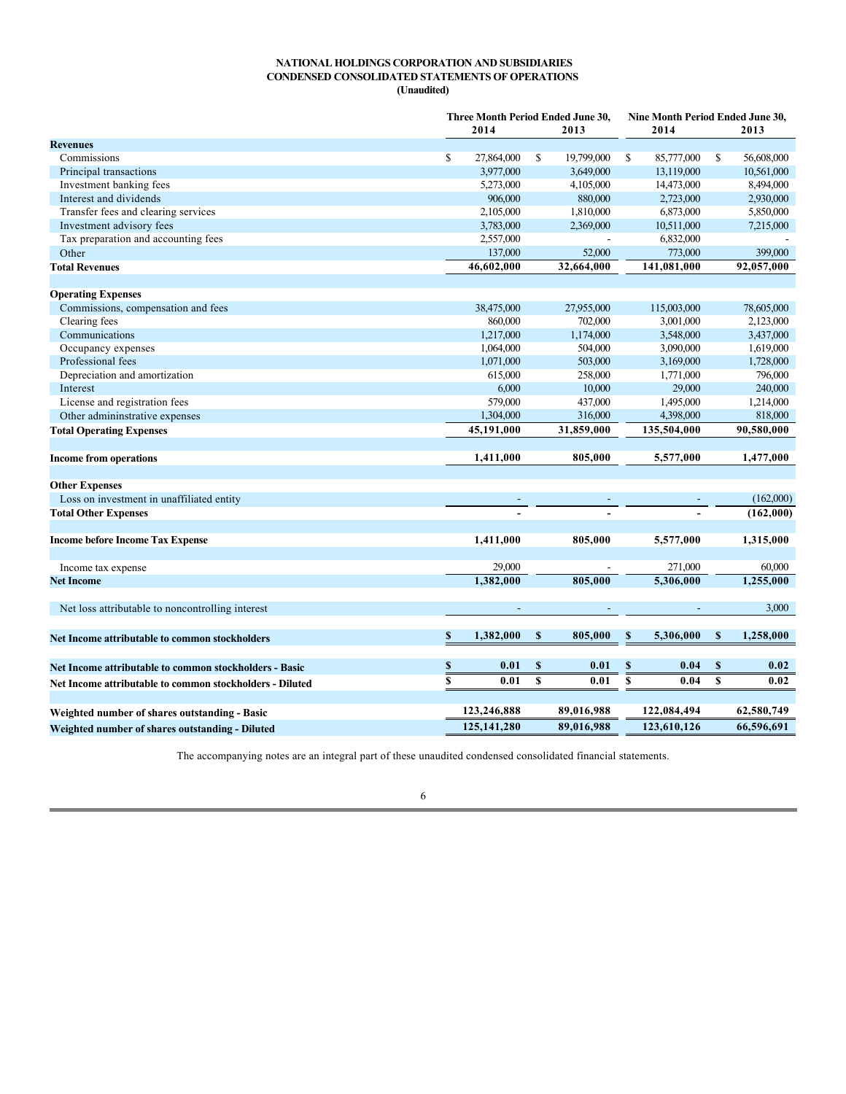## **NATIONAL HOLDINGS CORPORATION AND SUBSIDIARIES CONDENSED CONSOLIDATED STATEMENTS OF OPERATIONS (Unaudited)**

|                                                          |             | Three Month Period Ended June 30,<br>2014<br>2013 |                  |            |                         | Nine Month Period Ended June 30,<br>2014 | 2013              |            |
|----------------------------------------------------------|-------------|---------------------------------------------------|------------------|------------|-------------------------|------------------------------------------|-------------------|------------|
| <b>Revenues</b>                                          |             |                                                   |                  |            |                         |                                          |                   |            |
| Commissions                                              | \$          | 27,864,000                                        | \$               | 19,799,000 | \$                      | 85,777,000                               | \$                | 56,608,000 |
| Principal transactions                                   |             | 3,977,000                                         |                  | 3,649,000  |                         | 13,119,000                               |                   | 10,561,000 |
| Investment banking fees                                  |             | 5,273,000                                         |                  | 4,105,000  |                         | 14,473,000                               |                   | 8,494,000  |
| Interest and dividends                                   |             | 906,000                                           |                  | 880,000    |                         | 2,723,000                                |                   | 2,930,000  |
| Transfer fees and clearing services                      |             | 2,105,000                                         |                  | 1,810,000  |                         | 6,873,000                                |                   | 5,850,000  |
| Investment advisory fees                                 |             | 3,783,000                                         |                  | 2,369,000  |                         | 10,511,000                               |                   | 7,215,000  |
| Tax preparation and accounting fees                      |             | 2,557,000                                         |                  |            |                         | 6,832,000                                |                   |            |
| Other                                                    |             | 137,000                                           |                  | 52,000     |                         | 773,000                                  |                   | 399,000    |
| <b>Total Revenues</b>                                    |             | 46,602,000                                        |                  | 32,664,000 |                         | 141,081,000                              |                   | 92,057,000 |
| <b>Operating Expenses</b>                                |             |                                                   |                  |            |                         |                                          |                   |            |
| Commissions, compensation and fees                       |             | 38,475,000                                        |                  | 27,955,000 |                         | 115,003,000                              |                   | 78,605,000 |
| Clearing fees                                            |             | 860,000                                           |                  | 702,000    |                         | 3,001,000                                |                   | 2,123,000  |
| Communications                                           |             | 1,217,000                                         |                  | 1,174,000  |                         | 3,548,000                                |                   | 3,437,000  |
| Occupancy expenses                                       |             | 1,064,000                                         |                  | 504,000    |                         | 3,090,000                                |                   | 1,619,000  |
| Professional fees                                        |             | 1,071,000                                         |                  | 503,000    |                         | 3,169,000                                |                   | 1,728,000  |
| Depreciation and amortization                            |             | 615,000                                           |                  | 258,000    |                         | 1,771,000                                |                   | 796,000    |
| Interest                                                 |             | 6,000                                             |                  | 10,000     |                         | 29,000                                   |                   | 240,000    |
| License and registration fees                            |             | 579,000                                           |                  | 437,000    |                         | 1,495,000                                |                   | 1,214,000  |
| Other admininstrative expenses                           |             | 1,304,000                                         |                  | 316,000    |                         | 4,398,000                                |                   | 818,000    |
| <b>Total Operating Expenses</b>                          |             | 45,191,000                                        |                  | 31,859,000 |                         | 135,504,000                              |                   | 90,580,000 |
|                                                          |             |                                                   |                  |            |                         |                                          |                   |            |
| <b>Income from operations</b>                            |             | 1,411,000                                         |                  | 805,000    |                         | 5,577,000                                |                   | 1,477,000  |
| <b>Other Expenses</b>                                    |             |                                                   |                  |            |                         |                                          |                   |            |
| Loss on investment in unaffiliated entity                |             | $\blacksquare$                                    |                  |            |                         |                                          |                   | (162,000)  |
| <b>Total Other Expenses</b>                              |             |                                                   |                  |            |                         |                                          |                   | (162,000)  |
|                                                          |             |                                                   |                  |            |                         |                                          |                   |            |
| <b>Income before Income Tax Expense</b>                  |             | 1,411,000                                         |                  | 805,000    |                         | 5,577,000                                |                   | 1,315,000  |
|                                                          |             | 29,000                                            |                  |            |                         | 271,000                                  |                   | 60.000     |
| Income tax expense                                       |             |                                                   |                  |            |                         |                                          |                   |            |
| <b>Net Income</b>                                        |             | 1,382,000                                         |                  | 805,000    |                         | 5,306,000                                |                   | 1,255,000  |
| Net loss attributable to noncontrolling interest         |             | $\blacksquare$                                    |                  |            |                         |                                          |                   | 3,000      |
| Net Income attributable to common stockholders           | \$          | 1,382,000                                         | $\boldsymbol{s}$ | 805,000    | $\mathbf{s}$            | 5,306,000                                | $\mathbf{s}$      | 1,258,000  |
| Net Income attributable to common stockholders - Basic   | $\mathbb S$ | 0.01                                              | \$               | 0.01       | $\pmb{\mathbb{S}}$      | 0.04                                     | $\boldsymbol{\$}$ | 0.02       |
| Net Income attributable to common stockholders - Diluted | \$          | 0.01                                              | \$               | 0.01       | $\overline{\mathbf{s}}$ | 0.04                                     | $\mathbf S$       | 0.02       |
|                                                          |             |                                                   |                  |            |                         |                                          |                   |            |
| Weighted number of shares outstanding - Basic            |             | 123,246,888                                       |                  | 89,016,988 |                         | 122,084,494                              |                   | 62,580,749 |
| Weighted number of shares outstanding - Diluted          |             | 125,141,280                                       |                  | 89,016,988 |                         | 123,610,126                              |                   | 66,596,691 |

The accompanying notes are an integral part of these unaudited condensed consolidated financial statements.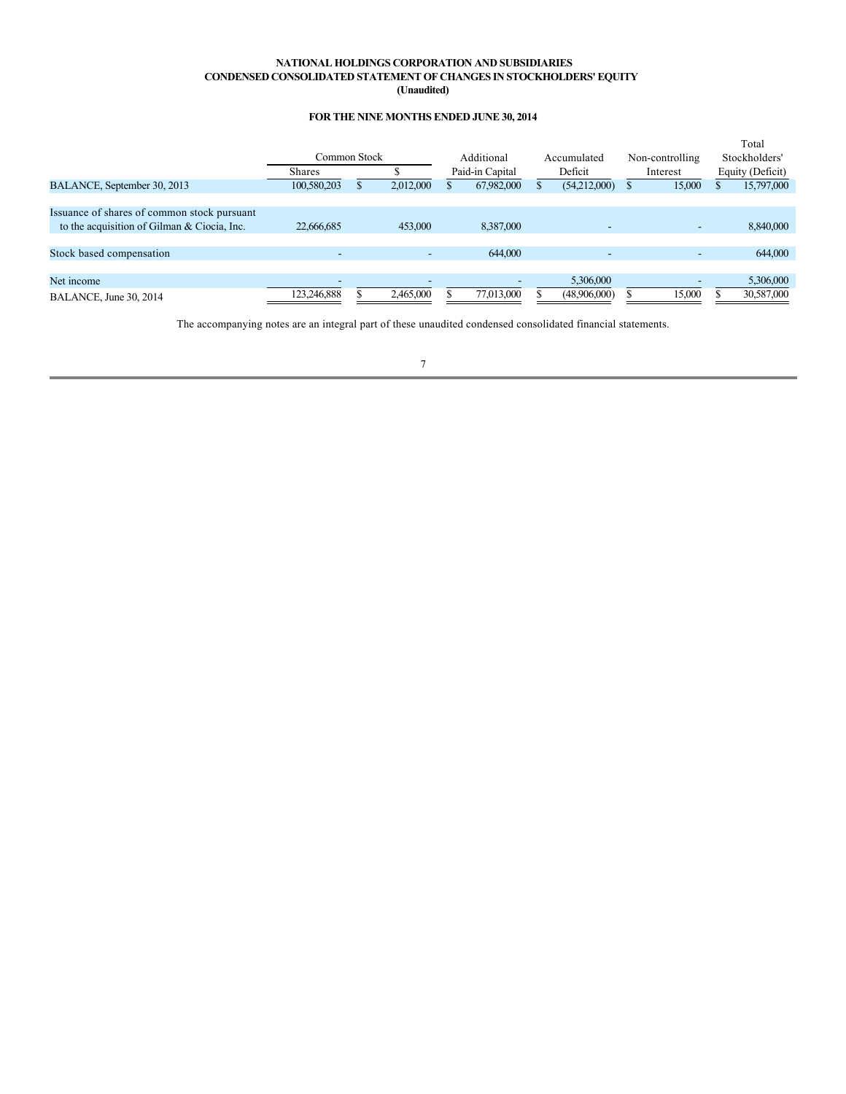#### **NATIONAL HOLDINGS CORPORATION AND SUBSIDIARIES CONDENSED CONSOLIDATED STATEMENT OF CHANGES IN STOCKHOLDERS' EQUITY (Unaudited)**

## **FOR THE NINE MONTHS ENDED JUNE 30, 2014**

|                                             |               |           |                 |              |                 | Total            |
|---------------------------------------------|---------------|-----------|-----------------|--------------|-----------------|------------------|
|                                             | Common Stock  |           | Additional      | Accumulated  | Non-controlling | Stockholders'    |
|                                             | <b>Shares</b> |           | Paid-in Capital | Deficit      | Interest        | Equity (Deficit) |
| BALANCE, September 30, 2013                 | 100,580,203   | 2,012,000 | 67,982,000      | (54,212,000) | 15,000          | 15,797,000       |
|                                             |               |           |                 |              |                 |                  |
| Issuance of shares of common stock pursuant |               |           |                 |              |                 |                  |
| to the acquisition of Gilman & Ciocia, Inc. | 22.666.685    | 453,000   | 8,387,000       |              |                 | 8,840,000        |
|                                             |               |           |                 |              |                 |                  |
| Stock based compensation                    |               |           | 644,000         |              |                 | 644,000          |
|                                             |               |           |                 |              |                 |                  |
| Net income                                  | -             |           |                 | 5,306,000    |                 | 5,306,000        |
| BALANCE, June 30, 2014                      | 123,246,888   | 2,465,000 | 77,013,000      | (48,906,000) | 15,000          | 30,587,000       |

The accompanying notes are an integral part of these unaudited condensed consolidated financial statements.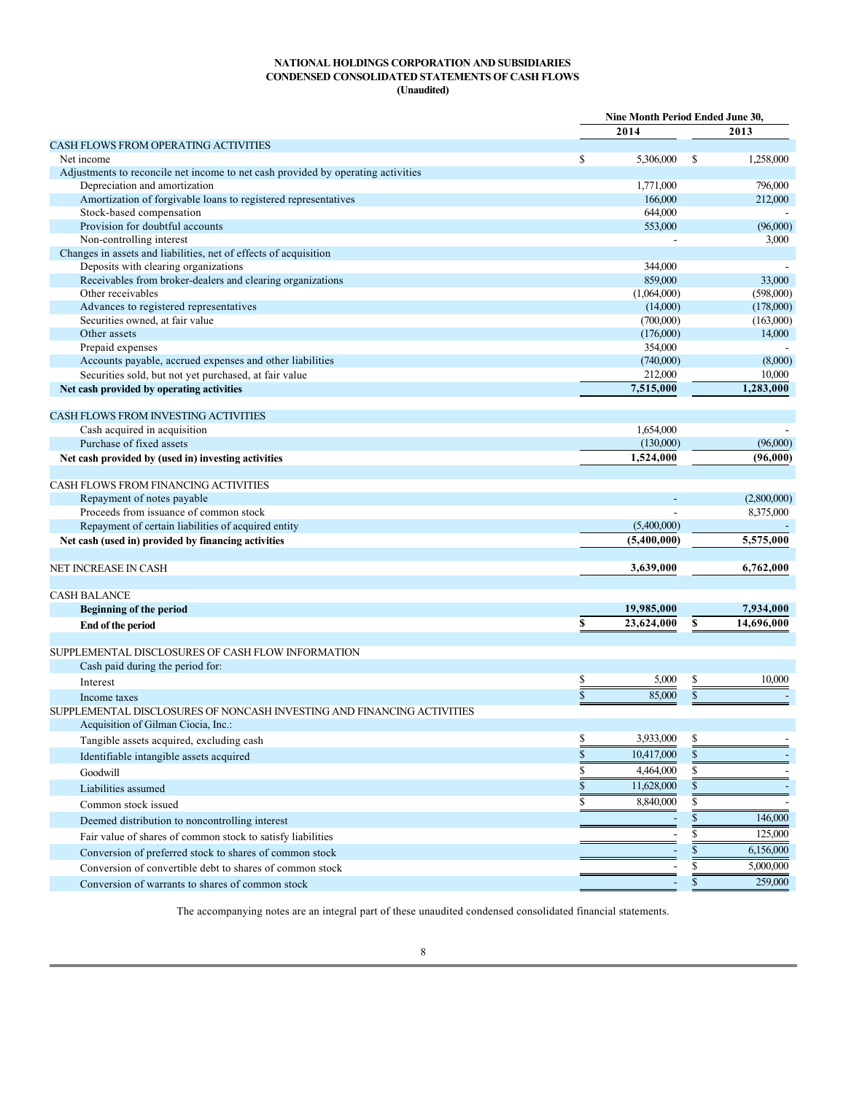## **NATIONAL HOLDINGS CORPORATION AND SUBSIDIARIES CONDENSED CONSOLIDATED STATEMENTS OF CASH FLOWS (Unaudited)**

|                                                                                              | Nine Month Period Ended June 30. |                          |                 |             |
|----------------------------------------------------------------------------------------------|----------------------------------|--------------------------|-----------------|-------------|
|                                                                                              |                                  | 2014                     |                 | 2013        |
| <b>CASH FLOWS FROM OPERATING ACTIVITIES</b>                                                  |                                  |                          |                 |             |
| Net income                                                                                   | \$                               | 5,306,000                | S               | 1,258,000   |
| Adjustments to reconcile net income to net cash provided by operating activities             |                                  |                          |                 |             |
| Depreciation and amortization                                                                |                                  | 1,771,000                |                 | 796,000     |
| Amortization of forgivable loans to registered representatives                               |                                  | 166,000                  |                 | 212,000     |
| Stock-based compensation                                                                     |                                  | 644,000                  |                 |             |
| Provision for doubtful accounts                                                              |                                  | 553,000                  |                 | (96,000)    |
| Non-controlling interest<br>Changes in assets and liabilities, net of effects of acquisition |                                  |                          |                 | 3,000       |
| Deposits with clearing organizations                                                         |                                  | 344,000                  |                 |             |
| Receivables from broker-dealers and clearing organizations                                   |                                  | 859,000                  |                 | 33,000      |
| Other receivables                                                                            |                                  | (1,064,000)              |                 | (598,000)   |
| Advances to registered representatives                                                       |                                  | (14,000)                 |                 | (178,000)   |
| Securities owned, at fair value                                                              |                                  | (700,000)                |                 | (163,000)   |
| Other assets                                                                                 |                                  | (176,000)                |                 | 14,000      |
| Prepaid expenses                                                                             |                                  | 354,000                  |                 |             |
| Accounts payable, accrued expenses and other liabilities                                     |                                  | (740,000)                |                 | (8,000)     |
| Securities sold, but not yet purchased, at fair value                                        |                                  | 212,000                  |                 | 10,000      |
| Net cash provided by operating activities                                                    |                                  | 7,515,000                |                 | 1,283,000   |
|                                                                                              |                                  |                          |                 |             |
| <b>CASH FLOWS FROM INVESTING ACTIVITIES</b>                                                  |                                  |                          |                 |             |
| Cash acquired in acquisition                                                                 |                                  | 1,654,000                |                 |             |
| Purchase of fixed assets                                                                     |                                  | (130,000)                |                 | (96,000)    |
| Net cash provided by (used in) investing activities                                          |                                  | 1,524,000                |                 | (96,000)    |
|                                                                                              |                                  |                          |                 |             |
| CASH FLOWS FROM FINANCING ACTIVITIES                                                         |                                  |                          |                 |             |
| Repayment of notes payable                                                                   |                                  |                          |                 | (2,800,000) |
| Proceeds from issuance of common stock                                                       |                                  |                          |                 | 8,375,000   |
| Repayment of certain liabilities of acquired entity                                          |                                  | (5,400,000)              |                 |             |
| Net cash (used in) provided by financing activities                                          |                                  | (5,400,000)              |                 | 5,575,000   |
|                                                                                              |                                  |                          |                 |             |
| NET INCREASE IN CASH                                                                         |                                  | 3,639,000                |                 | 6,762,000   |
|                                                                                              |                                  |                          |                 |             |
| <b>CASH BALANCE</b>                                                                          |                                  |                          |                 |             |
| <b>Beginning of the period</b>                                                               |                                  | 19,985,000               |                 | 7,934,000   |
| End of the period                                                                            | \$                               | 23,624,000               | \$              | 14,696,000  |
|                                                                                              |                                  |                          |                 |             |
| SUPPLEMENTAL DISCLOSURES OF CASH FLOW INFORMATION                                            |                                  |                          |                 |             |
| Cash paid during the period for:                                                             |                                  |                          |                 |             |
| Interest                                                                                     | \$                               | 5,000                    | \$              | 10,000      |
| Income taxes                                                                                 | $\overline{\mathbb{S}}$          | 85,000                   | $\overline{s}$  |             |
| SUPPLEMENTAL DISCLOSURES OF NONCASH INVESTING AND FINANCING ACTIVITIES                       |                                  |                          |                 |             |
| Acquisition of Gilman Ciocia, Inc.:                                                          |                                  |                          |                 |             |
| Tangible assets acquired, excluding cash                                                     | \$                               | 3,933,000                | \$              |             |
|                                                                                              | $\overline{\mathbf{s}}$          | 10,417,000               | $\overline{\$}$ |             |
| Identifiable intangible assets acquired                                                      | \$                               | 4,464,000                |                 |             |
| Goodwill                                                                                     |                                  |                          | \$              |             |
| Liabilities assumed                                                                          | \$                               | 11,628,000               | \$              |             |
| Common stock issued                                                                          | \$                               | 8,840,000                | \$              |             |
| Deemed distribution to noncontrolling interest                                               |                                  |                          | \$              | 146,000     |
| Fair value of shares of common stock to satisfy liabilities                                  |                                  | $\overline{\phantom{a}}$ | \$              | 125,000     |
| Conversion of preferred stock to shares of common stock                                      |                                  |                          | \$              | 6,156,000   |
| Conversion of convertible debt to shares of common stock                                     |                                  |                          | \$              | 5,000,000   |
|                                                                                              |                                  |                          |                 |             |
| Conversion of warrants to shares of common stock                                             |                                  |                          |                 | 259,000     |

The accompanying notes are an integral part of these unaudited condensed consolidated financial statements.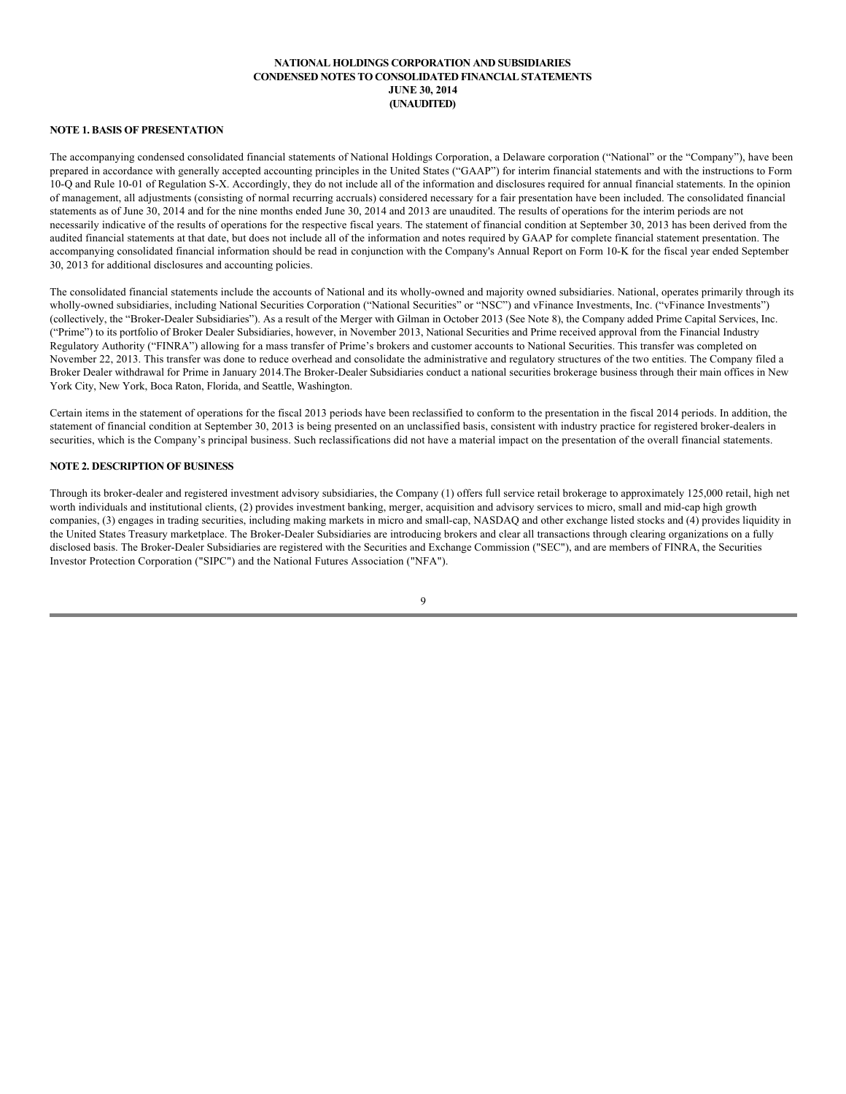## **NATIONAL HOLDINGS CORPORATION AND SUBSIDIARIES CONDENSED NOTES TO CONSOLIDATED FINANCIAL STATEMENTS JUNE 30, 2014 (UNAUDITED)**

## **NOTE 1. BASIS OF PRESENTATION**

The accompanying condensed consolidated financial statements of National Holdings Corporation, a Delaware corporation ("National" or the "Company"), have been prepared in accordance with generally accepted accounting principles in the United States ("GAAP") for interim financial statements and with the instructions to Form 10-Q and Rule 10-01 of Regulation S-X. Accordingly, they do not include all of the information and disclosures required for annual financial statements. In the opinion of management, all adjustments (consisting of normal recurring accruals) considered necessary for a fair presentation have been included. The consolidated financial statements as of June 30, 2014 and for the nine months ended June 30, 2014 and 2013 are unaudited. The results of operations for the interim periods are not necessarily indicative of the results of operations for the respective fiscal years. The statement of financial condition at September 30, 2013 has been derived from the audited financial statements at that date, but does not include all of the information and notes required by GAAP for complete financial statement presentation. The accompanying consolidated financial information should be read in conjunction with the Company's Annual Report on Form 10-K for the fiscal year ended September 30, 2013 for additional disclosures and accounting policies.

The consolidated financial statements include the accounts of National and its wholly-owned and majority owned subsidiaries. National, operates primarily through its wholly-owned subsidiaries, including National Securities Corporation ("National Securities" or "NSC") and vFinance Investments, Inc. ("vFinance Investments") (collectively, the "Broker-Dealer Subsidiaries"). As a result of the Merger with Gilman in October 2013 (See Note 8), the Company added Prime Capital Services, Inc. ("Prime") to its portfolio of Broker Dealer Subsidiaries, however, in November 2013, National Securities and Prime received approval from the Financial Industry Regulatory Authority ("FINRA") allowing for a mass transfer of Prime's brokers and customer accounts to National Securities. This transfer was completed on November 22, 2013. This transfer was done to reduce overhead and consolidate the administrative and regulatory structures of the two entities. The Company filed a Broker Dealer withdrawal for Prime in January 2014. The Broker-Dealer Subsidiaries conduct a national securities brokerage business through their main offices in New York City, New York, Boca Raton, Florida, and Seattle, Washington.

Certain items in the statement of operations for the fiscal 2013 periods have been reclassified to conform to the presentation in the fiscal 2014 periods. In addition, the statement of financial condition at September 30, 2013 is being presented on an unclassified basis, consistent with industry practice for registered broker-dealers in securities, which is the Company's principal business. Such reclassifications did not have a material impact on the presentation of the overall financial statements.

#### **NOTE 2. DESCRIPTION OF BUSINESS**

Through its broker-dealer and registered investment advisory subsidiaries, the Company (1) offers full service retail brokerage to approximately 125,000 retail, high net worth individuals and institutional clients, (2) provides investment banking, merger, acquisition and advisory services to micro, small and midcap high growth companies, (3) engages in trading securities, including making markets in micro and small-cap, NASDAQ and other exchange listed stocks and (4) provides liquidity in the United States Treasury marketplace. The Broker-Dealer Subsidiaries are introducing brokers and clear all transactions through clearing organizations on a fully disclosed basis. The Broker-Dealer Subsidiaries are registered with the Securities and Exchange Commission ("SEC"), and are members of FINRA, the Securities Investor Protection Corporation ("SIPC") and the National Futures Association ("NFA").

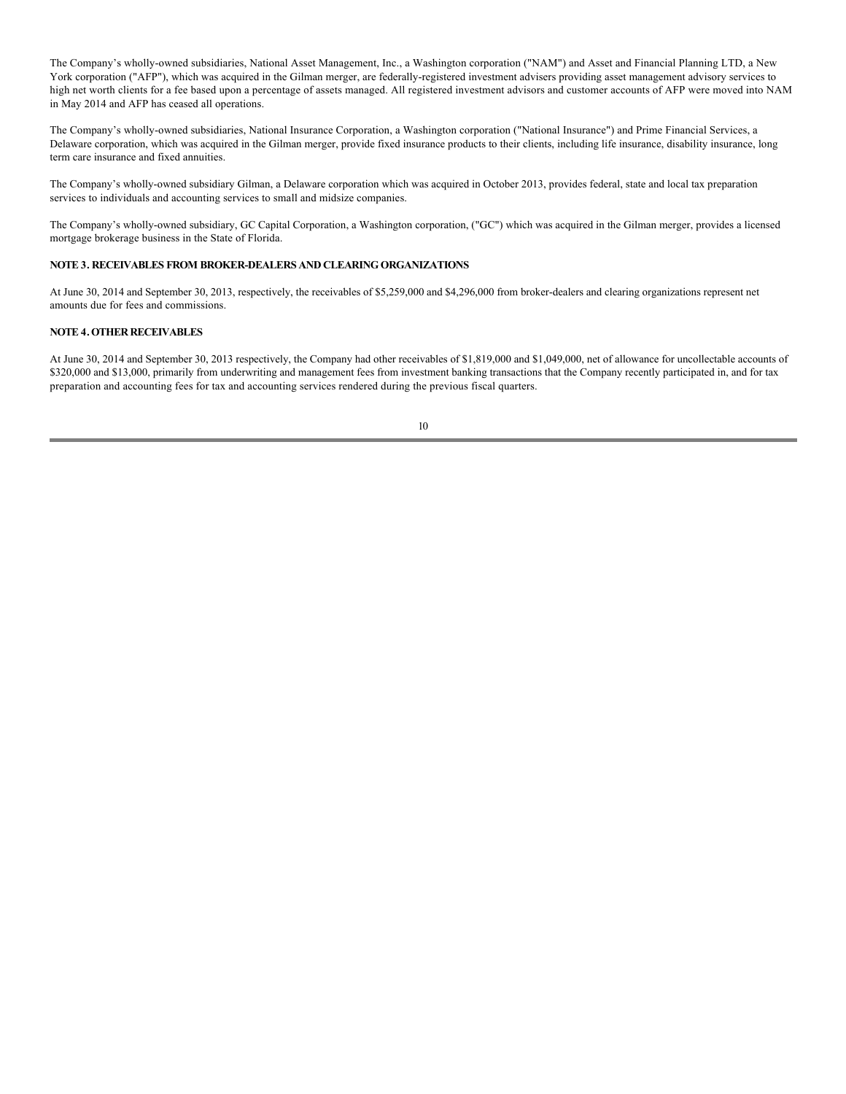The Company's wholly-owned subsidiaries, National Asset Management, Inc., a Washington corporation ("NAM") and Asset and Financial Planning LTD, a New York corporation ("AFP"), which was acquired in the Gilman merger, are federally-registered investment advisers providing asset management advisory services to high net worth clients for a fee based upon a percentage of assets managed. All registered investment advisors and customer accounts of AFP were moved into NAM in May 2014 and AFP has ceased all operations.

The Company's wholly-owned subsidiaries, National Insurance Corporation, a Washington corporation ("National Insurance") and Prime Financial Services, a Delaware corporation, which was acquired in the Gilman merger, provide fixed insurance products to their clients, including life insurance, disability insurance, long term care insurance and fixed annuities.

The Company's wholly-owned subsidiary Gilman, a Delaware corporation which was acquired in October 2013, provides federal, state and local tax preparation services to individuals and accounting services to small and midsize companies.

The Company's wholly-owned subsidiary, GC Capital Corporation, a Washington corporation, ("GC") which was acquired in the Gilman merger, provides a licensed mortgage brokerage business in the State of Florida.

## **NOTE 3. RECEIVABLES FROM BROKER-DEALERS AND CLEARING ORGANIZATIONS**

At June 30, 2014 and September 30, 2013, respectively, the receivables of \$5,259,000 and \$4,296,000 from broker-dealers and clearing organizations represent net amounts due for fees and commissions.

## **NOTE 4. OTHER RECEIVABLES**

At June 30, 2014 and September 30, 2013 respectively, the Company had other receivables of \$1,819,000 and \$1,049,000, net of allowance for uncollectable accounts of \$320,000 and \$13,000, primarily from underwriting and management fees from investment banking transactions that the Company recently participated in, and for tax preparation and accounting fees for tax and accounting services rendered during the previous fiscal quarters.

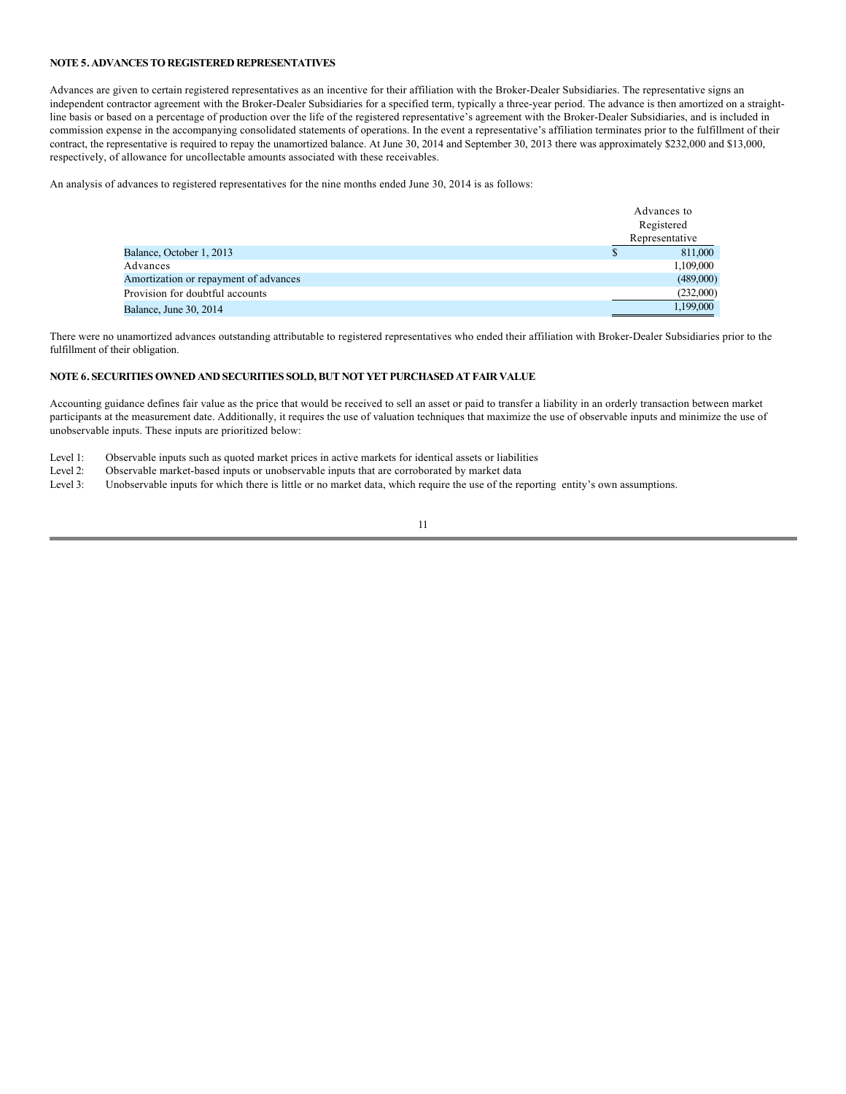## **NOTE 5. ADVANCES TO REGISTERED REPRESENTATIVES**

Advances are given to certain registered representatives as an incentive for their affiliation with the Broker-Dealer Subsidiaries. The representative signs an independent contractor agreement with the Broker-Dealer Subsidiaries for a specified term, typically a three-year period. The advance is then amortized on a straightline basis or based on a percentage of production over the life of the registered representative's agreement with the Broker-Dealer Subsidiaries, and is included in commission expense in the accompanying consolidated statements of operations. In the event a representative's affiliation terminates prior to the fulfillment of their contract, the representative is required to repay the unamortized balance. At June 30, 2014 and September 30, 2013 there was approximately \$232,000 and \$13,000, respectively, of allowance for uncollectable amounts associated with these receivables.

An analysis of advances to registered representatives for the nine months ended June 30, 2014 is as follows:

|                                       | Advances to    |  |
|---------------------------------------|----------------|--|
|                                       | Registered     |  |
|                                       | Representative |  |
| Balance, October 1, 2013              | 811,000        |  |
| Advances                              | 1,109,000      |  |
| Amortization or repayment of advances | (489,000)      |  |
| Provision for doubtful accounts       | (232,000)      |  |
| Balance, June 30, 2014                | 1,199,000      |  |

There were no unamortized advances outstanding attributable to registered representatives who ended their affiliation with Broker-Dealer Subsidiaries prior to the fulfillment of their obligation.

## **NOTE 6. SECURITIES OWNED AND SECURITIES SOLD, BUT NOT YET PURCHASED AT FAIR VALUE**

Accounting guidance defines fair value as the price that would be received to sell an asset or paid to transfer a liability in an orderly transaction between market participants at the measurement date. Additionally, it requires the use of valuation techniques that maximize the use of observable inputs and minimize the use of unobservable inputs. These inputs are prioritized below:

- Level 1: Observable inputs such as quoted market prices in active markets for identical assets or liabilities Level 2: Observable market-based inputs or unobservable inputs that are corroborated by market data
- Observable market-based inputs or unobservable inputs that are corroborated by market data
- Level 3: Unobservable inputs for which there is little or no market data, which require the use of the reporting entity's own assumptions.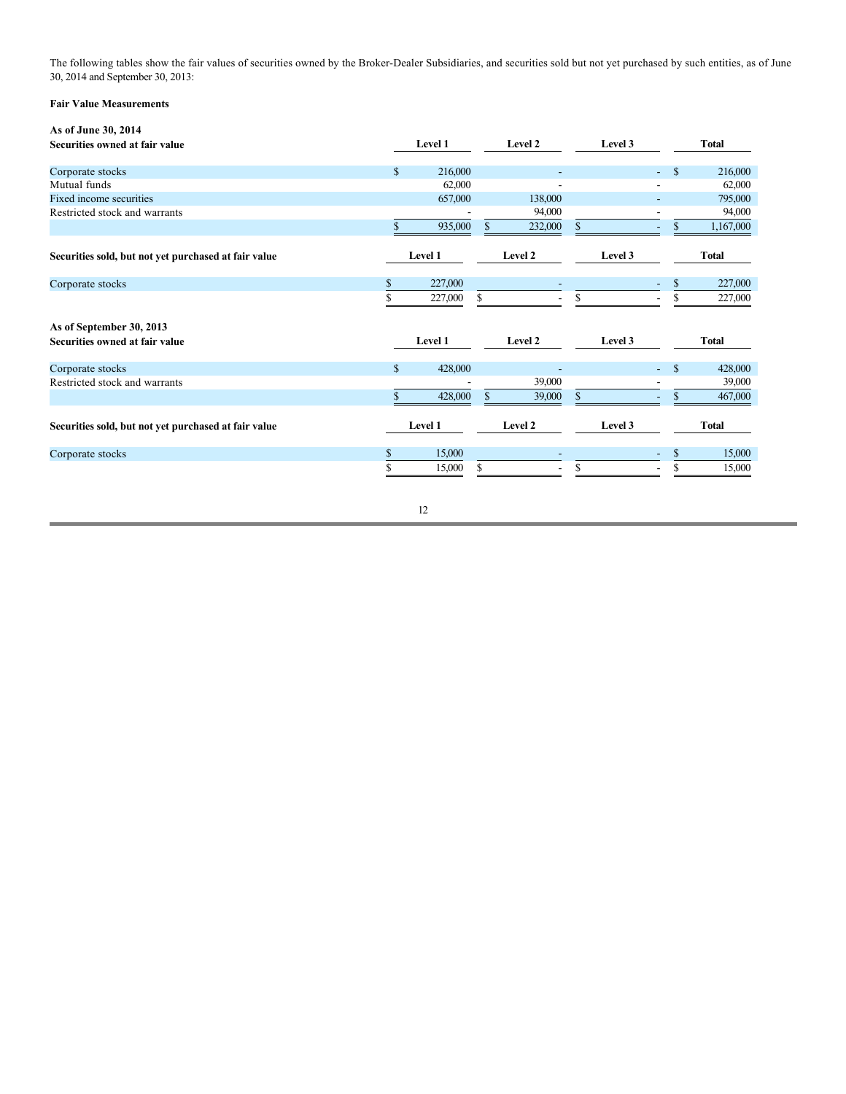The following tables show the fair values of securities owned by the Broker-Dealer Subsidiaries, and securities sold but not yet purchased by such entities, as of June 30, 2014 and September 30, 2013:

## **Fair Value Measurements**

## **As of June 30, 2014**

| Securities owned at fair value                       | <b>Level 1</b> | Level 2                        | Level 3      | <b>Total</b>                 |
|------------------------------------------------------|----------------|--------------------------------|--------------|------------------------------|
| Corporate stocks                                     | \$<br>216,000  |                                |              | $\mathbf{s}$<br>216,000<br>÷ |
| Mutual funds                                         | 62,000         |                                |              | 62,000                       |
| Fixed income securities                              | 657,000        | 138,000                        |              | 795,000                      |
| Restricted stock and warrants                        |                | 94,000                         |              | 94,000                       |
|                                                      | 935,000<br>\$  | <sup>\$</sup><br>232,000       | $\mathbb{S}$ | 1,167,000<br>\$              |
| Securities sold, but not yet purchased at fair value | <b>Level 1</b> | Level 2                        | Level 3      | <b>Total</b>                 |
| Corporate stocks                                     | 227,000<br>\$  |                                |              | 227,000<br>S<br>٠            |
|                                                      | 227,000<br>\$  | S.                             | S            | 227,000                      |
| As of September 30, 2013                             |                |                                |              |                              |
| Securities owned at fair value                       | Level 1        | Level 2                        | Level 3      | <b>Total</b>                 |
| Corporate stocks                                     | \$<br>428,000  |                                |              | 428,000<br>\$.<br>٠          |
| Restricted stock and warrants                        |                | 39,000                         |              | 39,000                       |
|                                                      | 428,000        | 39,000                         | \$           | 467,000                      |
| Securities sold, but not yet purchased at fair value | <b>Level 1</b> | Level 2                        | Level 3      | <b>Total</b>                 |
| Corporate stocks                                     | \$<br>15,000   | $\overline{\phantom{a}}$       |              | 15,000<br><sup>\$</sup><br>٠ |
|                                                      | 15,000         | S.<br>$\overline{\phantom{a}}$ | \$           | 15,000<br>S                  |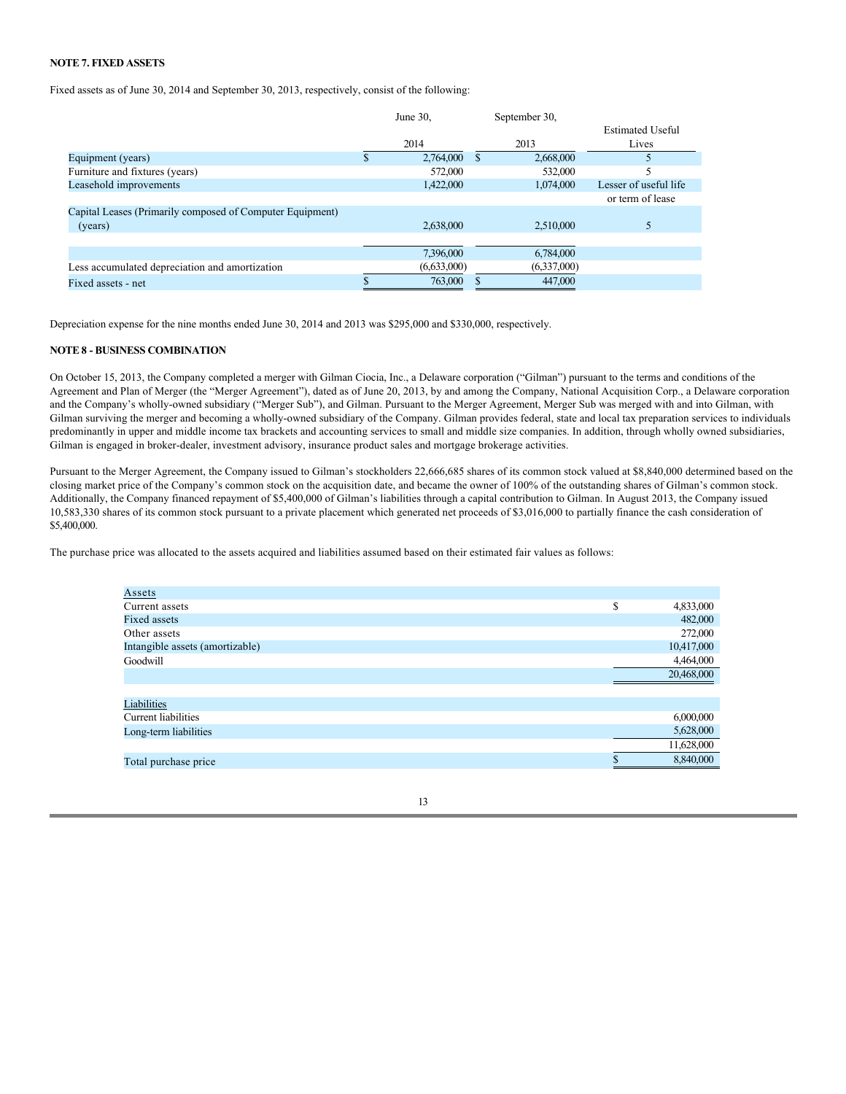## **NOTE 7. FIXED ASSETS**

Fixed assets as of June 30, 2014 and September 30, 2013, respectively, consist of the following:

|                                                           | June 30. |             |   | September 30, |                       |  |  |      |                                  |
|-----------------------------------------------------------|----------|-------------|---|---------------|-----------------------|--|--|------|----------------------------------|
|                                                           | 2014     |             |   |               |                       |  |  | 2013 | <b>Estimated Useful</b><br>Lives |
| Equipment (years)                                         |          | 2,764,000   | S | 2,668,000     |                       |  |  |      |                                  |
| Furniture and fixtures (years)                            |          | 572,000     |   | 532,000       | 5                     |  |  |      |                                  |
| Leasehold improvements                                    |          | 1,422,000   |   | 1,074,000     | Lesser of useful life |  |  |      |                                  |
|                                                           |          |             |   |               | or term of lease      |  |  |      |                                  |
| Capital Leases (Primarily composed of Computer Equipment) |          |             |   |               |                       |  |  |      |                                  |
| (years)                                                   |          | 2,638,000   |   | 2,510,000     |                       |  |  |      |                                  |
|                                                           |          |             |   |               |                       |  |  |      |                                  |
|                                                           |          | 7,396,000   |   | 6,784,000     |                       |  |  |      |                                  |
| Less accumulated depreciation and amortization            |          | (6,633,000) |   | (6,337,000)   |                       |  |  |      |                                  |
| Fixed assets - net                                        |          | 763,000     |   | 447,000       |                       |  |  |      |                                  |

Depreciation expense for the nine months ended June 30, 2014 and 2013 was \$295,000 and \$330,000, respectively.

## **NOTE 8 BUSINESS COMBINATION**

On October 15, 2013, the Company completed a merger with Gilman Ciocia, Inc., a Delaware corporation ("Gilman") pursuant to the terms and conditions of the Agreement and Plan of Merger (the "Merger Agreement"), dated as of June 20, 2013, by and among the Company, National Acquisition Corp., a Delaware corporation and the Company's wholly-owned subsidiary ("Merger Sub"), and Gilman. Pursuant to the Merger Agreement, Merger Sub was merged with and into Gilman, with Gilman surviving the merger and becoming a wholly-owned subsidiary of the Company. Gilman provides federal, state and local tax preparation services to individuals predominantly in upper and middle income tax brackets and accounting services to small and middle size companies. In addition, through wholly owned subsidiaries, Gilman is engaged in brokerdealer, investment advisory, insurance product sales and mortgage brokerage activities.

Pursuant to the Merger Agreement, the Company issued to Gilman's stockholders 22,666,685 shares of its common stock valued at \$8,840,000 determined based on the closing market price of the Company's common stock on the acquisition date, and became the owner of 100% of the outstanding shares of Gilman's common stock. Additionally, the Company financed repayment of \$5,400,000 of Gilman's liabilities through a capital contribution to Gilman. In August 2013, the Company issued 10,583,330 shares of its common stock pursuant to a private placement which generated net proceeds of \$3,016,000 to partially finance the cash consideration of \$5,400,000.

The purchase price was allocated to the assets acquired and liabilities assumed based on their estimated fair values as follows:

| Assets                          |                 |
|---------------------------------|-----------------|
| Current assets                  | \$<br>4,833,000 |
| <b>Fixed assets</b>             | 482,000         |
| Other assets                    | 272,000         |
| Intangible assets (amortizable) | 10,417,000      |
| Goodwill                        | 4,464,000       |
|                                 | 20,468,000      |
|                                 |                 |
| Liabilities                     |                 |
| <b>Current liabilities</b>      | 6,000,000       |
| Long-term liabilities           | 5,628,000       |
|                                 | 11,628,000      |
| Total purchase price            | 8,840,000       |
|                                 |                 |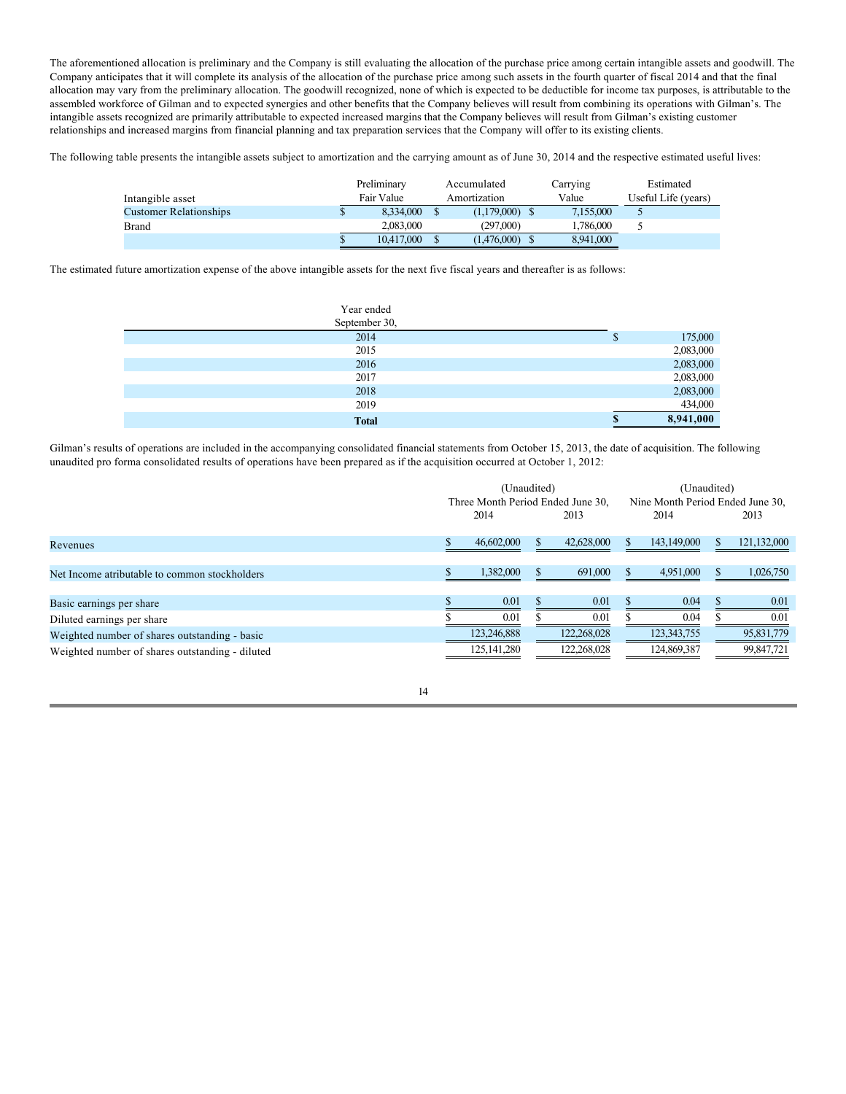The aforementioned allocation is preliminary and the Company is still evaluating the allocation of the purchase price among certain intangible assets and goodwill. The Company anticipates that it will complete its analysis of the allocation of the purchase price among such assets in the fourth quarter of fiscal 2014 and that the final allocation may vary from the preliminary allocation. The goodwill recognized, none of which is expected to be deductible for income tax purposes, is attributable to the assembled workforce of Gilman and to expected synergies and other benefits that the Company believes will result from combining its operations with Gilman's. The intangible assets recognized are primarily attributable to expected increased margins that the Company believes will result from Gilman's existing customer relationships and increased margins from financial planning and tax preparation services that the Company will offer to its existing clients.

The following table presents the intangible assets subject to amortization and the carrying amount as of June 30, 2014 and the respective estimated useful lives:

| Intangible asset              | Preliminary<br>Fair Value |  | Accumulated<br>Amortization |  | Carrying<br>Value | Estimated<br>Useful Life (years) |
|-------------------------------|---------------------------|--|-----------------------------|--|-------------------|----------------------------------|
| <b>Customer Relationships</b> | 8.334,000                 |  | $(1,179,000)$ \$            |  | 7.155,000         |                                  |
| Brand                         | 2.083,000                 |  | (297.000)                   |  | 1,786,000         |                                  |
|                               | 10.417.000                |  | (1.476.000)                 |  | 8,941,000         |                                  |

The estimated future amortization expense of the above intangible assets for the next five fiscal years and thereafter is as follows:

| Year ended<br>September 30, |   |           |
|-----------------------------|---|-----------|
| 2014                        | Φ | 175,000   |
| 2015                        |   | 2,083,000 |
| 2016                        |   | 2,083,000 |
| 2017                        |   | 2,083,000 |
| 2018                        |   | 2,083,000 |
| 2019                        |   | 434,000   |
| <b>Total</b>                |   | 8,941,000 |

Gilman's results of operations are included in the accompanying consolidated financial statements from October 15, 2013, the date of acquisition. The following unaudited pro forma consolidated results of operations have been prepared as if the acquisition occurred at October 1, 2012:

|                                                 | (Unaudited)                       |             |  |             |  | (Unaudited)                      |  |             |  |
|-------------------------------------------------|-----------------------------------|-------------|--|-------------|--|----------------------------------|--|-------------|--|
|                                                 | Three Month Period Ended June 30, |             |  |             |  | Nine Month Period Ended June 30, |  |             |  |
|                                                 |                                   | 2014        |  | 2013        |  | 2014                             |  | 2013        |  |
| Revenues                                        |                                   | 46,602,000  |  | 42,628,000  |  | 143,149,000                      |  | 121,132,000 |  |
| Net Income atributable to common stockholders   |                                   | 1,382,000   |  | 691,000     |  | 4,951,000                        |  | 1,026,750   |  |
| Basic earnings per share                        |                                   | 0.01        |  | 0.01        |  | 0.04                             |  | 0.01        |  |
| Diluted earnings per share                      |                                   | 0.01        |  | 0.01        |  | 0.04                             |  | 0.01        |  |
| Weighted number of shares outstanding - basic   |                                   | 123.246.888 |  | 122.268.028 |  | 123,343,755                      |  | 95,831,779  |  |
| Weighted number of shares outstanding - diluted |                                   | 125.141.280 |  | 122.268.028 |  | 124.869.387                      |  | 99,847,721  |  |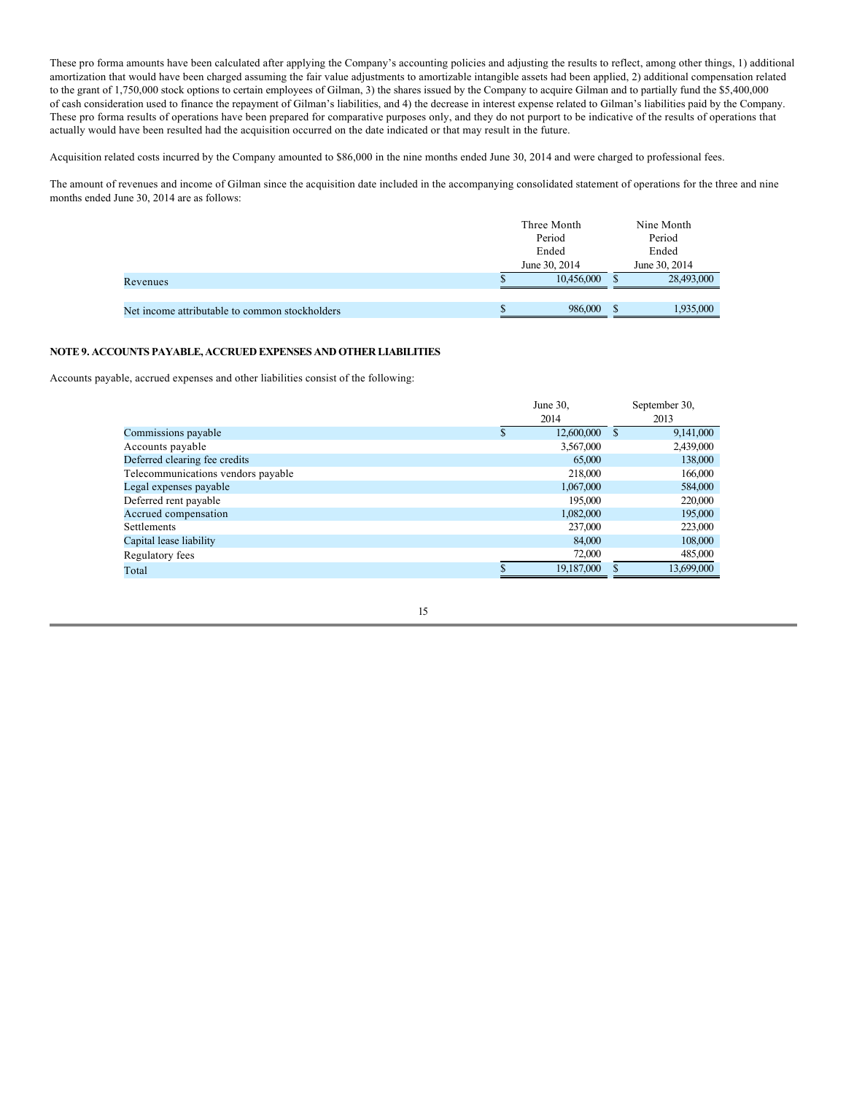These pro forma amounts have been calculated after applying the Company's accounting policies and adjusting the results to reflect, among other things, 1) additional amortization that would have been charged assuming the fair value adjustments to amortizable intangible assets had been applied, 2) additional compensation related to the grant of 1,750,000 stock options to certain employees of Gilman, 3) the shares issued by the Company to acquire Gilman and to partially fund the \$5,400,000 of cash consideration used to finance the repayment of Gilman's liabilities, and 4) the decrease in interest expense related to Gilman's liabilities paid by the Company. These pro forma results of operations have been prepared for comparative purposes only, and they do not purport to be indicative of the results of operations that actually would have been resulted had the acquisition occurred on the date indicated or that may result in the future.

Acquisition related costs incurred by the Company amounted to \$86,000 in the nine months ended June 30, 2014 and were charged to professional fees.

The amount of revenues and income of Gilman since the acquisition date included in the accompanying consolidated statement of operations for the three and nine months ended June 30, 2014 are as follows:

|                                                |                        | Three Month |  | Nine Month    |
|------------------------------------------------|------------------------|-------------|--|---------------|
|                                                |                        | Period      |  | Period        |
|                                                | Ended<br>June 30, 2014 |             |  | Ended         |
|                                                |                        |             |  | June 30, 2014 |
| Revenues                                       |                        | 10,456,000  |  | 28,493,000    |
|                                                |                        |             |  |               |
| Net income attributable to common stockholders |                        | 986,000     |  | 1,935,000     |

## **NOTE 9. ACCOUNTS PAYABLE, ACCRUED EXPENSES AND OTHER LIABILITIES**

Accounts payable, accrued expenses and other liabilities consist of the following:

|                                    | June 30.   | September 30, |
|------------------------------------|------------|---------------|
|                                    | 2014       | 2013          |
| Commissions payable                | 12,600,000 | 9,141,000     |
| Accounts payable                   | 3,567,000  | 2,439,000     |
| Deferred clearing fee credits      | 65,000     | 138,000       |
| Telecommunications vendors payable | 218,000    | 166,000       |
| Legal expenses payable             | 1,067,000  | 584,000       |
| Deferred rent payable              | 195,000    | 220,000       |
| Accrued compensation               | 1,082,000  | 195,000       |
| Settlements                        | 237,000    | 223,000       |
| Capital lease liability            | 84,000     | 108,000       |
| Regulatory fees                    | 72,000     | 485,000       |
| Total                              | 19,187,000 | 13,699,000    |
|                                    |            |               |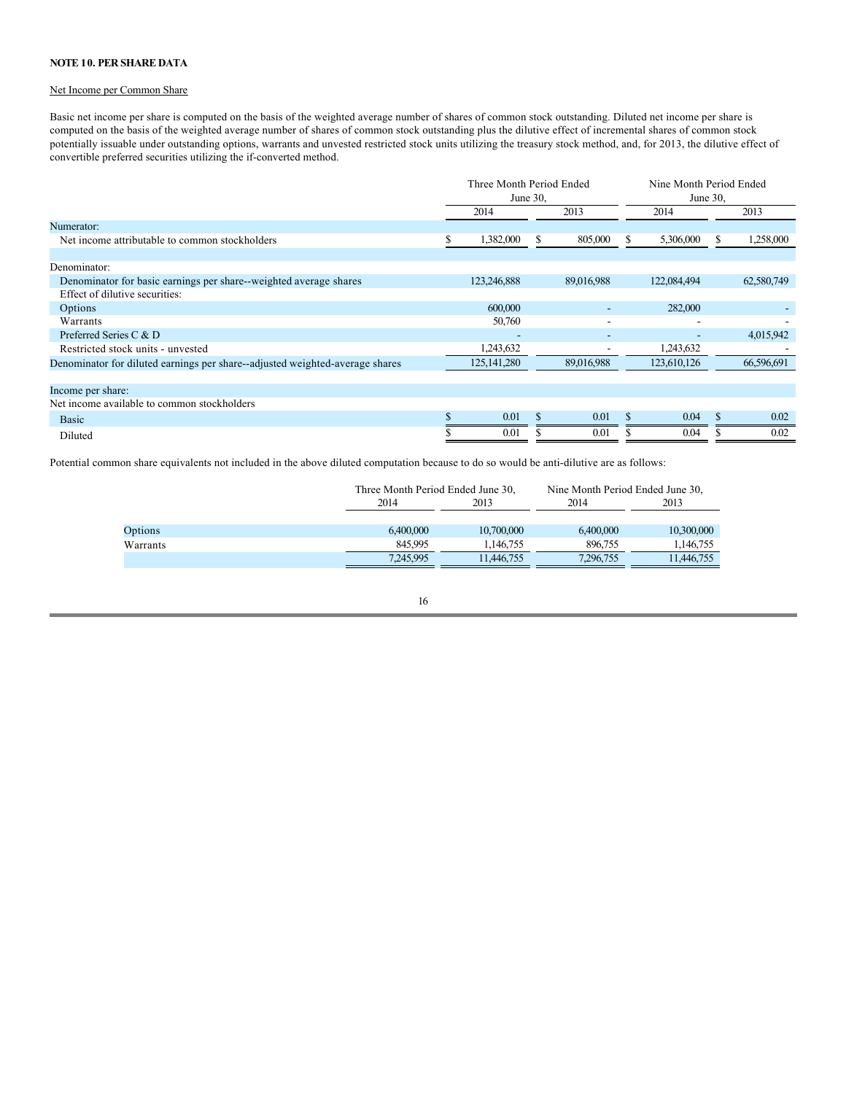## **NOTE 10. PER SHARE DATA**

## Net Income per Common Share

Basic net income per share is computed on the basis of the weighted average number of shares of common stock outstanding. Diluted net income per share is computed on the basis of the weighted average number of shares of common stock outstanding plus the dilutive effect of incremental shares of common stock potentially issuable under outstanding options, warrants and unvested restricted stock units utilizing the treasury stock method, and, for 2013, the dilutive effect of convertible preferred securities utilizing the if-converted method.

|                                                                              | Three Month Period Ended<br>June $30$ . |               |   |            | Nine Month Period Ended<br>June 30, |   |            |
|------------------------------------------------------------------------------|-----------------------------------------|---------------|---|------------|-------------------------------------|---|------------|
|                                                                              |                                         | 2014          |   | 2013       | 2014                                |   | 2013       |
| Numerator:                                                                   |                                         |               |   |            |                                     |   |            |
| Net income attributable to common stockholders                               |                                         | 1,382,000     | У | 805,000    | 5,306,000                           |   | 1,258,000  |
|                                                                              |                                         |               |   |            |                                     |   |            |
| Denominator:                                                                 |                                         |               |   |            |                                     |   |            |
| Denominator for basic earnings per share--weighted average shares            |                                         | 123,246,888   |   | 89,016,988 | 122,084,494                         |   | 62,580,749 |
| Effect of dilutive securities:                                               |                                         |               |   |            |                                     |   |            |
| Options                                                                      |                                         | 600,000       |   |            | 282,000                             |   |            |
| Warrants                                                                     |                                         | 50,760        |   |            |                                     |   |            |
| Preferred Series C & D                                                       |                                         |               |   | -          |                                     |   | 4,015,942  |
| Restricted stock units - unvested                                            |                                         | 1,243,632     |   | ۰          | 1,243,632                           |   |            |
| Denominator for diluted earnings per share--adjusted weighted-average shares |                                         | 125, 141, 280 |   | 89,016,988 | 123,610,126                         |   | 66,596,691 |
|                                                                              |                                         |               |   |            |                                     |   |            |
| Income per share:                                                            |                                         |               |   |            |                                     |   |            |
| Net income available to common stockholders                                  |                                         |               |   |            |                                     |   |            |
| Basic                                                                        |                                         | 0.01          | ъ | 0.01       | 0.04                                | ж | 0.02       |
| Diluted                                                                      |                                         | 0.01          |   | 0.01       | 0.04                                |   | 0.02       |

Potential common share equivalents not included in the above diluted computation because to do so would be anti-dilutive are as follows:

|          | Three Month Period Ended June 30, |            | Nine Month Period Ended June 30, |            |  |  |
|----------|-----------------------------------|------------|----------------------------------|------------|--|--|
|          | 2014                              | 2013       | 2014                             | 2013       |  |  |
|          |                                   |            |                                  |            |  |  |
| Options  | 6,400,000                         | 10,700,000 | 6,400,000                        | 10,300,000 |  |  |
| Warrants | 845.995                           | 1.146.755  | 896.755                          | 1,146,755  |  |  |
|          | 7,245,995                         | 11,446,755 | 7,296,755                        | 11,446,755 |  |  |

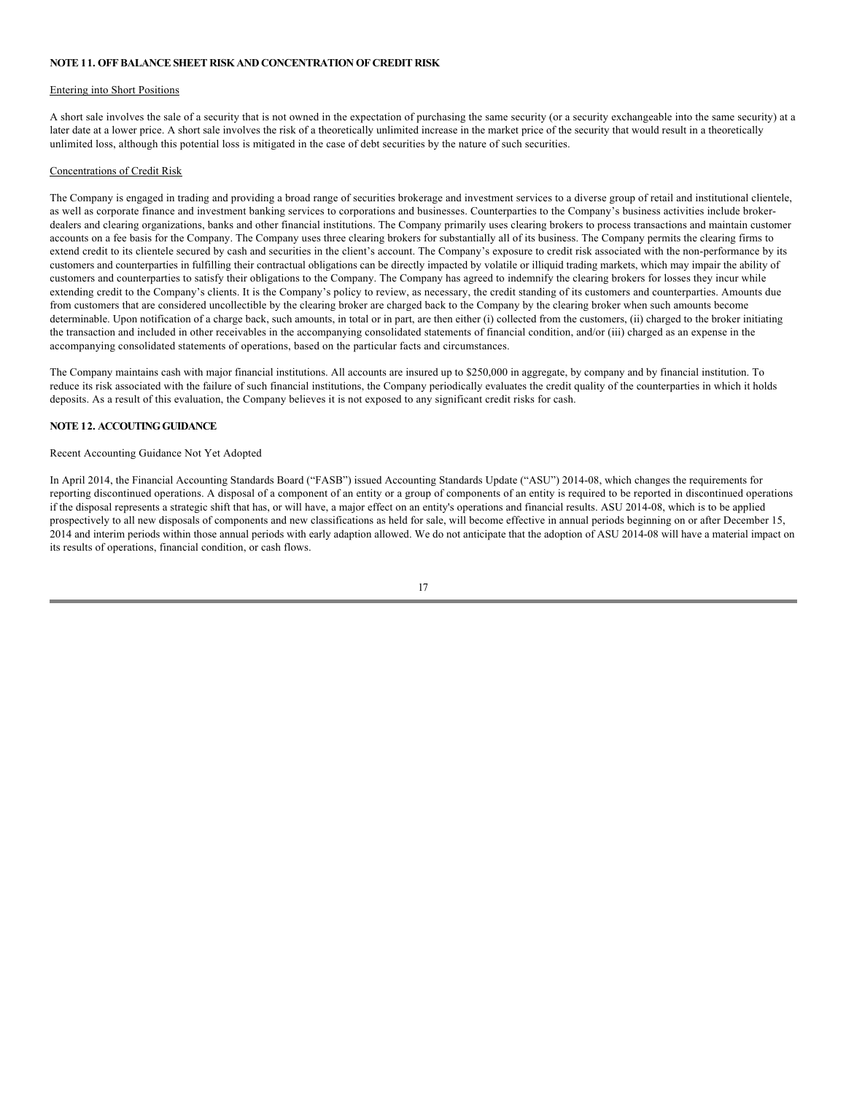## **NOTE 11. OFF BALANCE SHEET RISK AND CONCENTRATION OF CREDIT RISK**

#### Entering into Short Positions

A short sale involves the sale of a security that is not owned in the expectation of purchasing the same security (or a security exchangeable into the same security) at a later date at a lower price. A short sale involves the risk of a theoretically unlimited increase in the market price of the security that would result in a theoretically unlimited loss, although this potential loss is mitigated in the case of debt securities by the nature of such securities.

#### Concentrations of Credit Risk

The Company is engaged in trading and providing a broad range of securities brokerage and investment services to a diverse group of retail and institutional clientele, as well as corporate finance and investment banking services to corporations and businesses. Counterparties to the Company's business activities include brokerdealers and clearing organizations, banks and other financial institutions. The Company primarily uses clearing brokers to process transactions and maintain customer accounts on a fee basis for the Company. The Company uses three clearing brokers for substantially all of its business. The Company permits the clearing firms to extend credit to its clientele secured by cash and securities in the client's account. The Company's exposure to credit risk associated with the non-performance by its customers and counterparties in fulfilling their contractual obligations can be directly impacted by volatile or illiquid trading markets, which may impair the ability of customers and counterparties to satisfy their obligations to the Company. The Company has agreed to indemnify the clearing brokers for losses they incur while extending credit to the Company's clients. It is the Company's policy to review, as necessary, the credit standing of its customers and counterparties. Amounts due from customers that are considered uncollectible by the clearing broker are charged back to the Company by the clearing broker when such amounts become determinable. Upon notification of a charge back, such amounts, in total or in part, are then either (i) collected from the customers, (ii) charged to the broker initiating the transaction and included in other receivables in the accompanying consolidated statements of financial condition, and/or (iii) charged as an expense in the accompanying consolidated statements of operations, based on the particular facts and circumstances.

The Company maintains cash with major financial institutions. All accounts are insured up to \$250,000 in aggregate, by company and by financial institution. To reduce its risk associated with the failure of such financial institutions, the Company periodically evaluates the credit quality of the counterparties in which it holds deposits. As a result of this evaluation, the Company believes it is not exposed to any significant credit risks for cash.

#### **NOTE 12. ACCOUTING GUIDANCE**

#### Recent Accounting Guidance Not Yet Adopted

In April 2014, the Financial Accounting Standards Board ("FASB") issued Accounting Standards Update ("ASU") 2014-08, which changes the requirements for reporting discontinued operations. A disposal of a component of an entity or a group of components of an entity is required to be reported in discontinued operations if the disposal represents a strategic shift that has, or will have, a major effect on an entity's operations and financial results. ASU 201408, which is to be applied prospectively to all new disposals of components and new classifications as held for sale, will become effective in annual periods beginning on or after December 15, 2014 and interim periods within those annual periods with early adaption allowed. We do not anticipate that the adoption of ASU 2014-08 will have a material impact on its results of operations, financial condition, or cash flows.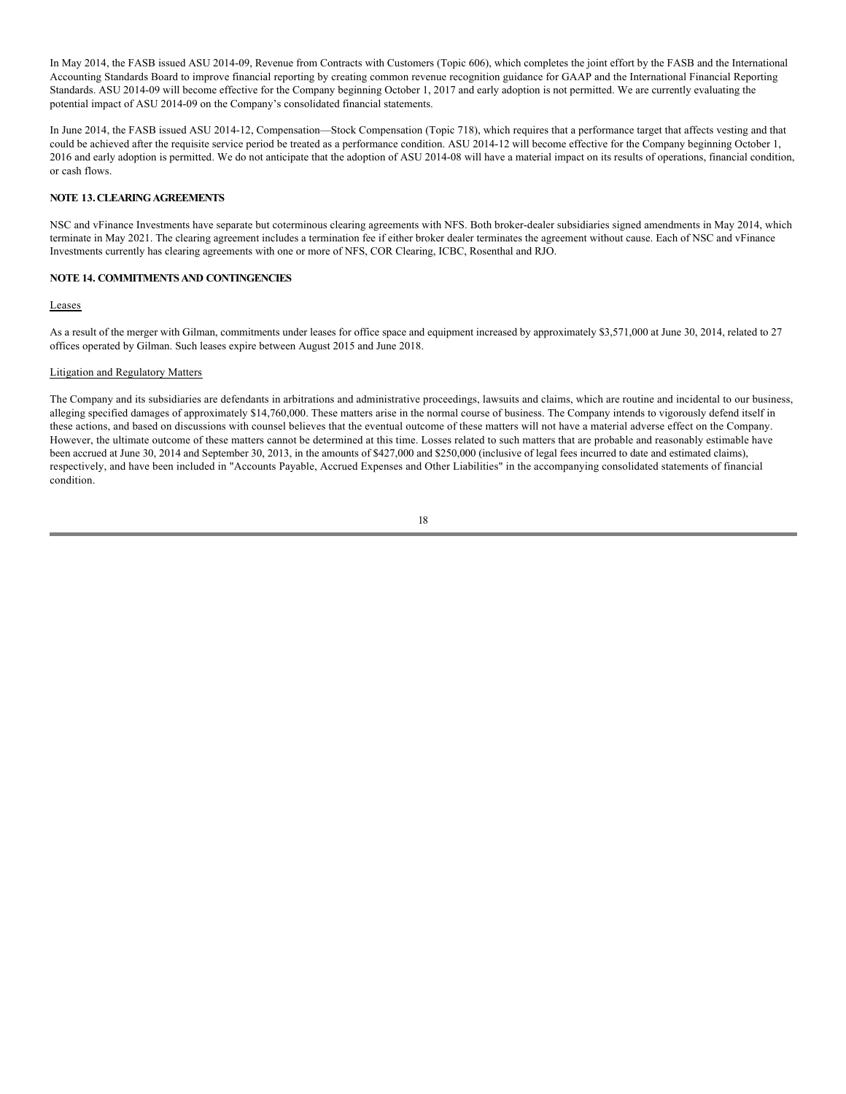In May 2014, the FASB issued ASU 2014-09, Revenue from Contracts with Customers (Topic 606), which completes the joint effort by the FASB and the International Accounting Standards Board to improve financial reporting by creating common revenue recognition guidance for GAAP and the International Financial Reporting Standards. ASU 2014-09 will become effective for the Company beginning October 1, 2017 and early adoption is not permitted. We are currently evaluating the potential impact of ASU 2014-09 on the Company's consolidated financial statements.

In June 2014, the FASB issued ASU 201412, Compensation—Stock Compensation (Topic 718), which requires that a performance target that affects vesting and that could be achieved after the requisite service period be treated as a performance condition. ASU 201412 will become effective for the Company beginning October 1, 2016 and early adoption is permitted. We do not anticipate that the adoption of ASU 201408 will have a material impact on its results of operations, financial condition, or cash flows.

## **NOTE 13. CLEARING AGREEMENTS**

NSC and vFinance Investments have separate but coterminous clearing agreements with NFS. Both broker-dealer subsidiaries signed amendments in May 2014, which terminate in May 2021. The clearing agreement includes a termination fee if either broker dealer terminates the agreement without cause. Each of NSC and vFinance Investments currently has clearing agreements with one or more of NFS, COR Clearing, ICBC, Rosenthal and RJO.

#### **NOTE 14. COMMITMENTS AND CONTINGENCIES**

#### Leases

As a result of the merger with Gilman, commitments under leases for office space and equipment increased by approximately \$3,571,000 at June 30, 2014, related to 27 offices operated by Gilman. Such leases expire between August 2015 and June 2018.

#### Litigation and Regulatory Matters

The Company and its subsidiaries are defendants in arbitrations and administrative proceedings, lawsuits and claims, which are routine and incidental to our business, alleging specified damages of approximately \$14,760,000. These matters arise in the normal course of business. The Company intends to vigorously defend itself in these actions, and based on discussions with counsel believes that the eventual outcome of these matters will not have a material adverse effect on the Company. However, the ultimate outcome of these matters cannot be determined at this time. Losses related to such matters that are probable and reasonably estimable have been accrued at June 30, 2014 and September 30, 2013, in the amounts of \$427,000 and \$250,000 (inclusive of legal fees incurred to date and estimated claims), respectively, and have been included in "Accounts Payable, Accrued Expenses and Other Liabilities" in the accompanying consolidated statements of financial condition.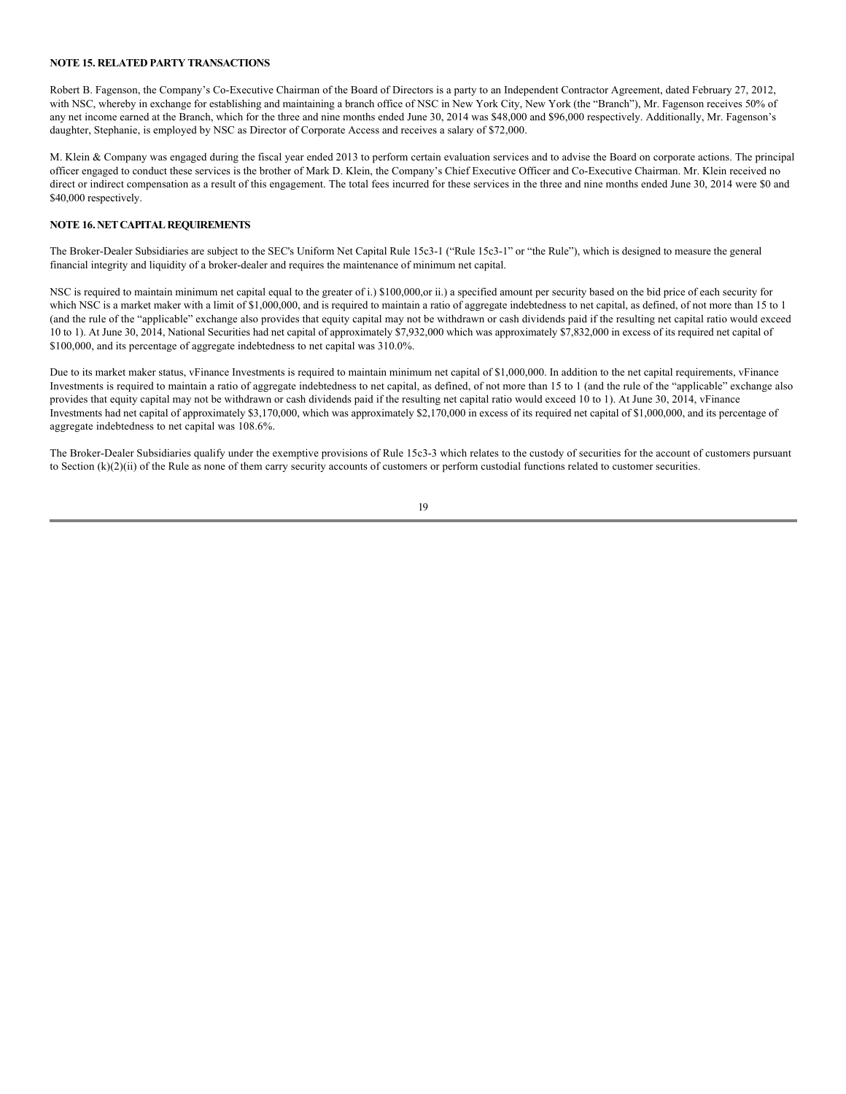## **NOTE 15. RELATED PARTY TRANSACTIONS**

Robert B. Fagenson, the Company's Co-Executive Chairman of the Board of Directors is a party to an Independent Contractor Agreement, dated February 27, 2012, with NSC, whereby in exchange for establishing and maintaining a branch office of NSC in New York City, New York (the "Branch"), Mr. Fagenson receives 50% of any net income earned at the Branch, which for the three and nine months ended June 30, 2014 was \$48,000 and \$96,000 respectively. Additionally, Mr. Fagenson's daughter, Stephanie, is employed by NSC as Director of Corporate Access and receives a salary of \$72,000.

M. Klein & Company was engaged during the fiscal year ended 2013 to perform certain evaluation services and to advise the Board on corporate actions. The principal officer engaged to conduct these services is the brother of Mark D. Klein, the Company's Chief Executive Officer and CoExecutive Chairman. Mr. Klein received no direct or indirect compensation as a result of this engagement. The total fees incurred for these services in the three and nine months ended June 30, 2014 were \$0 and \$40,000 respectively.

#### **NOTE 16. NET CAPITAL REQUIREMENTS**

The Broker-Dealer Subsidiaries are subject to the SEC's Uniform Net Capital Rule 15c3-1 ("Rule 15c3-1" or "the Rule"), which is designed to measure the general financial integrity and liquidity of a brokerdealer and requires the maintenance of minimum net capital.

NSC is required to maintain minimum net capital equal to the greater of i.) \$100,000,or ii.) a specified amount per security based on the bid price of each security for which NSC is a market maker with a limit of \$1,000,000, and is required to maintain a ratio of aggregate indebtedness to net capital, as defined, of not more than 15 to 1 (and the rule of the "applicable" exchange also provides that equity capital may not be withdrawn or cash dividends paid if the resulting net capital ratio would exceed 10 to 1). At June 30, 2014, National Securities had net capital of approximately \$7,932,000 which was approximately \$7,832,000 in excess of its required net capital of \$100,000, and its percentage of aggregate indebtedness to net capital was 310.0%.

Due to its market maker status, vFinance Investments is required to maintain minimum net capital of \$1,000,000. In addition to the net capital requirements, vFinance Investments is required to maintain a ratio of aggregate indebtedness to net capital, as defined, of not more than 15 to 1 (and the rule of the "applicable" exchange also provides that equity capital may not be withdrawn or cash dividends paid if the resulting net capital ratio would exceed 10 to 1). At June 30, 2014, vFinance Investments had net capital of approximately \$3,170,000, which was approximately \$2,170,000 in excess of its required net capital of \$1,000,000, and its percentage of aggregate indebtedness to net capital was 108.6%.

The Broker-Dealer Subsidiaries qualify under the exemptive provisions of Rule 15c3-3 which relates to the custody of securities for the account of customers pursuant to Section  $(k)(2)(ii)$  of the Rule as none of them carry security accounts of customers or perform custodial functions related to customer securities.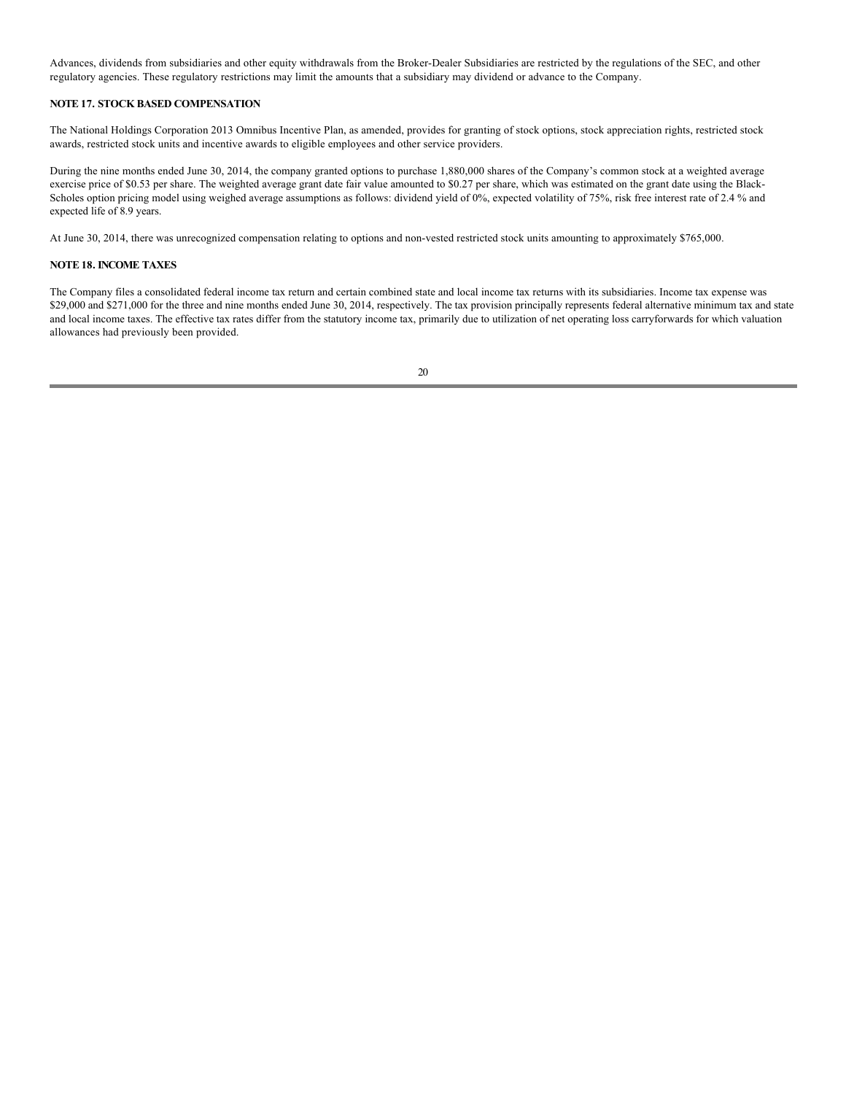Advances, dividends from subsidiaries and other equity withdrawals from the Broker-Dealer Subsidiaries are restricted by the regulations of the SEC, and other regulatory agencies. These regulatory restrictions may limit the amounts that a subsidiary may dividend or advance to the Company.

## **NOTE 17. STOCK BASED COMPENSATION**

The National Holdings Corporation 2013 Omnibus Incentive Plan, as amended, provides for granting of stock options, stock appreciation rights, restricted stock awards, restricted stock units and incentive awards to eligible employees and other service providers.

During the nine months ended June 30, 2014, the company granted options to purchase 1,880,000 shares of the Company's common stock at a weighted average exercise price of \$0.53 per share. The weighted average grant date fair value amounted to \$0.27 per share, which was estimated on the grant date using the Black-Scholes option pricing model using weighed average assumptions as follows: dividend yield of 0%, expected volatility of 75%, risk free interest rate of 2.4 % and expected life of 8.9 years.

At June 30, 2014, there was unrecognized compensation relating to options and non-vested restricted stock units amounting to approximately \$765,000.

## **NOTE 18. INCOME TAXES**

The Company files a consolidated federal income tax return and certain combined state and local income tax returns with its subsidiaries. Income tax expense was \$29,000 and \$271,000 for the three and nine months ended June 30, 2014, respectively. The tax provision principally represents federal alternative minimum tax and state and local income taxes. The effective tax rates differ from the statutory income tax, primarily due to utilization of net operating loss carryforwards for which valuation allowances had previously been provided.

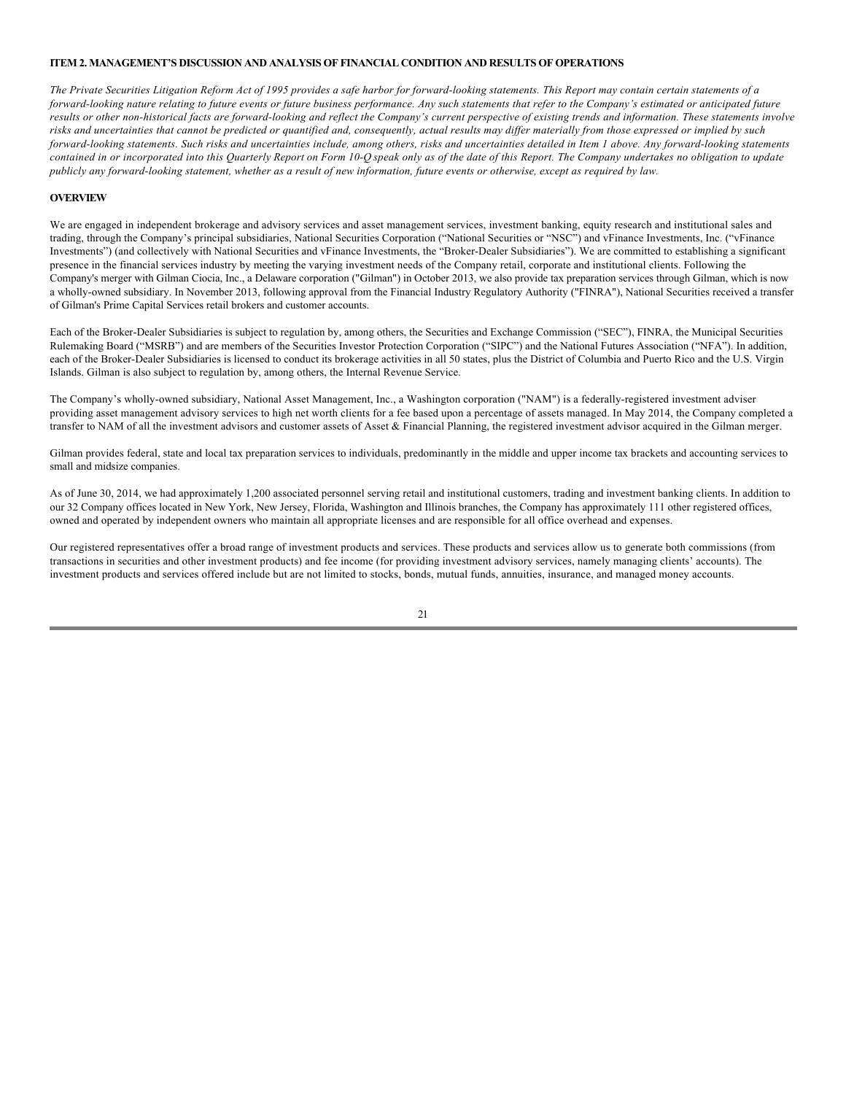## **ITEM 2. MANAGEMENT'S DISCUSSION AND ANALYSIS OF FINANCIAL CONDITION AND RESULTS OF OPERATIONS**

The Private Securities Litigation Reform Act of 1995 provides a safe harbor for forward-looking statements. This Report may contain certain statements of a *forwardlooking nature relating to future events or future business performance. Any such statements that refer to the Company's estimated or anticipated future* results or other non-historical facts are forward-looking and reflect the Company's current perspective of existing trends and information. These statements involve *risks and uncertainties that cannot be predicted or quantified and, consequently, actual results may differ materially from those expressed or implied by such* forward-looking statements. Such risks and uncertainties include, among others, risks and uncertainties detailed in Item 1 above. Any forward-looking statements *contained in or incorporated into this Quarterly Report on Form 10-O speak only as of the date of this Report. The Company undertakes no obligation to update publicly any forwardlooking statement, whether as a result of new information, future events or otherwise, except as required by law.*

#### **OVERVIEW**

We are engaged in independent brokerage and advisory services and asset management services, investment banking, equity research and institutional sales and trading, through the Company's principal subsidiaries, National Securities Corporation ("National Securities or "NSC") and vFinance Investments, Inc. ("vFinance Investments") (and collectively with National Securities and vFinance Investments, the "Broker-Dealer Subsidiaries"). We are committed to establishing a significant presence in the financial services industry by meeting the varying investment needs of the Company retail, corporate and institutional clients. Following the Company's merger with Gilman Ciocia, Inc., a Delaware corporation ("Gilman") in October 2013, we also provide tax preparation services through Gilman, which is now a wholly-owned subsidiary. In November 2013, following approval from the Financial Industry Regulatory Authority ("FINRA"), National Securities received a transfer of Gilman's Prime Capital Services retail brokers and customer accounts.

Each of the Broker-Dealer Subsidiaries is subject to regulation by, among others, the Securities and Exchange Commission ("SEC"), FINRA, the Municipal Securities Rulemaking Board ("MSRB") and are members of the Securities Investor Protection Corporation ("SIPC") and the National Futures Association ("NFA"). In addition, each of the Broker-Dealer Subsidiaries is licensed to conduct its brokerage activities in all 50 states, plus the District of Columbia and Puerto Rico and the U.S. Virgin Islands. Gilman is also subject to regulation by, among others, the Internal Revenue Service.

The Company's wholly-owned subsidiary, National Asset Management, Inc., a Washington corporation ("NAM") is a federally-registered investment adviser providing asset management advisory services to high net worth clients for a fee based upon a percentage of assets managed. In May 2014, the Company completed a transfer to NAM of all the investment advisors and customer assets of Asset & Financial Planning, the registered investment advisor acquired in the Gilman merger.

Gilman provides federal, state and local tax preparation services to individuals, predominantly in the middle and upper income tax brackets and accounting services to small and midsize companies.

As of June 30, 2014, we had approximately 1,200 associated personnel serving retail and institutional customers, trading and investment banking clients. In addition to our 32 Company offices located in New York, New Jersey, Florida, Washington and Illinois branches, the Company has approximately 111 other registered offices, owned and operated by independent owners who maintain all appropriate licenses and are responsible for all office overhead and expenses.

Our registered representatives offer a broad range of investment products and services. These products and services allow us to generate both commissions (from transactions in securities and other investment products) and fee income (for providing investment advisory services, namely managing clients' accounts). The investment products and services offered include but are not limited to stocks, bonds, mutual funds, annuities, insurance, and managed money accounts.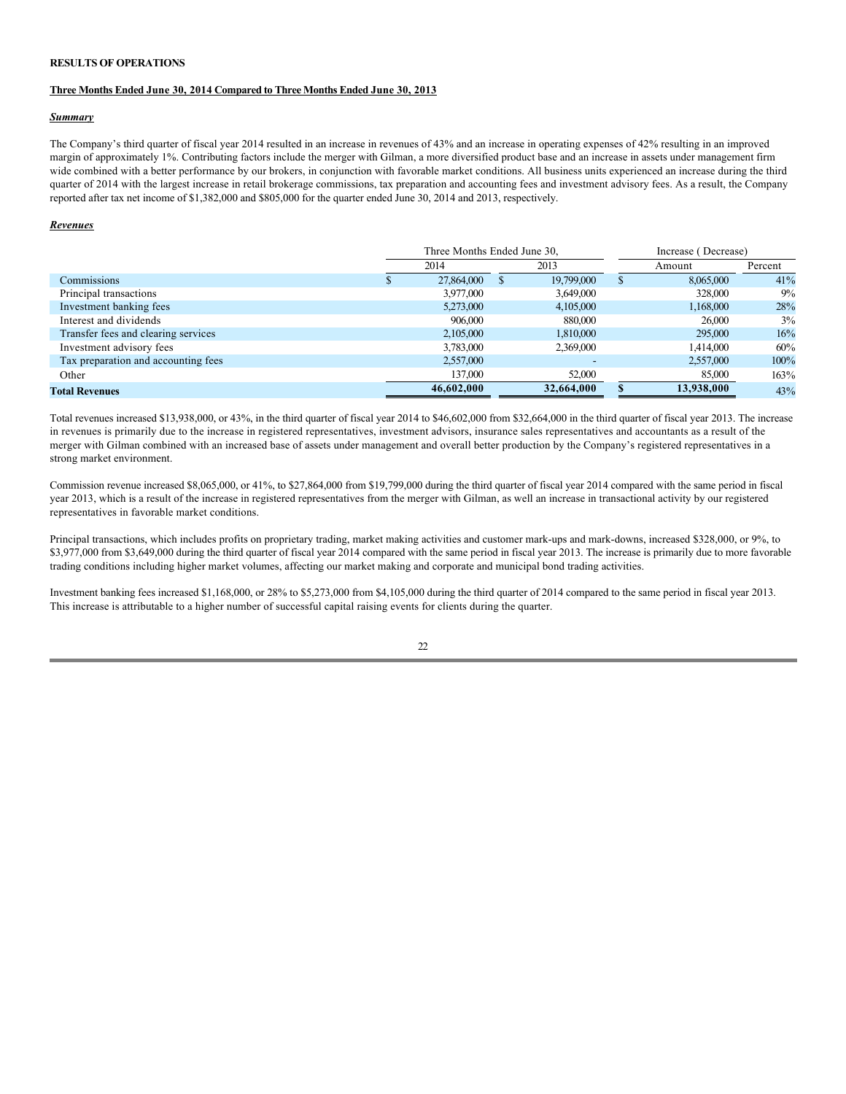## **RESULTS OF OPERATIONS**

#### **Three Months Ended June 30, 2014 Compared to Three Months Ended June 30, 2013**

#### *Summary*

The Company's third quarter of fiscal year 2014 resulted in an increase in revenues of 43% and an increase in operating expenses of 42% resulting in an improved margin of approximately 1%. Contributing factors include the merger with Gilman, a more diversified product base and an increase in assets under management firm wide combined with a better performance by our brokers, in conjunction with favorable market conditions. All business units experienced an increase during the third quarter of 2014 with the largest increase in retail brokerage commissions, tax preparation and accounting fees and investment advisory fees. As a result, the Company reported after tax net income of \$1,382,000 and \$805,000 for the quarter ended June 30, 2014 and 2013, respectively.

#### *Revenues*

|                                     |            | Three Months Ended June 30, | Increase (Decrease) |         |
|-------------------------------------|------------|-----------------------------|---------------------|---------|
|                                     | 2014       | 2013                        | Amount              | Percent |
| Commissions                         | 27,864,000 | 19,799,000                  | 8,065,000           | 41%     |
| Principal transactions              | 3,977,000  | 3,649,000                   | 328,000             | 9%      |
| Investment banking fees             | 5,273,000  | 4,105,000                   | 1,168,000           | 28%     |
| Interest and dividends              | 906,000    | 880,000                     | 26,000              | 3%      |
| Transfer fees and clearing services | 2.105,000  | 1,810,000                   | 295,000             | 16%     |
| Investment advisory fees            | 3,783,000  | 2,369,000                   | 1,414,000           | 60%     |
| Tax preparation and accounting fees | 2,557,000  | $\overline{\phantom{a}}$    | 2,557,000           | 100%    |
| Other                               | 137,000    | 52,000                      | 85,000              | 163%    |
| <b>Total Revenues</b>               | 46,602,000 | 32,664,000                  | 13,938,000          | 43%     |

Total revenues increased \$13,938,000, or 43%, in the third quarter of fiscal year 2014 to \$46,602,000 from \$32,664,000 in the third quarter of fiscal year 2013. The increase in revenues is primarily due to the increase in registered representatives, investment advisors, insurance sales representatives and accountants as a result of the merger with Gilman combined with an increased base of assets under management and overall better production by the Company's registered representatives in a strong market environment.

Commission revenue increased \$8,065,000, or 41%, to \$27,864,000 from \$19,799,000 during the third quarter of fiscal year 2014 compared with the same period in fiscal year 2013, which is a result of the increase in registered representatives from the merger with Gilman, as well an increase in transactional activity by our registered representatives in favorable market conditions.

Principal transactions, which includes profits on proprietary trading, market making activities and customer mark-ups and mark-downs, increased \$328,000, or 9%, to \$3,977,000 from \$3,649,000 during the third quarter of fiscal year 2014 compared with the same period in fiscal year 2013. The increase is primarily due to more favorable trading conditions including higher market volumes, affecting our market making and corporate and municipal bond trading activities.

Investment banking fees increased \$1,168,000, or 28% to \$5,273,000 from \$4,105,000 during the third quarter of 2014 compared to the same period in fiscal year 2013. This increase is attributable to a higher number of successful capital raising events for clients during the quarter.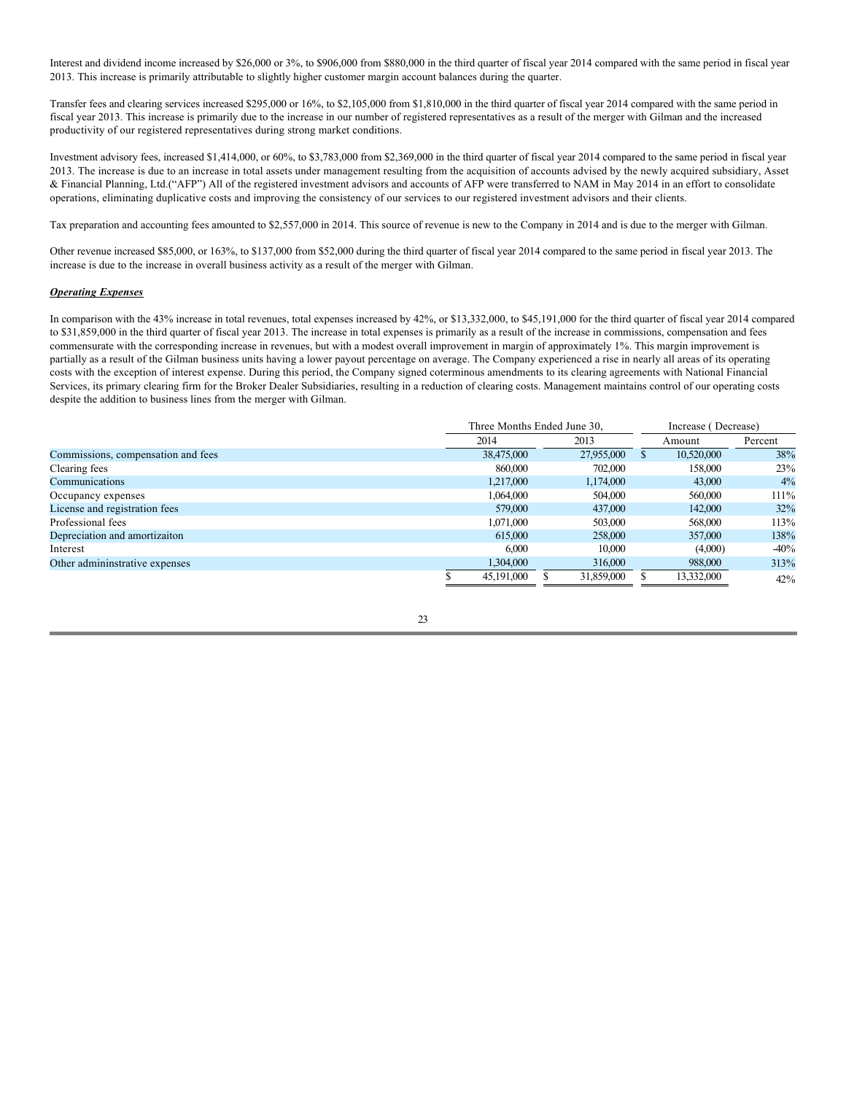Interest and dividend income increased by \$26,000 or 3%, to \$906,000 from \$880,000 in the third quarter of fiscal year 2014 compared with the same period in fiscal year 2013. This increase is primarily attributable to slightly higher customer margin account balances during the quarter.

Transfer fees and clearing services increased \$295,000 or 16%, to \$2,105,000 from \$1,810,000 in the third quarter of fiscal year 2014 compared with the same period in fiscal year 2013. This increase is primarily due to the increase in our number of registered representatives as a result of the merger with Gilman and the increased productivity of our registered representatives during strong market conditions.

Investment advisory fees, increased \$1,414,000, or 60%, to \$3,783,000 from \$2,369,000 in the third quarter of fiscal year 2014 compared to the same period in fiscal year 2013. The increase is due to an increase in total assets under management resulting from the acquisition of accounts advised by the newly acquired subsidiary, Asset & Financial Planning, Ltd.("AFP") All of the registered investment advisors and accounts of AFP were transferred to NAM in May 2014 in an effort to consolidate operations, eliminating duplicative costs and improving the consistency of our services to our registered investment advisors and their clients.

Tax preparation and accounting fees amounted to \$2,557,000 in 2014. This source of revenue is new to the Company in 2014 and is due to the merger with Gilman.

Other revenue increased \$85,000, or 163%, to \$137,000 from \$52,000 during the third quarter of fiscal year 2014 compared to the same period in fiscal year 2013. The increase is due to the increase in overall business activity as a result of the merger with Gilman.

## *Operating Expenses*

In comparison with the 43% increase in total revenues, total expenses increased by 42%, or \$13,332,000, to \$45,191,000 for the third quarter of fiscal year 2014 compared to \$31,859,000 in the third quarter of fiscal year 2013. The increase in total expenses is primarily as a result of the increase in commissions, compensation and fees commensurate with the corresponding increase in revenues, but with a modest overall improvement in margin of approximately 1%. This margin improvement is partially as a result of the Gilman business units having a lower payout percentage on average. The Company experienced a rise in nearly all areas of its operating costs with the exception of interest expense. During this period, the Company signed coterminous amendments to its clearing agreements with National Financial Services, its primary clearing firm for the Broker Dealer Subsidiaries, resulting in a reduction of clearing costs. Management maintains control of our operating costs despite the addition to business lines from the merger with Gilman.

|                                    |            | Three Months Ended June 30, |  |            | Increase (Decrease) |
|------------------------------------|------------|-----------------------------|--|------------|---------------------|
|                                    | 2014       | 2013                        |  | Amount     | Percent             |
| Commissions, compensation and fees | 38,475,000 | 27,955,000                  |  | 10,520,000 | 38%                 |
| Clearing fees                      | 860,000    | 702,000                     |  | 158,000    | 23%                 |
| Communications                     | 1,217,000  | 1,174,000                   |  | 43,000     | $4\%$               |
| Occupancy expenses                 | 1,064,000  | 504,000                     |  | 560,000    | $111\%$             |
| License and registration fees      | 579,000    | 437,000                     |  | 142,000    | 32%                 |
| Professional fees                  | 1,071,000  | 503,000                     |  | 568,000    | 113%                |
| Depreciation and amortizaiton      | 615,000    | 258,000                     |  | 357,000    | 138%                |
| Interest                           | 6,000      | 10.000                      |  | (4,000)    | $-40%$              |
| Other admininstrative expenses     | 1,304,000  | 316,000                     |  | 988,000    | 313%                |
|                                    | 45,191,000 | 31,859,000                  |  | 13,332,000 | 42%                 |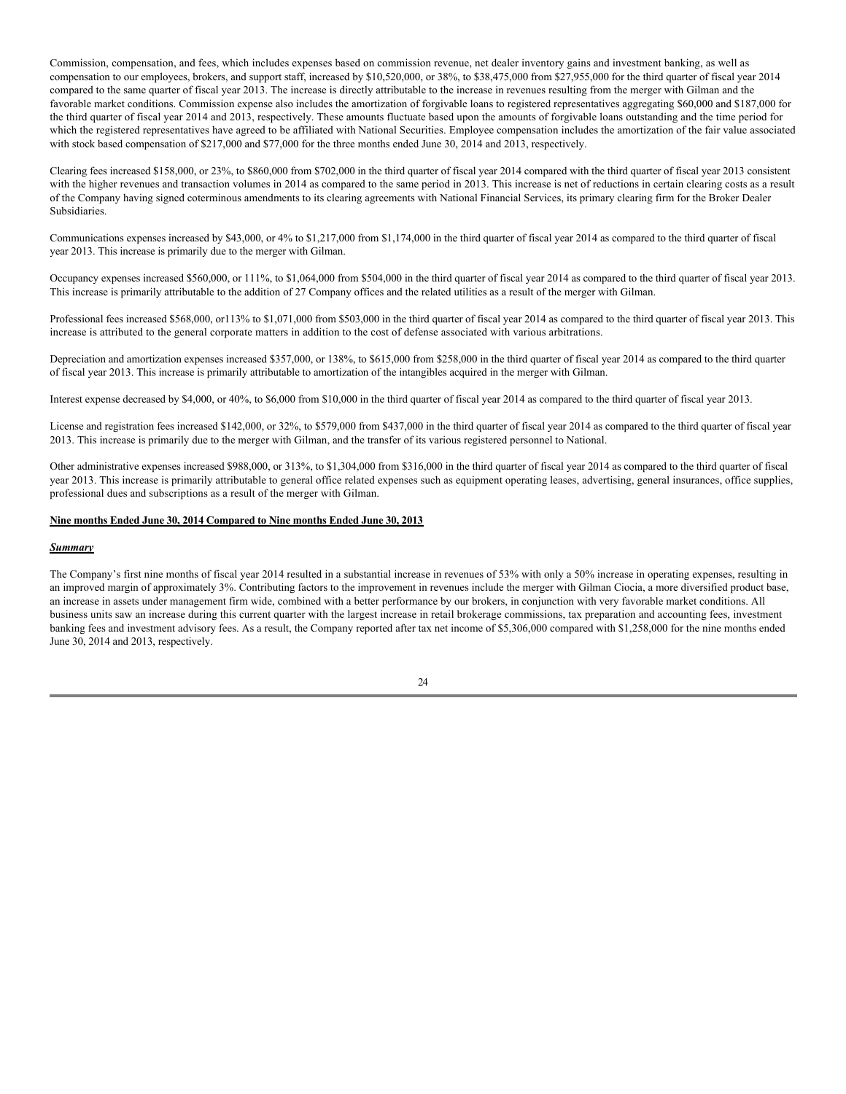Commission, compensation, and fees, which includes expenses based on commission revenue, net dealer inventory gains and investment banking, as well as compensation to our employees, brokers, and support staff, increased by \$10,520,000, or 38%, to \$38,475,000 from \$27,955,000 for the third quarter of fiscal year 2014 compared to the same quarter of fiscal year 2013. The increase is directly attributable to the increase in revenues resulting from the merger with Gilman and the favorable market conditions. Commission expense also includes the amortization of forgivable loans to registered representatives aggregating \$60,000 and \$187,000 for the third quarter of fiscal year 2014 and 2013, respectively. These amounts fluctuate based upon the amounts of forgivable loans outstanding and the time period for which the registered representatives have agreed to be affiliated with National Securities. Employee compensation includes the amortization of the fair value associated with stock based compensation of \$217,000 and \$77,000 for the three months ended June 30, 2014 and 2013, respectively.

Clearing fees increased \$158,000, or 23%, to \$860,000 from \$702,000 in the third quarter of fiscal year 2014 compared with the third quarter of fiscal year 2013 consistent with the higher revenues and transaction volumes in 2014 as compared to the same period in 2013. This increase is net of reductions in certain clearing costs as a result of the Company having signed coterminous amendments to its clearing agreements with National Financial Services, its primary clearing firm for the Broker Dealer Subsidiaries.

Communications expenses increased by \$43,000, or 4% to \$1,217,000 from \$1,174,000 in the third quarter of fiscal year 2014 as compared to the third quarter of fiscal year 2013. This increase is primarily due to the merger with Gilman.

Occupancy expenses increased \$560,000, or 111%, to \$1,064,000 from \$504,000 in the third quarter of fiscal year 2014 as compared to the third quarter of fiscal year 2013. This increase is primarily attributable to the addition of 27 Company offices and the related utilities as a result of the merger with Gilman.

Professional fees increased \$568,000, or113% to \$1,071,000 from \$503,000 in the third quarter of fiscal year 2014 as compared to the third quarter of fiscal year 2013. This increase is attributed to the general corporate matters in addition to the cost of defense associated with various arbitrations.

Depreciation and amortization expenses increased \$357,000, or 138%, to \$615,000 from \$258,000 in the third quarter of fiscal year 2014 as compared to the third quarter of fiscal year 2013. This increase is primarily attributable to amortization of the intangibles acquired in the merger with Gilman.

Interest expense decreased by \$4,000, or 40%, to \$6,000 from \$10,000 in the third quarter of fiscal year 2014 as compared to the third quarter of fiscal year 2013.

License and registration fees increased \$142,000, or 32%, to \$579,000 from \$437,000 in the third quarter of fiscal year 2014 as compared to the third quarter of fiscal year 2013. This increase is primarily due to the merger with Gilman, and the transfer of its various registered personnel to National.

Other administrative expenses increased \$988,000, or 313%, to \$1,304,000 from \$316,000 in the third quarter of fiscal year 2014 as compared to the third quarter of fiscal year 2013. This increase is primarily attributable to general office related expenses such as equipment operating leases, advertising, general insurances, office supplies, professional dues and subscriptions as a result of the merger with Gilman.

#### **Nine months Ended June 30, 2014 Compared to Nine months Ended June 30, 2013**

#### *Summary*

The Company's first nine months of fiscal year 2014 resulted in a substantial increase in revenues of 53% with only a 50% increase in operating expenses, resulting in an improved margin of approximately 3%. Contributing factors to the improvement in revenues include the merger with Gilman Ciocia, a more diversified product base, an increase in assets under management firm wide, combined with a better performance by our brokers, in conjunction with very favorable market conditions. All business units saw an increase during this current quarter with the largest increase in retail brokerage commissions, tax preparation and accounting fees, investment banking fees and investment advisory fees. As a result, the Company reported after tax net income of \$5,306,000 compared with \$1,258,000 for the nine months ended June 30, 2014 and 2013, respectively.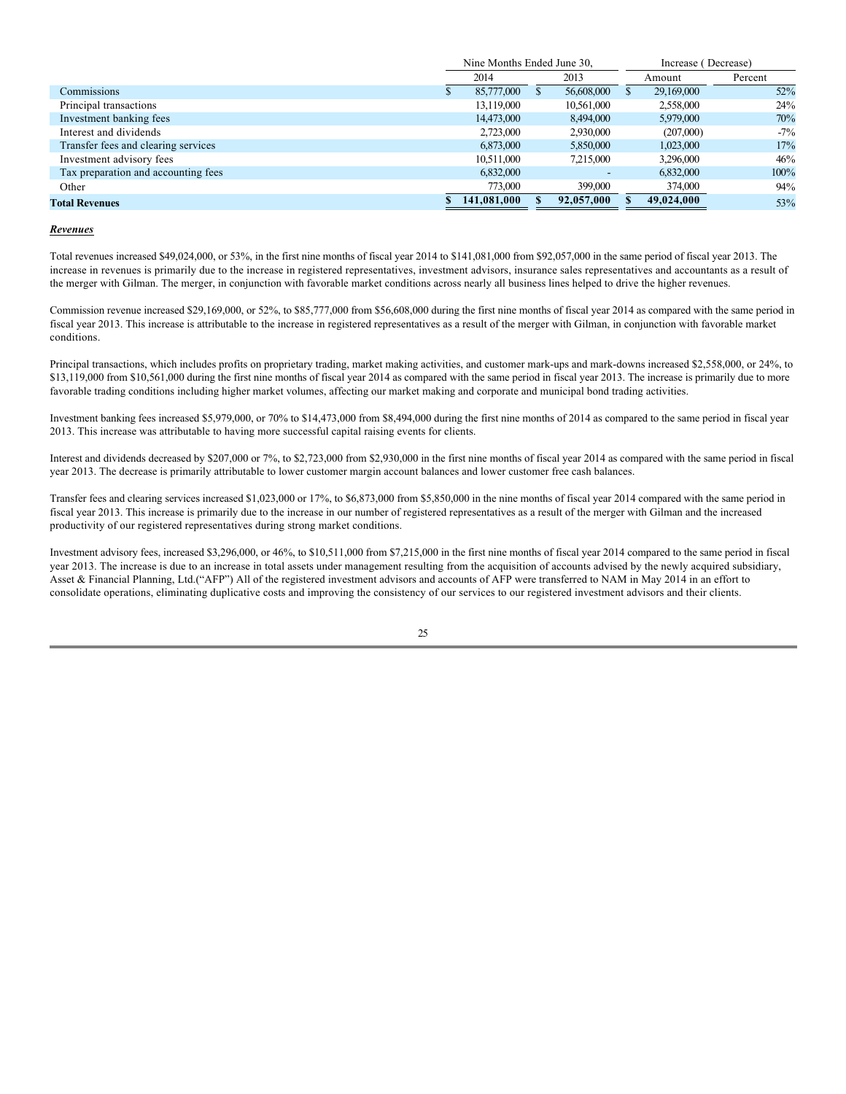|                                     | Nine Months Ended June 30, |             |  | Increase (Decrease) |            |         |
|-------------------------------------|----------------------------|-------------|--|---------------------|------------|---------|
|                                     |                            | 2014        |  | 2013                | Amount     | Percent |
| Commissions                         |                            | 85,777,000  |  | 56,608,000          | 29,169,000 | 52%     |
| Principal transactions              |                            | 13,119,000  |  | 10,561,000          | 2,558,000  | 24%     |
| Investment banking fees             |                            | 14,473,000  |  | 8,494,000           | 5,979,000  | 70%     |
| Interest and dividends              |                            | 2,723,000   |  | 2,930,000           | (207,000)  | $-7\%$  |
| Transfer fees and clearing services |                            | 6,873,000   |  | 5,850,000           | 1,023,000  | 17%     |
| Investment advisory fees            |                            | 10.511.000  |  | 7.215.000           | 3,296,000  | 46%     |
| Tax preparation and accounting fees |                            | 6,832,000   |  |                     | 6,832,000  | 100%    |
| Other                               |                            | 773,000     |  | 399,000             | 374,000    | 94%     |
| <b>Total Revenues</b>               |                            | 141.081.000 |  | 92,057,000          | 49,024,000 | 53%     |

#### *Revenues*

Total revenues increased \$49,024,000, or 53%, in the first nine months of fiscal year 2014 to \$141,081,000 from \$92,057,000 in the same period of fiscal year 2013. The increase in revenues is primarily due to the increase in registered representatives, investment advisors, insurance sales representatives and accountants as a result of the merger with Gilman. The merger, in conjunction with favorable market conditions across nearly all business lines helped to drive the higher revenues.

Commission revenue increased \$29,169,000, or 52%, to \$85,777,000 from \$56,608,000 during the first nine months of fiscal year 2014 as compared with the same period in fiscal year 2013. This increase is attributable to the increase in registered representatives as a result of the merger with Gilman, in conjunction with favorable market conditions.

Principal transactions, which includes profits on proprietary trading, market making activities, and customer mark-ups and mark-downs increased \$2,558,000, or 24%, to \$13,119,000 from \$10,561,000 during the first nine months of fiscal year 2014 as compared with the same period in fiscal year 2013. The increase is primarily due to more favorable trading conditions including higher market volumes, affecting our market making and corporate and municipal bond trading activities.

Investment banking fees increased \$5,979,000, or 70% to \$14,473,000 from \$8,494,000 during the first nine months of 2014 as compared to the same period in fiscal year 2013. This increase was attributable to having more successful capital raising events for clients.

Interest and dividends decreased by \$207,000 or 7%, to \$2,723,000 from \$2,930,000 in the first nine months of fiscal year 2014 as compared with the same period in fiscal year 2013. The decrease is primarily attributable to lower customer margin account balances and lower customer free cash balances.

Transfer fees and clearing services increased \$1,023,000 or 17%, to \$6,873,000 from \$5,850,000 in the nine months of fiscal year 2014 compared with the same period in fiscal year 2013. This increase is primarily due to the increase in our number of registered representatives as a result of the merger with Gilman and the increased productivity of our registered representatives during strong market conditions.

Investment advisory fees, increased \$3,296,000, or 46%, to \$10,511,000 from \$7,215,000 in the first nine months of fiscal year 2014 compared to the same period in fiscal year 2013. The increase is due to an increase in total assets under management resulting from the acquisition of accounts advised by the newly acquired subsidiary, Asset & Financial Planning, Ltd.("AFP") All of the registered investment advisors and accounts of AFP were transferred to NAM in May 2014 in an effort to consolidate operations, eliminating duplicative costs and improving the consistency of our services to our registered investment advisors and their clients.

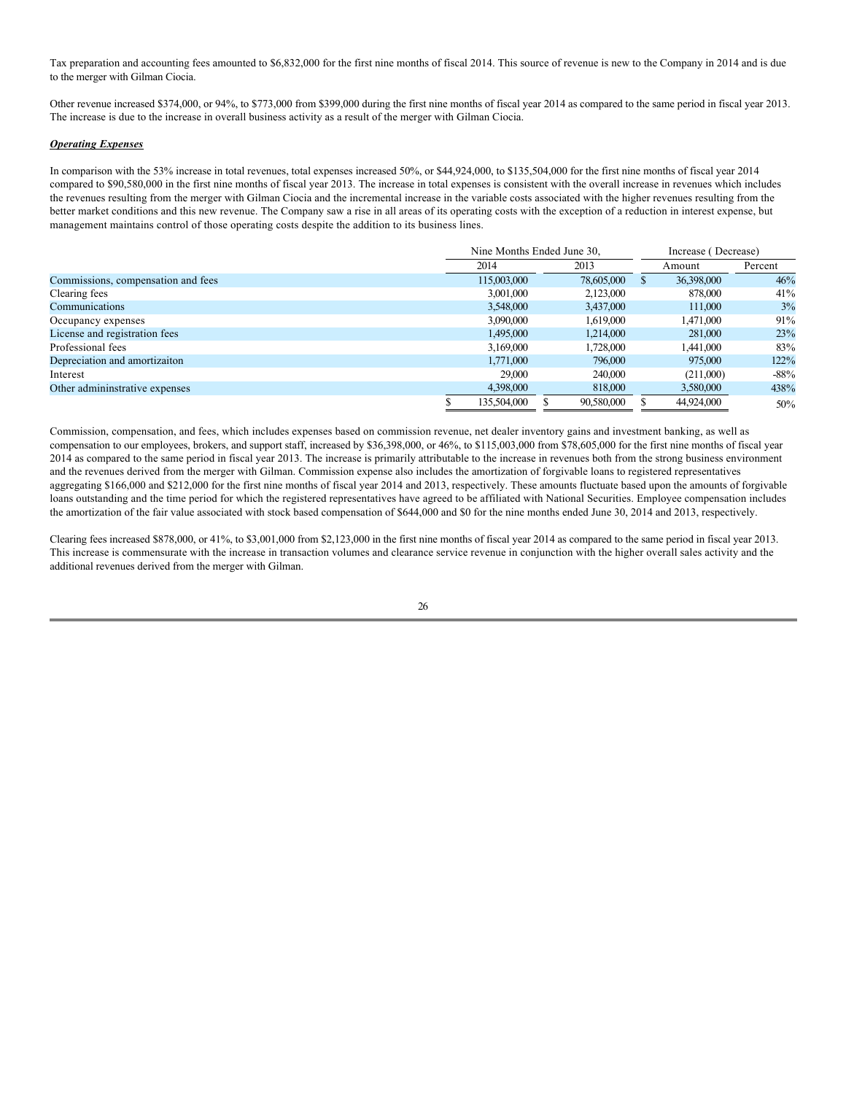Tax preparation and accounting fees amounted to \$6,832,000 for the first nine months of fiscal 2014. This source of revenue is new to the Company in 2014 and is due to the merger with Gilman Ciocia.

Other revenue increased \$374,000, or 94%, to \$773,000 from \$399,000 during the first nine months of fiscal year 2014 as compared to the same period in fiscal year 2013. The increase is due to the increase in overall business activity as a result of the merger with Gilman Ciocia.

#### *Operating Expenses*

In comparison with the 53% increase in total revenues, total expenses increased 50%, or \$44,924,000, to \$135,504,000 for the first nine months of fiscal year 2014 compared to \$90,580,000 in the first nine months of fiscal year 2013. The increase in total expenses is consistent with the overall increase in revenues which includes the revenues resulting from the merger with Gilman Ciocia and the incremental increase in the variable costs associated with the higher revenues resulting from the better market conditions and this new revenue. The Company saw a rise in all areas of its operating costs with the exception of a reduction in interest expense, but management maintains control of those operating costs despite the addition to its business lines.

|                                    |             | Nine Months Ended June 30, |                   | Increase (Decrease) |
|------------------------------------|-------------|----------------------------|-------------------|---------------------|
|                                    | 2014        | 2013                       | Amount            | Percent             |
| Commissions, compensation and fees | 115,003,000 | 78,605,000                 | 36,398,000<br>аĐ. | 46%                 |
| Clearing fees                      | 3,001,000   | 2,123,000                  | 878,000           | 41%                 |
| Communications                     | 3,548,000   | 3,437,000                  | 111,000           | 3%                  |
| Occupancy expenses                 | 3,090,000   | 1,619,000                  | 1,471,000         | 91%                 |
| License and registration fees      | 1,495,000   | 1,214,000                  | 281,000           | 23%                 |
| Professional fees                  | 3,169,000   | 1,728,000                  | 1,441,000         | 83%                 |
| Depreciation and amortizaiton      | 1,771,000   | 796,000                    | 975,000           | 122%                |
| Interest                           | 29,000      | 240,000                    | (211,000)         | $-88%$              |
| Other admininstrative expenses     | 4,398,000   | 818,000                    | 3,580,000         | 438%                |
|                                    | 135,504,000 | 90,580,000                 | 44,924,000        | 50%                 |

Commission, compensation, and fees, which includes expenses based on commission revenue, net dealer inventory gains and investment banking, as well as compensation to our employees, brokers, and support staff, increased by \$36,398,000, or 46%, to \$115,003,000 from \$78,605,000 for the first nine months of fiscal year 2014 as compared to the same period in fiscal year 2013. The increase is primarily attributable to the increase in revenues both from the strong business environment and the revenues derived from the merger with Gilman. Commission expense also includes the amortization of forgivable loans to registered representatives aggregating \$166,000 and \$212,000 for the first nine months of fiscal year 2014 and 2013, respectively. These amounts fluctuate based upon the amounts of forgivable loans outstanding and the time period for which the registered representatives have agreed to be affiliated with National Securities. Employee compensation includes the amortization of the fair value associated with stock based compensation of \$644,000 and \$0 for the nine months ended June 30, 2014 and 2013, respectively.

Clearing fees increased \$878,000, or 41%, to \$3,001,000 from \$2,123,000 in the first nine months of fiscal year 2014 as compared to the same period in fiscal year 2013. This increase is commensurate with the increase in transaction volumes and clearance service revenue in conjunction with the higher overall sales activity and the additional revenues derived from the merger with Gilman.

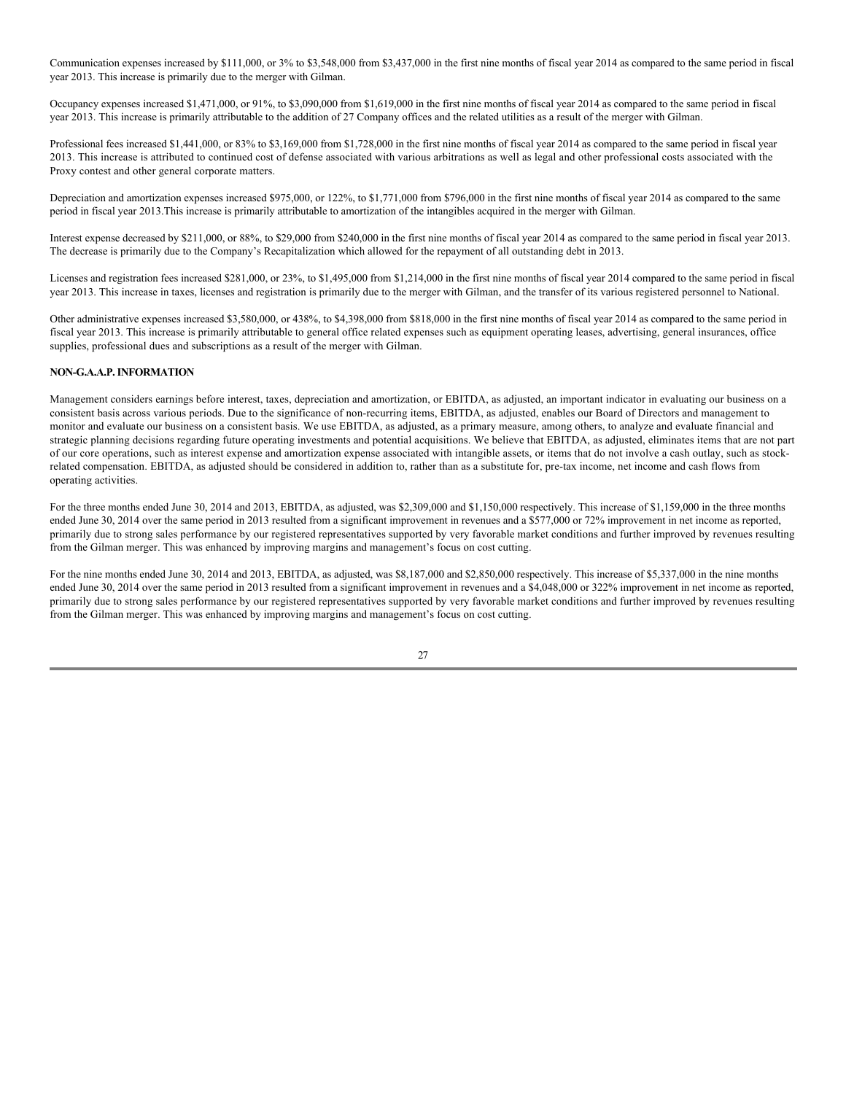Communication expenses increased by \$111,000, or 3% to \$3,548,000 from \$3,437,000 in the first nine months of fiscal year 2014 as compared to the same period in fiscal year 2013. This increase is primarily due to the merger with Gilman.

Occupancy expenses increased \$1,471,000, or 91%, to \$3,090,000 from \$1,619,000 in the first nine months of fiscal year 2014 as compared to the same period in fiscal year 2013. This increase is primarily attributable to the addition of 27 Company offices and the related utilities as a result of the merger with Gilman.

Professional fees increased \$1,441,000, or 83% to \$3,169,000 from \$1,728,000 in the first nine months of fiscal year 2014 as compared to the same period in fiscal year 2013. This increase is attributed to continued cost of defense associated with various arbitrations as well as legal and other professional costs associated with the Proxy contest and other general corporate matters.

Depreciation and amortization expenses increased \$975,000, or 122%, to \$1,771,000 from \$796,000 in the first nine months of fiscal year 2014 as compared to the same period in fiscal year 2013.This increase is primarily attributable to amortization of the intangibles acquired in the merger with Gilman.

Interest expense decreased by \$211,000, or 88%, to \$29,000 from \$240,000 in the first nine months of fiscal year 2014 as compared to the same period in fiscal year 2013. The decrease is primarily due to the Company's Recapitalization which allowed for the repayment of all outstanding debt in 2013.

Licenses and registration fees increased \$281,000, or 23%, to \$1,495,000 from \$1,214,000 in the first nine months of fiscal year 2014 compared to the same period in fiscal year 2013. This increase in taxes, licenses and registration is primarily due to the merger with Gilman, and the transfer of its various registered personnel to National.

Other administrative expenses increased \$3,580,000, or 438%, to \$4,398,000 from \$818,000 in the first nine months of fiscal year 2014 as compared to the same period in fiscal year 2013. This increase is primarily attributable to general office related expenses such as equipment operating leases, advertising, general insurances, office supplies, professional dues and subscriptions as a result of the merger with Gilman.

## **NONG.A.A.P. INFORMATION**

Management considers earnings before interest, taxes, depreciation and amortization, or EBITDA, as adjusted, an important indicator in evaluating our business on a consistent basis across various periods. Due to the significance of nonrecurring items, EBITDA, as adjusted, enables our Board of Directors and management to monitor and evaluate our business on a consistent basis. We use EBITDA, as adjusted, as a primary measure, among others, to analyze and evaluate financial and strategic planning decisions regarding future operating investments and potential acquisitions. We believe that EBITDA, as adjusted, eliminates items that are not part of our core operations, such as interest expense and amortization expense associated with intangible assets, or items that do not involve a cash outlay, such as stockrelated compensation. EBITDA, as adjusted should be considered in addition to, rather than as a substitute for, pre-tax income, net income and cash flows from operating activities.

For the three months ended June 30, 2014 and 2013, EBITDA, as adjusted, was \$2,309,000 and \$1,150,000 respectively. This increase of \$1,159,000 in the three months ended June 30, 2014 over the same period in 2013 resulted from a significant improvement in revenues and a \$577,000 or 72% improvement in net income as reported, primarily due to strong sales performance by our registered representatives supported by very favorable market conditions and further improved by revenues resulting from the Gilman merger. This was enhanced by improving margins and management's focus on cost cutting.

For the nine months ended June 30, 2014 and 2013, EBITDA, as adjusted, was \$8,187,000 and \$2,850,000 respectively. This increase of \$5,337,000 in the nine months ended June 30, 2014 over the same period in 2013 resulted from a significant improvement in revenues and a \$4,048,000 or 322% improvement in net income as reported, primarily due to strong sales performance by our registered representatives supported by very favorable market conditions and further improved by revenues resulting from the Gilman merger. This was enhanced by improving margins and management's focus on cost cutting.

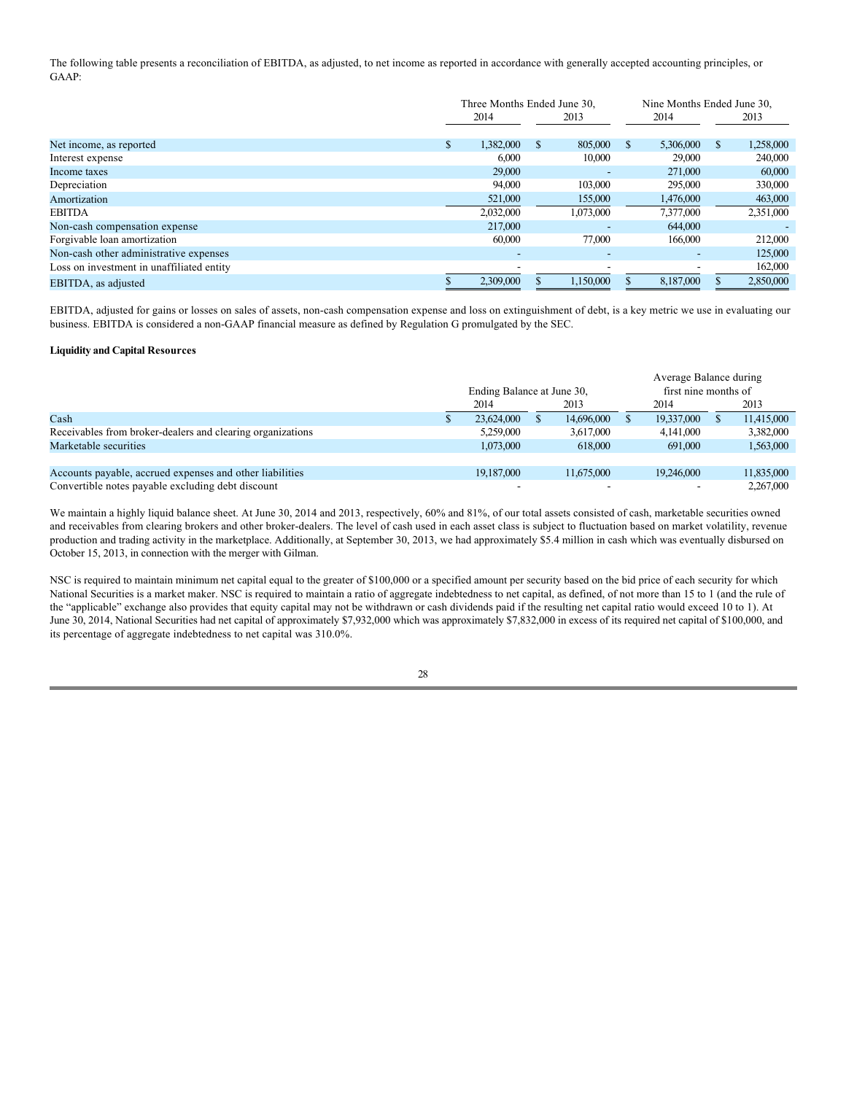The following table presents a reconciliation of EBITDA, as adjusted, to net income as reported in accordance with generally accepted accounting principles, or GAAP:

|                                           | Three Months Ended June 30, |              |    |           |    | Nine Months Ended June 30, |      |           |
|-------------------------------------------|-----------------------------|--------------|----|-----------|----|----------------------------|------|-----------|
|                                           |                             | 2014<br>2013 |    | 2014      |    |                            | 2013 |           |
|                                           |                             |              |    |           |    |                            |      |           |
| Net income, as reported                   | Эħ.                         | 1.382,000    | S. | 805,000   | S. | 5.306,000                  | S.   | 1,258,000 |
| Interest expense                          |                             | 6,000        |    | 10,000    |    | 29,000                     |      | 240,000   |
| Income taxes                              |                             | 29,000       |    |           |    | 271,000                    |      | 60,000    |
| Depreciation                              |                             | 94,000       |    | 103,000   |    | 295,000                    |      | 330,000   |
| Amortization                              |                             | 521,000      |    | 155,000   |    | 1,476,000                  |      | 463,000   |
| <b>EBITDA</b>                             |                             | 2,032,000    |    | 1,073,000 |    | 7,377,000                  |      | 2,351,000 |
| Non-cash compensation expense             |                             | 217,000      |    |           |    | 644,000                    |      |           |
| Forgivable loan amortization              |                             | 60,000       |    | 77,000    |    | 166,000                    |      | 212,000   |
| Non-cash other administrative expenses    |                             |              |    |           |    |                            |      | 125,000   |
| Loss on investment in unaffiliated entity |                             |              |    |           |    |                            |      | 162,000   |
| EBITDA, as adjusted                       |                             | 2,309,000    |    | 1.150.000 |    | 8,187,000                  |      | 2,850,000 |

EBITDA, adjusted for gains or losses on sales of assets, non-cash compensation expense and loss on extinguishment of debt, is a key metric we use in evaluating our business. EBITDA is considered a nonGAAP financial measure as defined by Regulation G promulgated by the SEC.

#### **Liquidity and Capital Resources**

|                                                            |                            |  |            |  | Average Balance during |  |            |
|------------------------------------------------------------|----------------------------|--|------------|--|------------------------|--|------------|
|                                                            | Ending Balance at June 30, |  |            |  | first nine months of   |  |            |
|                                                            | 2014                       |  | 2013       |  | 2014                   |  | 2013       |
| Cash                                                       | 23,624,000                 |  | 14,696,000 |  | 19,337,000             |  | 11,415,000 |
| Receivables from broker-dealers and clearing organizations | 5,259,000                  |  | 3,617,000  |  | 4,141,000              |  | 3,382,000  |
| Marketable securities                                      | 1.073.000                  |  | 618,000    |  | 691,000                |  | 1,563,000  |
|                                                            |                            |  |            |  |                        |  |            |
| Accounts payable, accrued expenses and other liabilities   | 19.187,000                 |  | 11.675,000 |  | 19.246,000             |  | 11,835,000 |
| Convertible notes payable excluding debt discount          |                            |  |            |  |                        |  | 2,267,000  |

We maintain a highly liquid balance sheet. At June 30, 2014 and 2013, respectively, 60% and 81%, of our total assets consisted of cash, marketable securities owned and receivables from clearing brokers and other broker-dealers. The level of cash used in each asset class is subject to fluctuation based on market volatility, revenue production and trading activity in the marketplace. Additionally, at September 30, 2013, we had approximately \$5.4 million in cash which was eventually disbursed on October 15, 2013, in connection with the merger with Gilman.

NSC is required to maintain minimum net capital equal to the greater of \$100,000 or a specified amount per security based on the bid price of each security for which National Securities is a market maker. NSC is required to maintain a ratio of aggregate indebtedness to net capital, as defined, of not more than 15 to 1 (and the rule of the "applicable" exchange also provides that equity capital may not be withdrawn or cash dividends paid if the resulting net capital ratio would exceed 10 to 1). At June 30, 2014, National Securities had net capital of approximately \$7,932,000 which was approximately \$7,832,000 in excess of its required net capital of \$100,000, and its percentage of aggregate indebtedness to net capital was 310.0%.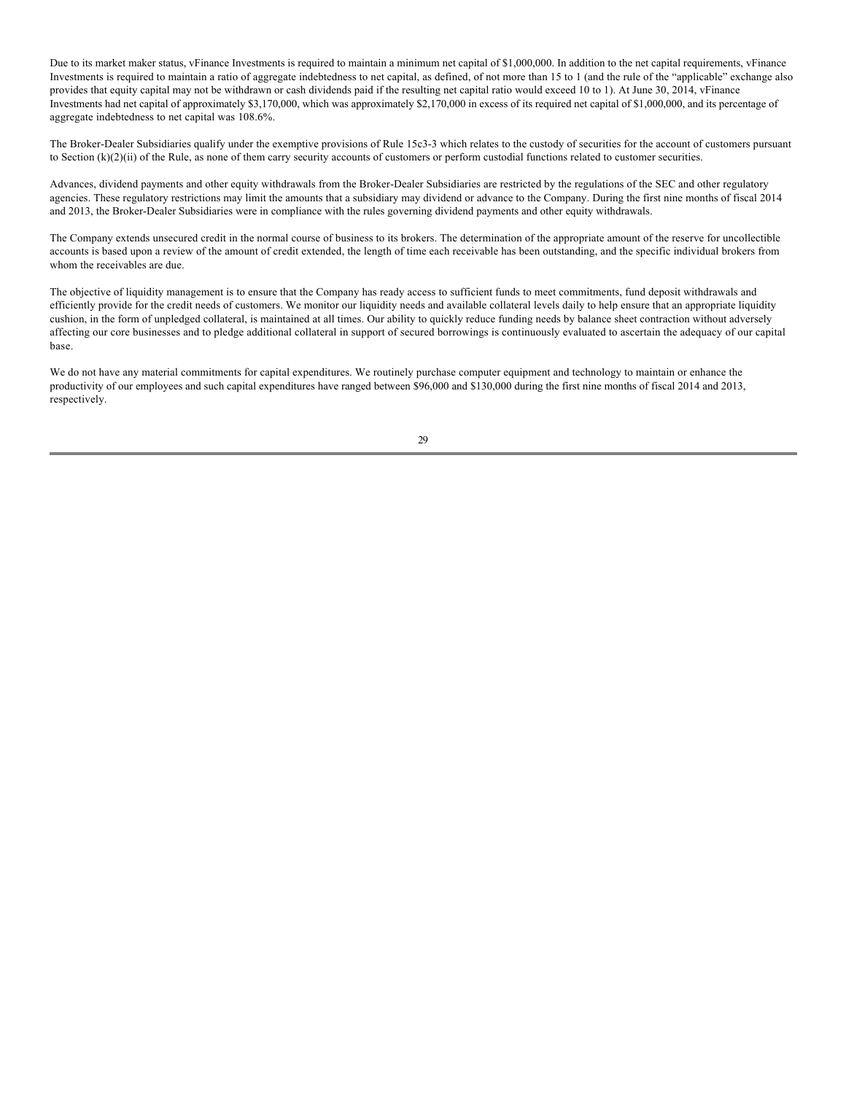Due to its market maker status, vFinance Investments is required to maintain a minimum net capital of \$1,000,000. In addition to the net capital requirements, vFinance Investments is required to maintain a ratio of aggregate indebtedness to net capital, as defined, of not more than 15 to 1 (and the rule of the "applicable" exchange also provides that equity capital may not be withdrawn or cash dividends paid if the resulting net capital ratio would exceed 10 to 1). At June 30, 2014, vFinance Investments had net capital of approximately \$3,170,000, which was approximately \$2,170,000 in excess of its required net capital of \$1,000,000, and its percentage of aggregate indebtedness to net capital was 108.6%.

The Broker-Dealer Subsidiaries qualify under the exemptive provisions of Rule 15c3-3 which relates to the custody of securities for the account of customers pursuant to Section (k)(2)(ii) of the Rule, as none of them carry security accounts of customers or perform custodial functions related to customer securities.

Advances, dividend payments and other equity withdrawals from the Broker-Dealer Subsidiaries are restricted by the regulations of the SEC and other regulatory agencies. These regulatory restrictions may limit the amounts that a subsidiary may dividend or advance to the Company. During the first nine months of fiscal 2014 and 2013, the Broker-Dealer Subsidiaries were in compliance with the rules governing dividend payments and other equity withdrawals.

The Company extends unsecured credit in the normal course of business to its brokers. The determination of the appropriate amount of the reserve for uncollectible accounts is based upon a review of the amount of credit extended, the length of time each receivable has been outstanding, and the specific individual brokers from whom the receivables are due.

The objective of liquidity management is to ensure that the Company has ready access to sufficient funds to meet commitments, fund deposit withdrawals and efficiently provide for the credit needs of customers. We monitor our liquidity needs and available collateral levels daily to help ensure that an appropriate liquidity cushion, in the form of unpledged collateral, is maintained at all times. Our ability to quickly reduce funding needs by balance sheet contraction without adversely affecting our core businesses and to pledge additional collateral in support of secured borrowings is continuously evaluated to ascertain the adequacy of our capital base.

We do not have any material commitments for capital expenditures. We routinely purchase computer equipment and technology to maintain or enhance the productivity of our employees and such capital expenditures have ranged between \$96,000 and \$130,000 during the first nine months of fiscal 2014 and 2013, respectively.

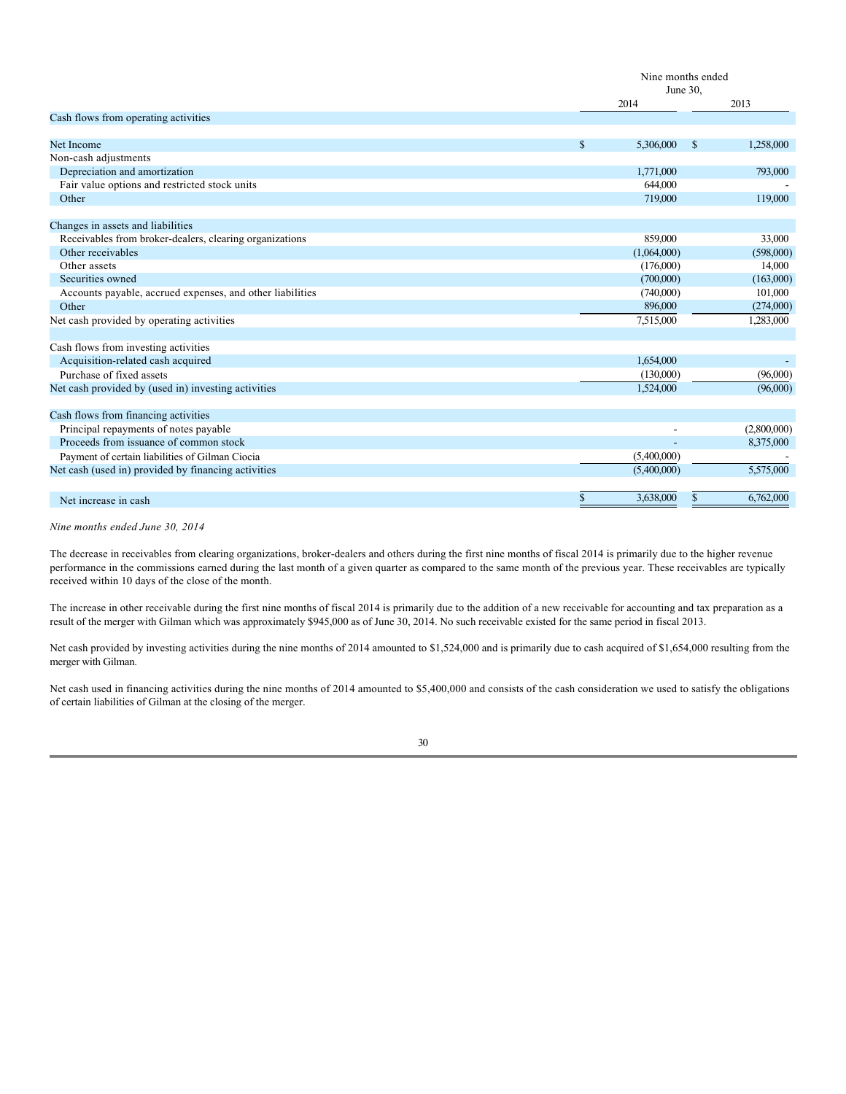| 2014<br>Cash flows from operating activities<br>$\mathbb{S}$<br>Net Income<br>Non-cash adjustments<br>Depreciation and amortization | 5,306,000<br>1,771,000<br>644,000 | -S | 2013<br>1,258,000 |
|-------------------------------------------------------------------------------------------------------------------------------------|-----------------------------------|----|-------------------|
|                                                                                                                                     |                                   |    |                   |
|                                                                                                                                     |                                   |    |                   |
|                                                                                                                                     |                                   |    |                   |
|                                                                                                                                     |                                   |    |                   |
|                                                                                                                                     |                                   |    |                   |
|                                                                                                                                     |                                   |    | 793,000           |
| Fair value options and restricted stock units                                                                                       |                                   |    |                   |
| Other                                                                                                                               | 719,000                           |    | 119,000           |
| Changes in assets and liabilities                                                                                                   |                                   |    |                   |
| Receivables from broker-dealers, clearing organizations                                                                             | 859,000                           |    | 33,000            |
| Other receivables                                                                                                                   | (1,064,000)                       |    | (598,000)         |
| Other assets                                                                                                                        | (176,000)                         |    | 14,000            |
| Securities owned                                                                                                                    | (700,000)                         |    | (163,000)         |
| Accounts payable, accrued expenses, and other liabilities                                                                           | (740,000)                         |    | 101,000           |
| Other                                                                                                                               | 896,000                           |    | (274,000)         |
| Net cash provided by operating activities                                                                                           | 7,515,000                         |    | 1,283,000         |
| Cash flows from investing activities                                                                                                |                                   |    |                   |
| Acquisition-related cash acquired                                                                                                   | 1,654,000                         |    |                   |
| Purchase of fixed assets                                                                                                            | (130,000)                         |    | (96,000)          |
| Net cash provided by (used in) investing activities                                                                                 | 1,524,000                         |    | (96,000)          |
|                                                                                                                                     |                                   |    |                   |
| Cash flows from financing activities                                                                                                |                                   |    |                   |
| Principal repayments of notes payable                                                                                               |                                   |    | (2,800,000)       |
| Proceeds from issuance of common stock                                                                                              |                                   |    | 8,375,000         |
| Payment of certain liabilities of Gilman Ciocia                                                                                     | (5,400,000)                       |    |                   |
| Net cash (used in) provided by financing activities                                                                                 | (5,400,000)                       |    | 5,575,000         |
| \$<br>Net increase in cash                                                                                                          | 3,638,000                         | S  | 6,762,000         |

#### *Nine months ended June 30, 2014*

The decrease in receivables from clearing organizations, broker-dealers and others during the first nine months of fiscal 2014 is primarily due to the higher revenue performance in the commissions earned during the last month of a given quarter as compared to the same month of the previous year. These receivables are typically received within 10 days of the close of the month.

The increase in other receivable during the first nine months of fiscal 2014 is primarily due to the addition of a new receivable for accounting and tax preparation as a result of the merger with Gilman which was approximately \$945,000 as of June 30, 2014. No such receivable existed for the same period in fiscal 2013.

Net cash provided by investing activities during the nine months of 2014 amounted to \$1,524,000 and is primarily due to cash acquired of \$1,654,000 resulting from the merger with Gilman.

Net cash used in financing activities during the nine months of 2014 amounted to \$5,400,000 and consists of the cash consideration we used to satisfy the obligations of certain liabilities of Gilman at the closing of the merger.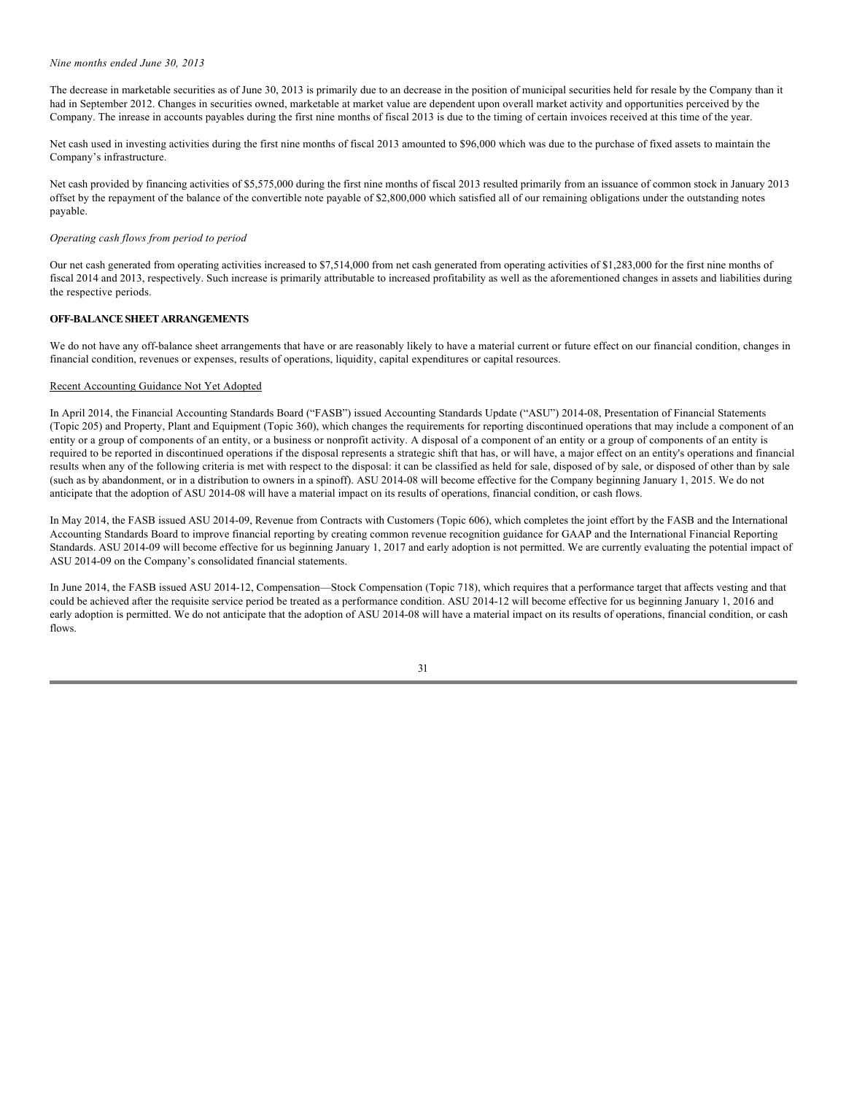#### *Nine months ended June 30, 2013*

The decrease in marketable securities as of June 30, 2013 is primarily due to an decrease in the position of municipal securities held for resale by the Company than it had in September 2012. Changes in securities owned, marketable at market value are dependent upon overall market activity and opportunities perceived by the Company. The inrease in accounts payables during the first nine months of fiscal 2013 is due to the timing of certain invoices received at this time of the year.

Net cash used in investing activities during the first nine months of fiscal 2013 amounted to \$96,000 which was due to the purchase of fixed assets to maintain the Company's infrastructure.

Net cash provided by financing activities of \$5,575,000 during the first nine months of fiscal 2013 resulted primarily from an issuance of common stock in January 2013 offset by the repayment of the balance of the convertible note payable of \$2,800,000 which satisfied all of our remaining obligations under the outstanding notes payable.

#### *Operating cash flows from period to period*

Our net cash generated from operating activities increased to \$7,514,000 from net cash generated from operating activities of \$1,283,000 for the first nine months of fiscal 2014 and 2013, respectively. Such increase is primarily attributable to increased profitability as well as the aforementioned changes in assets and liabilities during the respective periods.

## **OFF-BALANCE SHEET ARRANGEMENTS**

We do not have any off-balance sheet arrangements that have or are reasonably likely to have a material current or future effect on our financial condition, changes in financial condition, revenues or expenses, results of operations, liquidity, capital expenditures or capital resources.

#### Recent Accounting Guidance Not Yet Adopted

In April 2014, the Financial Accounting Standards Board ("FASB") issued Accounting Standards Update ("ASU") 2014-08, Presentation of Financial Statements (Topic 205) and Property, Plant and Equipment (Topic 360), which changes the requirements for reporting discontinued operations that may include a component of an entity or a group of components of an entity, or a business or nonprofit activity. A disposal of a component of an entity or a group of components of an entity is required to be reported in discontinued operations if the disposal represents a strategic shift that has, or will have, a major effect on an entity's operations and financial results when any of the following criteria is met with respect to the disposal: it can be classified as held for sale, disposed of by sale, or disposed of other than by sale (such as by abandonment, or in a distribution to owners in a spinoff). ASU 201408 will become effective for the Company beginning January 1, 2015. We do not anticipate that the adoption of ASU 201408 will have a material impact on its results of operations, financial condition, or cash flows.

In May 2014, the FASB issued ASU 2014-09, Revenue from Contracts with Customers (Topic 606), which completes the joint effort by the FASB and the International Accounting Standards Board to improve financial reporting by creating common revenue recognition guidance for GAAP and the International Financial Reporting Standards. ASU 2014-09 will become effective for us beginning January 1, 2017 and early adoption is not permitted. We are currently evaluating the potential impact of ASU 2014-09 on the Company's consolidated financial statements.

In June 2014, the FASB issued ASU 201412, Compensation—Stock Compensation (Topic 718), which requires that a performance target that affects vesting and that could be achieved after the requisite service period be treated as a performance condition. ASU 2014-12 will become effective for us beginning January 1, 2016 and early adoption is permitted. We do not anticipate that the adoption of ASU 2014-08 will have a material impact on its results of operations, financial condition, or cash flows.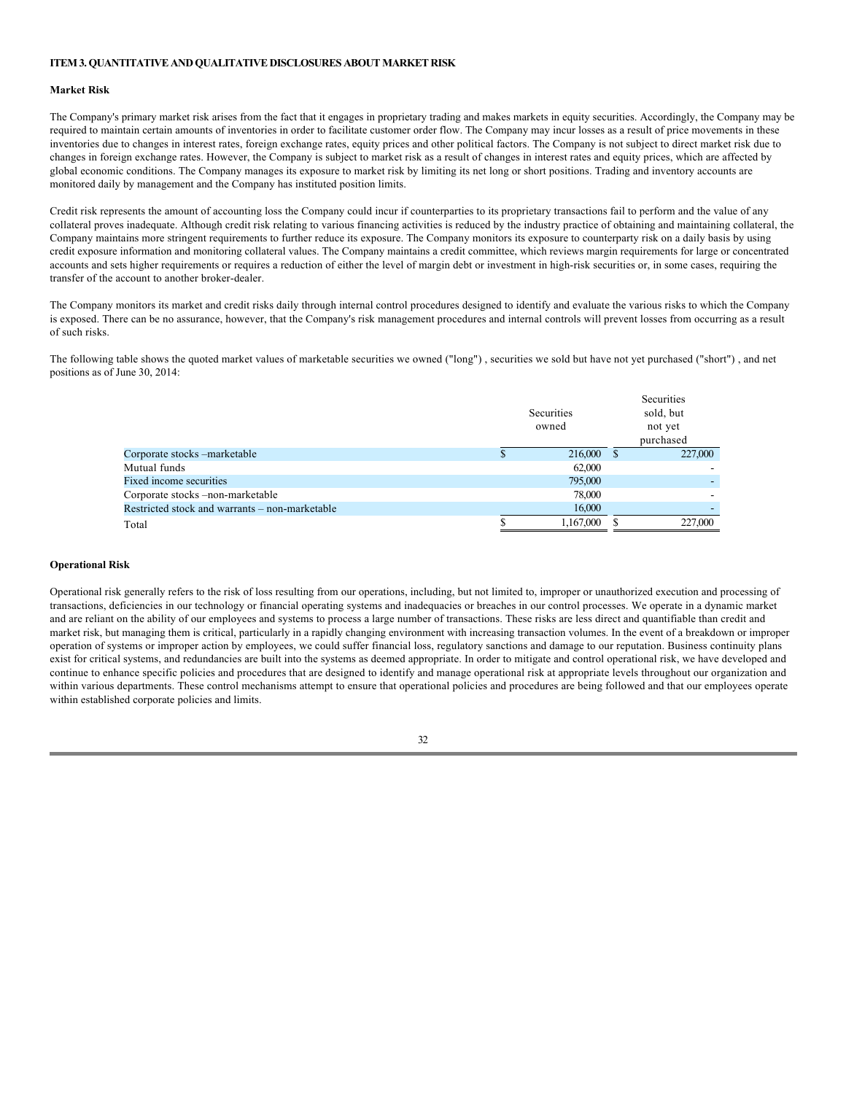## **ITEM 3. QUANTITATIVE AND QUALITATIVE DISCLOSURES ABOUT MARKET RISK**

#### **Market Risk**

The Company's primary market risk arises from the fact that it engages in proprietary trading and makes markets in equity securities. Accordingly, the Company may be required to maintain certain amounts of inventories in order to facilitate customer order flow. The Company may incur losses as a result of price movements in these inventories due to changes in interest rates, foreign exchange rates, equity prices and other political factors. The Company is not subject to direct market risk due to changes in foreign exchange rates. However, the Company is subject to market risk as a result of changes in interest rates and equity prices, which are affected by global economic conditions. The Company manages its exposure to market risk by limiting its net long or short positions. Trading and inventory accounts are monitored daily by management and the Company has instituted position limits.

Credit risk represents the amount of accounting loss the Company could incur if counterparties to its proprietary transactions fail to perform and the value of any collateral proves inadequate. Although credit risk relating to various financing activities is reduced by the industry practice of obtaining and maintaining collateral, the Company maintains more stringent requirements to further reduce its exposure. The Company monitors its exposure to counterparty risk on a daily basis by using credit exposure information and monitoring collateral values. The Company maintains a credit committee, which reviews margin requirements for large or concentrated accounts and sets higher requirements or requires a reduction of either the level of margin debt or investment in high-risk securities or, in some cases, requiring the transfer of the account to another broker-dealer.

The Company monitors its market and credit risks daily through internal control procedures designed to identify and evaluate the various risks to which the Company is exposed. There can be no assurance, however, that the Company's risk management procedures and internal controls will prevent losses from occurring as a result of such risks.

The following table shows the quoted market values of marketable securities we owned ("long"), securities we sold but have not yet purchased ("short"), and net positions as of June 30, 2014:

|                                                | Securities<br>owned | Securities<br>sold, but<br>not yet<br>purchased |
|------------------------------------------------|---------------------|-------------------------------------------------|
| Corporate stocks -marketable                   | 216,000             | 227,000                                         |
| Mutual funds                                   | 62,000              |                                                 |
| Fixed income securities                        | 795,000             |                                                 |
| Corporate stocks -non-marketable               | 78,000              |                                                 |
| Restricted stock and warrants – non-marketable | 16.000              |                                                 |
| Total                                          | 1,167,000           | 227,000                                         |

#### **Operational Risk**

Operational risk generally refers to the risk of loss resulting from our operations, including, but not limited to, improper or unauthorized execution and processing of transactions, deficiencies in our technology or financial operating systems and inadequacies or breaches in our control processes. We operate in a dynamic market and are reliant on the ability of our employees and systems to process a large number of transactions. These risks are less direct and quantifiable than credit and market risk, but managing them is critical, particularly in a rapidly changing environment with increasing transaction volumes. In the event of a breakdown or improper operation of systems or improper action by employees, we could suffer financial loss, regulatory sanctions and damage to our reputation. Business continuity plans exist for critical systems, and redundancies are built into the systems as deemed appropriate. In order to mitigate and control operational risk, we have developed and continue to enhance specific policies and procedures that are designed to identify and manage operational risk at appropriate levels throughout our organization and within various departments. These control mechanisms attempt to ensure that operational policies and procedures are being followed and that our employees operate within established corporate policies and limits.

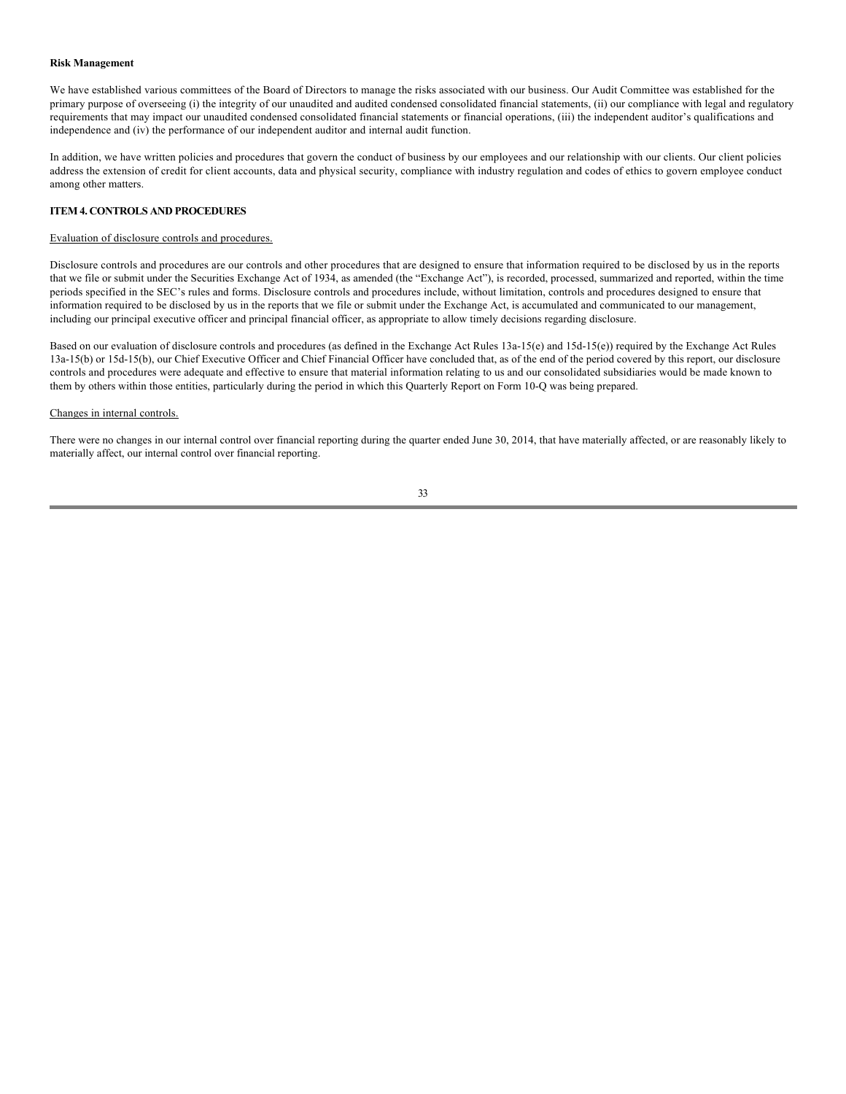#### **Risk Management**

We have established various committees of the Board of Directors to manage the risks associated with our business. Our Audit Committee was established for the primary purpose of overseeing (i) the integrity of our unaudited and audited condensed consolidated financial statements, (ii) our compliance with legal and regulatory requirements that may impact our unaudited condensed consolidated financial statements or financial operations, (iii) the independent auditor's qualifications and independence and (iv) the performance of our independent auditor and internal audit function.

In addition, we have written policies and procedures that govern the conduct of business by our employees and our relationship with our clients. Our client policies address the extension of credit for client accounts, data and physical security, compliance with industry regulation and codes of ethics to govern employee conduct among other matters.

#### **ITEM 4. CONTROLS AND PROCEDURES**

#### Evaluation of disclosure controls and procedures.

Disclosure controls and procedures are our controls and other procedures that are designed to ensure that information required to be disclosed by us in the reports that we file or submit under the Securities Exchange Act of 1934, as amended (the "Exchange Act"), is recorded, processed, summarized and reported, within the time periods specified in the SEC's rules and forms. Disclosure controls and procedures include, without limitation, controls and procedures designed to ensure that information required to be disclosed by us in the reports that we file or submit under the Exchange Act, is accumulated and communicated to our management, including our principal executive officer and principal financial officer, as appropriate to allow timely decisions regarding disclosure.

Based on our evaluation of disclosure controls and procedures (as defined in the Exchange Act Rules 13a-15(e) and 15d-15(e)) required by the Exchange Act Rules 13a-15(b) or 15d-15(b), our Chief Executive Officer and Chief Financial Officer have concluded that, as of the end of the period covered by this report, our disclosure controls and procedures were adequate and effective to ensure that material information relating to us and our consolidated subsidiaries would be made known to them by others within those entities, particularly during the period in which this Quarterly Report on Form 10-Q was being prepared.

#### Changes in internal controls.

There were no changes in our internal control over financial reporting during the quarter ended June 30, 2014, that have materially affected, or are reasonably likely to materially affect, our internal control over financial reporting.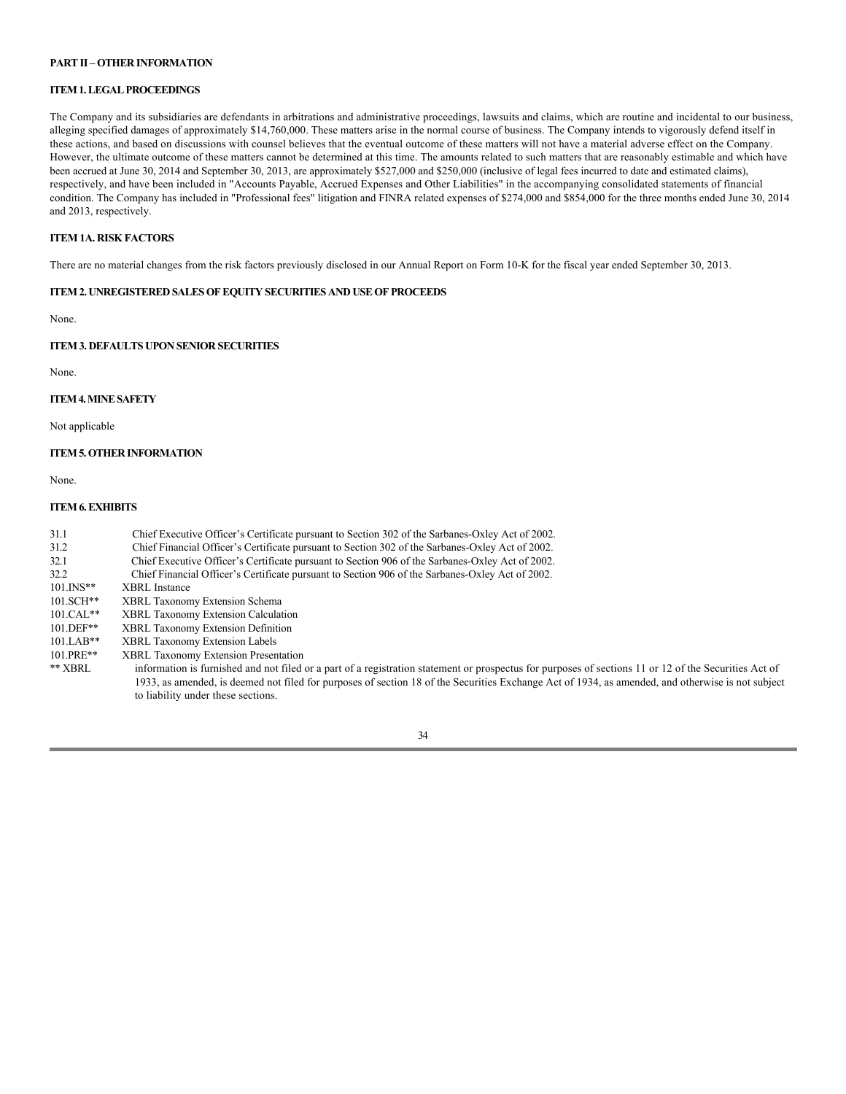## **PART II – OTHER INFORMATION**

## **ITEM 1. LEGAL PROCEEDINGS**

The Company and its subsidiaries are defendants in arbitrations and administrative proceedings, lawsuits and claims, which are routine and incidental to our business, alleging specified damages of approximately \$14,760,000. These matters arise in the normal course of business. The Company intends to vigorously defend itself in these actions, and based on discussions with counsel believes that the eventual outcome of these matters will not have a material adverse effect on the Company. However, the ultimate outcome of these matters cannot be determined at this time. The amounts related to such matters that are reasonably estimable and which have been accrued at June 30, 2014 and September 30, 2013, are approximately \$527,000 and \$250,000 (inclusive of legal fees incurred to date and estimated claims), respectively, and have been included in "Accounts Payable, Accrued Expenses and Other Liabilities" in the accompanying consolidated statements of financial condition. The Company has included in "Professional fees" litigation and FINRA related expenses of \$274,000 and \$854,000 for the three months ended June 30, 2014 and 2013, respectively.

## **ITEM 1A. RISK FACTORS**

There are no material changes from the risk factors previously disclosed in our Annual Report on Form 10-K for the fiscal year ended September 30, 2013.

#### **ITEM 2. UNREGISTERED SALES OF EQUITY SECURITIES AND USE OF PROCEEDS**

None.

#### **ITEM 3. DEFAULTS UPON SENIOR SECURITIES**

None.

## **ITEM 4. MINE SAFETY**

Not applicable

## **ITEM 5. OTHER INFORMATION**

None.

#### **ITEM 6. EXHIBITS**

| 31.1         | Chief Executive Officer's Certificate pursuant to Section 302 of the Sarbanes-Oxley Act of 2002.                                                      |
|--------------|-------------------------------------------------------------------------------------------------------------------------------------------------------|
| 31.2         | Chief Financial Officer's Certificate pursuant to Section 302 of the Sarbanes-Oxley Act of 2002.                                                      |
| 32.1         | Chief Executive Officer's Certificate pursuant to Section 906 of the Sarbanes-Oxley Act of 2002.                                                      |
| 32.2         | Chief Financial Officer's Certificate pursuant to Section 906 of the Sarbanes-Oxley Act of 2002.                                                      |
| $101$ INS**  | <b>XBRL</b> Instance                                                                                                                                  |
| $101.SCH**$  | <b>XBRL Taxonomy Extension Schema</b>                                                                                                                 |
| $101.CAL**$  | <b>XBRL Taxonomy Extension Calculation</b>                                                                                                            |
| $101.$ DEF** | <b>XBRL Taxonomy Extension Definition</b>                                                                                                             |
| $101.LAB**$  | <b>XBRL Taxonomy Extension Labels</b>                                                                                                                 |
| 101.PRE**    | <b>XBRL Taxonomy Extension Presentation</b>                                                                                                           |
| ** XBRL      | information is furnished and not filed or a part of a registration statement or prospectus for purposes of sections 11 or 12 of the Securities Act of |
|              | 1933, as amended, is deemed not filed for purposes of section 18 of the Securities Exchange Act of 1934, as amended, and otherwise is not subject     |
|              | to liability under these sections.                                                                                                                    |
|              |                                                                                                                                                       |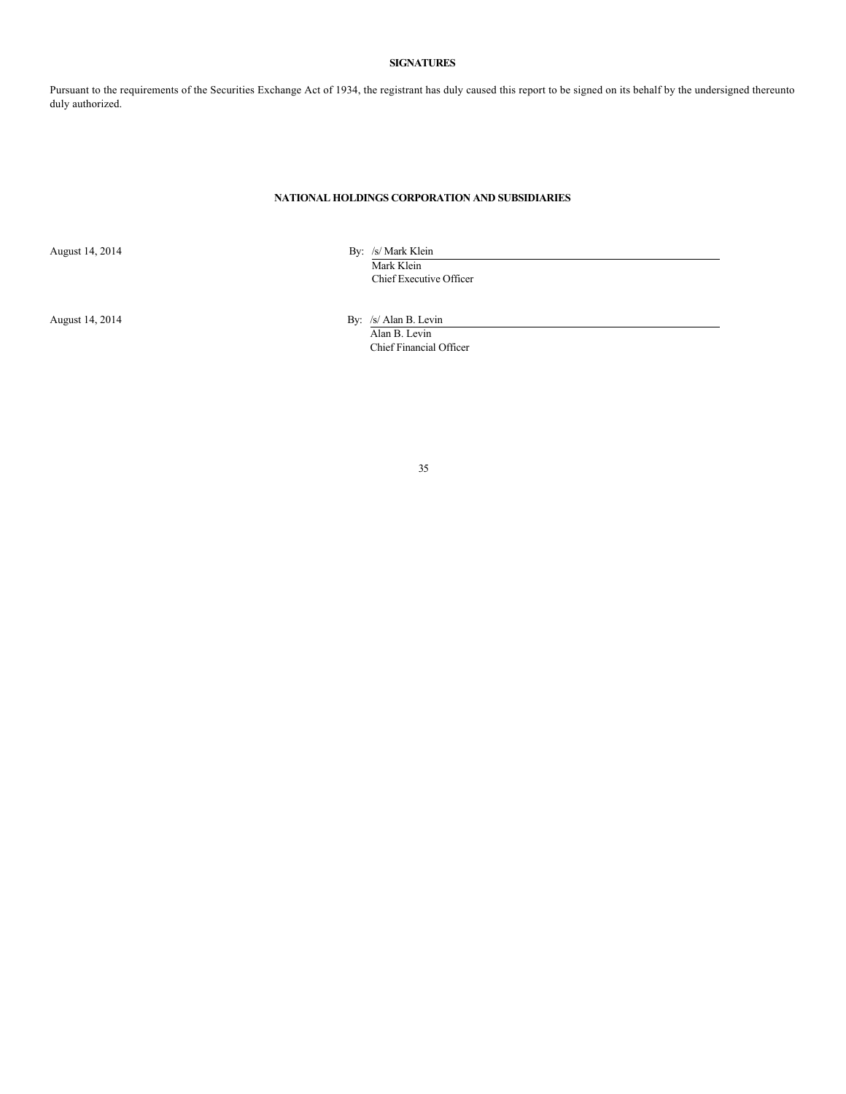## **SIGNATURES**

Pursuant to the requirements of the Securities Exchange Act of 1934, the registrant has duly caused this report to be signed on its behalf by the undersigned thereunto duly authorized.

## **NATIONAL HOLDINGS CORPORATION AND SUBSIDIARIES**

August 14, 2014 By: /s/ Mark Klein

Mark Klein Chief Executive Officer

August 14, 2014 By: /s/ Alan B. Levin

Alan B. Levin Chief Financial Officer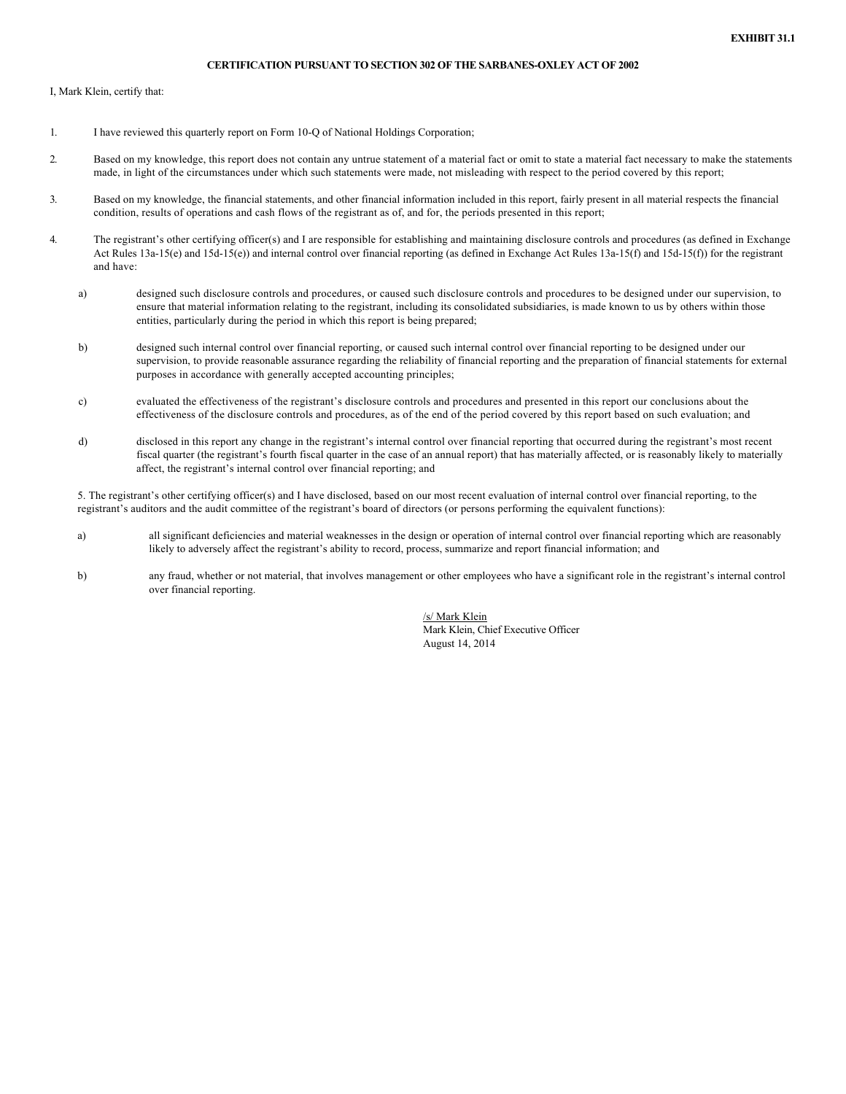#### **CERTIFICATION PURSUANT TO SECTION 302 OF THE SARBANES-OXLEY ACT OF 2002**

I, Mark Klein, certify that:

- 1. I have reviewed this quarterly report on Form 10-Q of National Holdings Corporation;
- 2. Based on my knowledge, this report does not contain any untrue statement of a material fact or omit to state a material fact necessary to make the statements made, in light of the circumstances under which such statements were made, not misleading with respect to the period covered by this report;
- 3. Based on my knowledge, the financial statements, and other financial information included in this report, fairly present in all material respects the financial condition, results of operations and cash flows of the registrant as of, and for, the periods presented in this report;
- 4. The registrant's other certifying officer(s) and I are responsible for establishing and maintaining disclosure controls and procedures (as defined in Exchange Act Rules 13a-15(e) and 15d-15(e)) and internal control over financial reporting (as defined in Exchange Act Rules 13a-15(f) and 15d-15(f)) for the registrant and have:
	- a) designed such disclosure controls and procedures, or caused such disclosure controls and procedures to be designed under our supervision, to ensure that material information relating to the registrant, including its consolidated subsidiaries, is made known to us by others within those entities, particularly during the period in which this report is being prepared;
	- b) designed such internal control over financial reporting, or caused such internal control over financial reporting to be designed under our supervision, to provide reasonable assurance regarding the reliability of financial reporting and the preparation of financial statements for external purposes in accordance with generally accepted accounting principles;
	- c) evaluated the effectiveness of the registrant's disclosure controls and procedures and presented in this report our conclusions about the effectiveness of the disclosure controls and procedures, as of the end of the period covered by this report based on such evaluation; and
	- d) disclosed in this report any change in the registrant's internal control over financial reporting that occurred during the registrant's most recent fiscal quarter (the registrant's fourth fiscal quarter in the case of an annual report) that has materially affected, or is reasonably likely to materially affect, the registrant's internal control over financial reporting; and

5. The registrant's other certifying officer(s) and I have disclosed, based on our most recent evaluation of internal control over financial reporting, to the registrant's auditors and the audit committee of the registrant's board of directors (or persons performing the equivalent functions):

- a) all significant deficiencies and material weaknesses in the design or operation of internal control over financial reporting which are reasonably likely to adversely affect the registrant's ability to record, process, summarize and report financial information; and
- b) any fraud, whether or not material, that involves management or other employees who have a significant role in the registrant's internal control over financial reporting.

/s/ Mark Klein Mark Klein, Chief Executive Officer August 14, 2014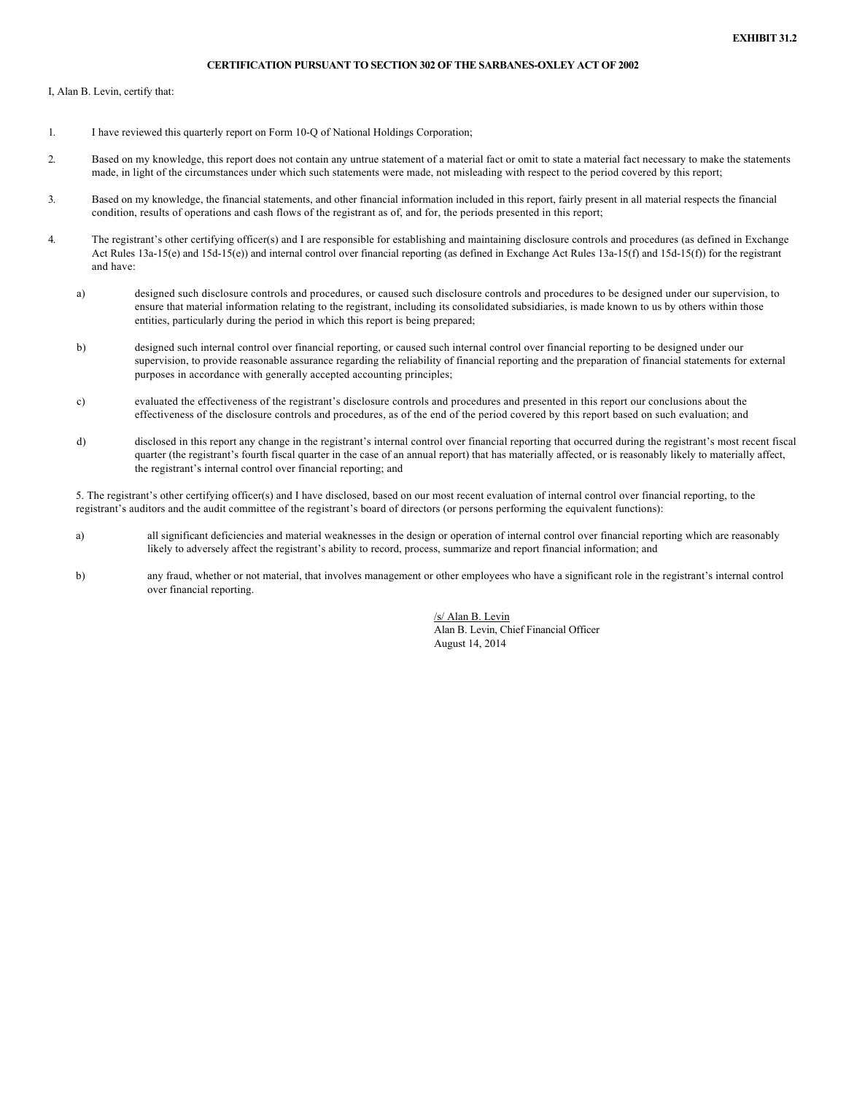#### **CERTIFICATION PURSUANT TO SECTION 302 OF THE SARBANES-OXLEY ACT OF 2002**

#### I, Alan B. Levin, certify that:

- 1. I have reviewed this quarterly report on Form 10-Q of National Holdings Corporation;
- 2. Based on my knowledge, this report does not contain any untrue statement of a material fact or omit to state a material fact necessary to make the statements made, in light of the circumstances under which such statements were made, not misleading with respect to the period covered by this report;
- 3. Based on my knowledge, the financial statements, and other financial information included in this report, fairly present in all material respects the financial condition, results of operations and cash flows of the registrant as of, and for, the periods presented in this report;
- 4. The registrant's other certifying officer(s) and I are responsible for establishing and maintaining disclosure controls and procedures (as defined in Exchange Act Rules 13a-15(e) and 15d-15(e)) and internal control over financial reporting (as defined in Exchange Act Rules 13a-15(f) and 15d-15(f)) for the registrant and have:
	- a) designed such disclosure controls and procedures, or caused such disclosure controls and procedures to be designed under our supervision, to ensure that material information relating to the registrant, including its consolidated subsidiaries, is made known to us by others within those entities, particularly during the period in which this report is being prepared;
	- b) designed such internal control over financial reporting, or caused such internal control over financial reporting to be designed under our supervision, to provide reasonable assurance regarding the reliability of financial reporting and the preparation of financial statements for external purposes in accordance with generally accepted accounting principles;
	- c) evaluated the effectiveness of the registrant's disclosure controls and procedures and presented in this report our conclusions about the effectiveness of the disclosure controls and procedures, as of the end of the period covered by this report based on such evaluation; and
	- d) disclosed in this report any change in the registrant's internal control over financial reporting that occurred during the registrant's most recent fiscal quarter (the registrant's fourth fiscal quarter in the case of an annual report) that has materially affected, or is reasonably likely to materially affect, the registrant's internal control over financial reporting; and

5. The registrant's other certifying officer(s) and I have disclosed, based on our most recent evaluation of internal control over financial reporting, to the registrant's auditors and the audit committee of the registrant's board of directors (or persons performing the equivalent functions):

- a) all significant deficiencies and material weaknesses in the design or operation of internal control over financial reporting which are reasonably likely to adversely affect the registrant's ability to record, process, summarize and report financial information; and
- b) any fraud, whether or not material, that involves management or other employees who have a significant role in the registrant's internal control over financial reporting.

/s/ Alan B. Levin Alan B. Levin, Chief Financial Officer August 14, 2014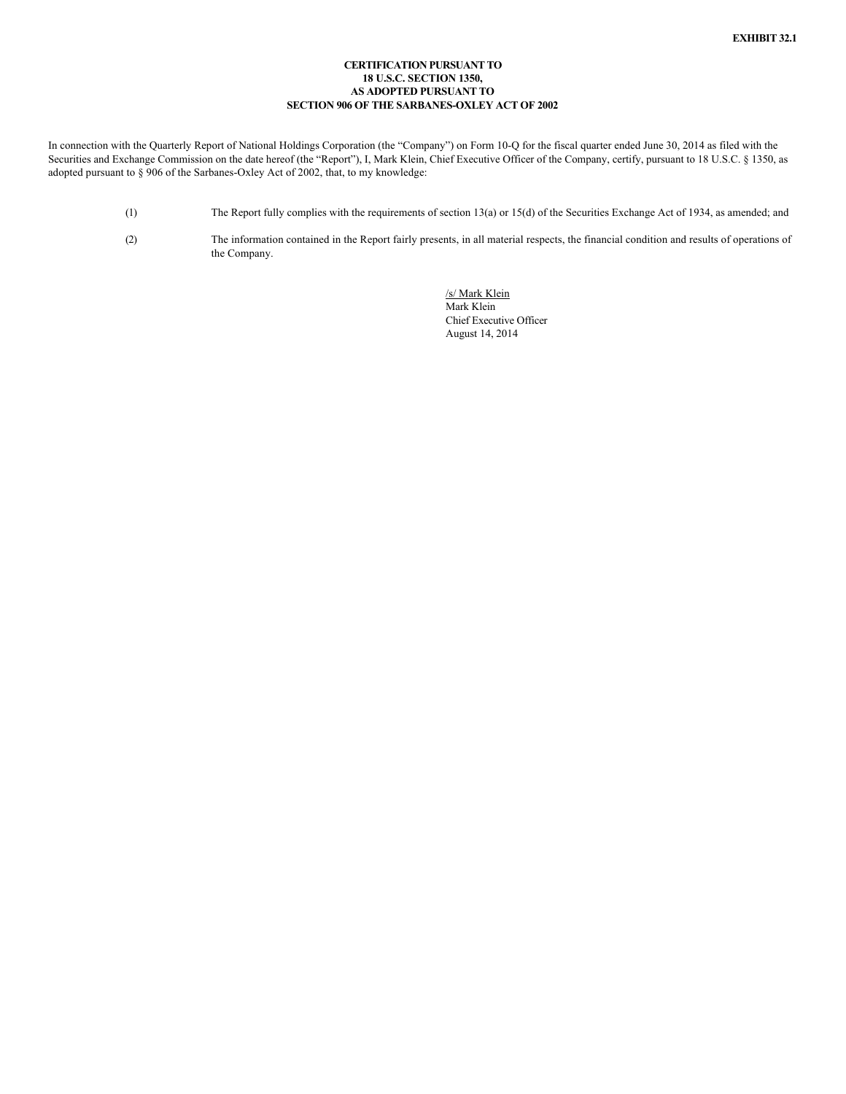#### **CERTIFICATION PURSUANT TO 18 U.S.C. SECTION 1350, AS ADOPTED PURSUANT TO SECTION 906 OF THE SARBANES-OXLEY ACT OF 2002**

In connection with the Quarterly Report of National Holdings Corporation (the "Company") on Form 10Q for the fiscal quarter ended June 30, 2014 as filed with the Securities and Exchange Commission on the date hereof (the "Report"), I, Mark Klein, Chief Executive Officer of the Company, certify, pursuant to 18 U.S.C. § 1350, as adopted pursuant to § 906 of the Sarbanes-Oxley Act of 2002, that, to my knowledge:

- (1) The Report fully complies with the requirements of section 13(a) or 15(d) of the Securities Exchange Act of 1934, as amended; and
- (2) The information contained in the Report fairly presents, in all material respects, the financial condition and results of operations of the Company.

/s/ Mark Klein Mark Klein Chief Executive Officer August 14, 2014